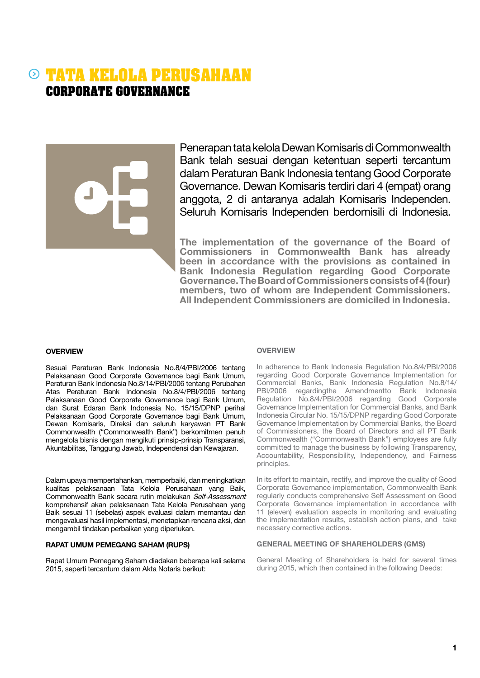## **TATA KELOLA PERUSAHAAN CORPORATE GOVERNANCE**

Penerapan tata kelola Dewan Komisaris di Commonwealth Bank telah sesuai dengan ketentuan seperti tercantum dalam Peraturan Bank Indonesia tentang Good Corporate Governance. Dewan Komisaris terdiri dari 4 (empat) orang anggota, 2 di antaranya adalah Komisaris Independen. Seluruh Komisaris Independen berdomisili di Indonesia.

The implementation of the governance of the Board of Commissioners in Commonwealth Bank has already been in accordance with the provisions as contained in Bank Indonesia Regulation regarding Good Corporate Governance. The Board of Commissioners consists of 4 (four) members, two of whom are Independent Commissioners. All Independent Commissioners are domiciled in Indonesia.

#### **OVERVIEW**

Sesuai Peraturan Bank Indonesia No.8/4/PBI/2006 tentang Pelaksanaan Good Corporate Governance bagi Bank Umum, Peraturan Bank Indonesia No.8/14/PBI/2006 tentang Perubahan Atas Peraturan Bank Indonesia No.8/4/PBI/2006 tentang Pelaksanaan Good Corporate Governance bagi Bank Umum, dan Surat Edaran Bank Indonesia No. 15/15/DPNP perihal Pelaksanaan Good Corporate Governance bagi Bank Umum, Dewan Komisaris, Direksi dan seluruh karyawan PT Bank Commonwealth ("Commonwealth Bank") berkomitmen penuh mengelola bisnis dengan mengikuti prinsip-prinsip Transparansi, Akuntabilitas, Tanggung Jawab, Independensi dan Kewajaran.

Dalam upaya mempertahankan, memperbaiki, dan meningkatkan kualitas pelaksanaan Tata Kelola Perusahaan yang Baik, Commonwealth Bank secara rutin melakukan Self-Assessment komprehensif akan pelaksanaan Tata Kelola Perusahaan yang Baik sesuai 11 (sebelas) aspek evaluasi dalam memantau dan mengevaluasi hasil implementasi, menetapkan rencana aksi, dan mengambil tindakan perbaikan yang diperlukan.

#### RAPAT UMUM PEMEGANG SAHAM (RUPS)

Rapat Umum Pemegang Saham diadakan beberapa kali selama 2015, seperti tercantum dalam Akta Notaris berikut:

#### **OVERVIEW**

In adherence to Bank Indonesia Regulation No.8/4/PBI/2006 regarding Good Corporate Governance Implementation for Commercial Banks, Bank Indonesia Regulation No.8/14/ PBI/2006 regardingthe Amendmentto Bank Indonesia Regulation No.8/4/PBI/2006 regarding Good Corporate Governance Implementation for Commercial Banks, and Bank Indonesia Circular No. 15/15/DPNP regarding Good Corporate Governance Implementation by Commercial Banks, the Board of Commissioners, the Board of Directors and all PT Bank Commonwealth ("Commonwealth Bank") employees are fully committed to manage the business by following Transparency, Accountability, Responsibility, Independency, and Fairness principles.

In its effort to maintain, rectify, and improve the quality of Good Corporate Governance implementation, Commonwealth Bank regularly conducts comprehensive Self Assessment on Good Corporate Governance implementation in accordance with 11 (eleven) evaluation aspects in monitoring and evaluating the implementation results, establish action plans, and take necessary corrective actions.

#### GENERAL MEETING OF SHAREHOLDERS (GMS)

General Meeting of Shareholders is held for several times during 2015, which then contained in the following Deeds: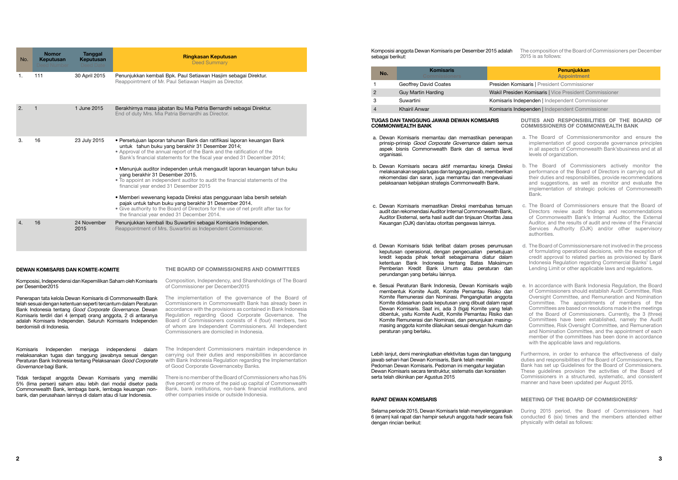Komposisi anggota Dewan Komisaris per Desember 2015 adalah sebagai berikut:

| No. | <b>Komisaris</b><br>Commissioners |                   |
|-----|-----------------------------------|-------------------|
|     | Geoffrey David Coates             | Presiden k        |
| 2   | Guy Martin Harding                | <b>Wakil Pres</b> |
| З   | Suwartini                         | Komisaris         |
|     | Khairil Anwar                     | Komisaris         |

#### Penunjukkan Appointment

**Komisaris | President Commissioner** 

**iden Komisaris | Vice President Commissioner** 

Independen | Independent Commissioner

Independen | Independent Commissioner

#### Tugas dan Tanggung Jawab Dewan Komisaris Commonwealth Bank

- a. Dewan Komisaris memantau dan memastikan penerapan prinsip-prinsip Good Corporate Governance dalam semua aspek bisnis Commonwealth Bank dan di semua level organisasi.
- b. Dewan Komisaris secara aktif memantau kinerja Direksi melaksanakan segala tugas dan tanggung jawab, memberikan rekomendasi dan saran, juga memantau dan mengevaluasi pelaksanaan kebijakan strategis Commonwealth Bank.
- c. Dewan Komisaris memastikan Direksi membahas temuan audit dan rekomendasi Auditor Internal Commonwealth Bank, Auditor Eksternal, serta hasil audit dan tinjauan Otoritas Jasa Keuangan (OJK) dan/atau otoritas pengawas lainnya.
- d. Dewan Komisaris tidak terlibat dalam proses perumusan keputusan operasional, dengan pengecualian persetujuan kredit kepada pihak terkait sebagaimana diatur dalam ketentuan Bank Indonesia tentang Batas Maksimum Pemberian Kredit Bank Umum atau peraturan dan perundangan yang berlaku lainnya.
- e. Sesuai Peraturan Bank Indonesia, Dewan Komisaris wajib membentuk Komite Audit, Komite Pemantau Risiko dan Komite Remunerasi dan Nominasi. Pengangkatan anggota Komite didasarkan pada keputusan yang dibuat dalam rapat Dewan Komisaris. Saat ini, ada 3 (tiga) Komite yang telah dibentuk, yaitu Komite Audit, Komite Pemantau Risiko dan Komite Remunerasi dan Nominasi, dan penunjukan masingmasing anggota komite dilakukan sesuai dengan hukum dan peraturan yang berlaku.
- a. The Board of Commissionersmonitor and ensure the implementation of good corporate governance principles in all aspects of Commonwealth Bank'sbusiness and at all levels of organization.
- b. The Board of Commissioners actively monitor the performance of the Board of Directors in carrying out all their duties and responsibilities, provide recommendations and suggestions, as well as monitor and evaluate the implementation of strategic policies of Commonwealth Bank.
- c. The Board of Commissioners ensure that the Board of Directors review audit findings and recommendations of Commonwealth Bank's Internal Auditor, the External Auditor, and the results of audit and review of the Financial Services Authority (OJK) and/or other supervisory authorities.
- d. The Board of Commissionersare not involved in the process of formulating operational decisions, with the exception of credit approval to related parties as provisioned by Bank Indonesia Regulation regarding Commercial Banks' Legal Lending Limit or other applicable laws and regulations.
- e. In accordance with Bank Indonesia Regulation, the Board of Commissioners should establish Audit Committee, Risk Oversight Committee, and Remuneration and Nomination Committee. The appointments of members of the Committees are based on resolutions made in the meetings of the Board of Commissioners. Currently, the 3 (three) Committees have been established, namely the Audit Committee, Risk Oversight Committee, and Remuneration and Nomination Committee, and the appointment of each member of the committees has been done in accordance with the applicable laws and regulations.

Lebih lanjut, demi meningkatkan efektivitas tugas dan tanggung jawab sehari-hari Dewan Komisaris, Bank telah memiliki Pedoman Dewan Komisaris. Pedoman ini mengatur kegiatan Dewan Komisaris secara terstruktur, sistematis dan konsisten serta telah dikinikan per Agustus 2015

#### Rapat Dewan Komisaris

Selama periode 2015, Dewan Komisaris telah menyelenggarakan 6 (enam) kali rapat dan hampir seluruh anggota hadir secara fisik dengan rincian berikut:

The composition of the Board of Commissioners per December 2015 is as follows:

#### Duties and Responsibilities of the Board of Commissioners of Commonwealth Bank

Furthermore, in order to enhance the effectiveness of daily duties and responsibilities of the Board of Commissioners, the Bank has set up Guidelines for the Board of Commissioners. These guidelines provision the activities of the Board of Commissioners in a structured, systematic, and consistent manner and have been updated per August 2015.

#### MEETING OF THE Board of Commisioners'

During 2015 period, the Board of Commissioners had conducted 6 (six) times and the members attended either physically with detail as follows:

| No. | <b>Nomor</b><br><b>Keputusan</b><br>Deed Number | <b>Tanggal</b><br><b>Keputusan</b><br>Deed Date | <b>Ringkasan Keputusan</b><br><b>Deed Summary</b>                                                                                                                                                                                                                                                                                                                                                                                                                                                                                                                                                   |
|-----|-------------------------------------------------|-------------------------------------------------|-----------------------------------------------------------------------------------------------------------------------------------------------------------------------------------------------------------------------------------------------------------------------------------------------------------------------------------------------------------------------------------------------------------------------------------------------------------------------------------------------------------------------------------------------------------------------------------------------------|
| 1.  | 111                                             | 30 April 2015                                   | Penunjukkan kembali Bpk. Paul Setiawan Hasjim sebagai Direktur.<br>Reappointment of Mr. Paul Setiawan Hasjim as Director.                                                                                                                                                                                                                                                                                                                                                                                                                                                                           |
| 2.  |                                                 | 1 June 2015                                     | Berakhirnya masa jabatan Ibu Mia Patria Bernardhi sebagai Direktur.<br>End of duty Mrs. Mia Patria Bernardhi as Director.                                                                                                                                                                                                                                                                                                                                                                                                                                                                           |
| 3.  | 16                                              | 23 July 2015                                    | · Persetujuan laporan tahunan Bank dan ratifikasi laporan keuangan Bank<br>untuk tahun buku yang berakhir 31 Desember 2014;<br>• Approval of the annual report of the Bank and the ratification of the<br>Bank's financial statements for the fiscal year ended 31 December 2014;<br>• Menunjuk auditor independen untuk mengaudit laporan keuangan tahun buku<br>yang berakhir 31 Desember 2015.<br>. To appoint an independent auditor to audit the financial statements of the<br>financial year ended 31 Desember 2015<br>• Memberi wewenang kepada Direksi atas penggunaan laba bersih setelah |
|     |                                                 |                                                 | pajak untuk tahun buku yang berakhir 31 Desember 2014.<br>• Give authority to the Board of Directors for the use of net profit after tax for<br>the financial year ended 31 December 2014.                                                                                                                                                                                                                                                                                                                                                                                                          |
| 4.  | 16                                              | 24 November<br>2015                             | Penunjukkan kembali Ibu Suwartini sebagai Komisaris Independen.<br>Reappointment of Mrs. Suwartini as Independent Commissioner.                                                                                                                                                                                                                                                                                                                                                                                                                                                                     |

#### DEWAN KOMISARIS DAN KOMITE-KOMITE

Komposisi, Independensi dan Kepemilikan Saham oleh Komisaris per Desember2015

Penerapan tata kelola Dewan Komisaris di Commonwealth Bank telah sesuai dengan ketentuan seperti tercantum dalam Peraturan Bank Indonesia tentang Good Corporate Governance. Dewan Komisaris terdiri dari 4 (empat) orang anggota, 2 di antaranya adalah Komisaris Independen. Seluruh Komisaris Independen berdomisili di Indonesia.

Komisaris Independen menjaga independensi dalam melaksanakan tugas dan tanggung jawabnya sesuai dengan Peraturan Bank Indonesia tentang Pelaksanaan Good Corporate Governance bagi Bank.

Tidak terdapat anggota Dewan Komisaris yang memiliki 5% (lima persen) saham atau lebih dari modal disetor pada Commonwealth Bank, lembaga bank, lembaga keuangan nonbank, dan perusahaan lainnya di dalam atau di luar Indonesia.

#### THE BOARD OF COMMISSIONERS AND COMMITTEES

Composition, Independency, and Shareholdings of The Board of Commissioner per December2015

The implementation of the governance of the Board of Commissioners in Commonwealth Bank has already been in accordance with the provisions as contained in Bank Indonesia Regulation regarding Good Corporate Governance. The Board of Commissioners consists of 4 (four) members, two of whom are Independent Commissioners. All Independent Commissioners are domiciled in Indonesia.

The Independent Commissioners maintain independence in carrying out their duties and responsibilities in accordance with Bank Indonesia Regulation regarding the Implementation of Good Corporate Governanceby Banks.

There is no member of the Board of Commissioners who has 5% (five percent) or more of the paid up capital of Commonwealth Bank, bank institutions, non-bank financial institutions, and other companies inside or outside Indonesia.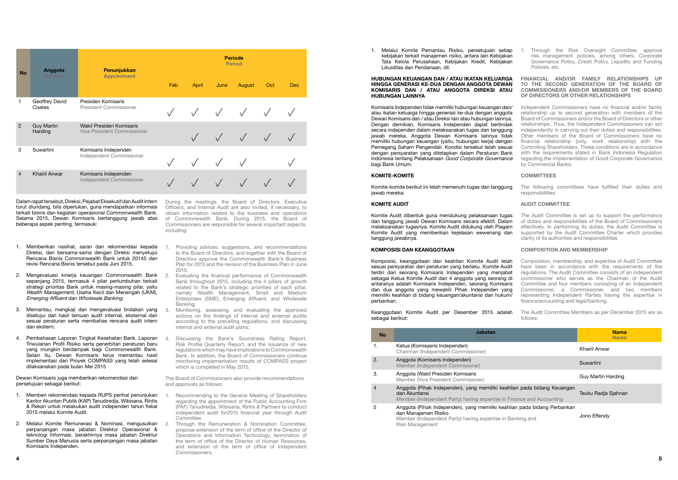1. Melalui Komite Pemantau Risiko, persetujuan setiap kebijakan terkait manajemen risiko, antara lain Kebijakan Tata Kelola Perusahaan, Kebijakan Kredit, Kebijakan Likuiditas dan Pendanaan, dll.

Komisaris Independen tidak memiliki hubungan keuangan dan/ atau ikatan keluarga hingga generasi ke-dua dengan anggota Dewan Komisaris dan / atau Direksi lain atau hubungan lainnya. Dengan demikian, Komisaris Independen dapat bertindak secara independen dalam melaksanakan tugas dan tanggung jawab mereka. Anggota Dewan Komisaris lainnya tidak memiliki hubungan keuangan (yaitu, hubungan kerja) dengan Pemegang Saham Pengendali. Kondisi tersebut telah sesuai dengan persyaratan yang ditetapkan dalam Peraturan Bank Indonesia tentang Pelaksanaan Good Corporate Governance bagi Bank Umum.

#### KOMITE-KOMITE

#### KOMITE AUDIT

Komite Audit dibentuk guna mendukung pelaksanaan tugas dan tanggung jawab Dewan Komisaris secara efektif. Dalam melaksanakan tugasnya, Komite Audit didukung oleh Piagam Komite Audit yang memberikan kejelasan wewenang dan tanggung jawabnya.

#### Komposisi dan Keanggotaan

#### HUBUNGAN KEUANGAN DAN / ATAU IKATAN KELUARGA HINGGA GENERASI KE-DUA DENGAN ANGGOTA DEWAN KOMISARIS DAN / ATAU ANGGOTA DIREKSI ATAU HUBUNGAN LAINNYA FINANCIAL AND/OR FAMILY RELATIONSHIPS UP TO THE SECOND GENERATION OF THE BOARD OF COMMISSIONERS AND/OR MEMBERS OF THE BOARD OF DIRECTORS OR OTHER RELATIONSHIPS

Komposisi, keanggotaan dan keahlian Komite Audit telah sesuai persyaratan dari peraturan yang berlaku. Komite Audit terdiri dari seorang Komisaris Independen yang menjabat sebagai Ketua Komite Audit dan 4 anggota yang seorang di antaranya adalah Komisaris Independen, seorang Komisaris dan dua anggota yang mewakili Pihak Independen yang memiliki keahlian di bidang keuangan/akuntansi dan hukum/ perbankan.

Keanggotaan Komite Audit per Desember 2015 adalah sebagai berikut:

| <b>No</b>      | <b>Jabatan</b><br>Position.                                                                                                                                                       | <b>Nama</b><br><b>Name</b> |
|----------------|-----------------------------------------------------------------------------------------------------------------------------------------------------------------------------------|----------------------------|
| 1.             | Ketua (Komisasris Independen)<br>Chairman (Independent Commissioner)                                                                                                              | Khairil Anwar              |
| 2.             | Anggota (Komisaris Independen)<br>Member (Independent Commisioner)                                                                                                                | Suwartini                  |
| 3.             | Anggota (Wakil Presiden Komisaris<br>Member (Vice President Commisioner)                                                                                                          | <b>Guy Martin Harding</b>  |
| $\overline{4}$ | Anggota (Pihak Independen), yang memiliki keahlian pada bidang Keuangan<br>dan Akuntansi<br>Member (Independent Party) having expertise in Finance and Accounting                 | Teuku Radja Sjahnan        |
| 5              | Anggota (Pihak Independen), yang memiliki keahlian pada bidang Perbankan<br>dan Manajemen Risiko<br>Member (Independent Party) having expertise in Banking and<br>Risk Management | Jono Effendy               |

Komite-komite berikut ini telah memenuhi tugas dan tanggung jawab mereka: The following committees have fulfilled their duties and responsibilities:

- 1. Through the Risk Oversight Committee, approve risk management policies, among others, Corporate Governance Policy, Credit Policy, Liquidity and Funding Policies, etc.
- Independent Commissioners have no financial and/or family relationship up to second generation with members of the Board of Commissioners and/or the Board of Directors or other relationships. Thus, the Independent Commissioners can act independently in carrying out their duties and responsibilities. Other members of the Board of Commissioners have no financial relationship (only, work relationship) with the Controlling Shareholders. These conditions are in accordance with the requirements stated in Bank Indonesia Regulation regarding the Implementation of Good Corporate Governance by Commercial Banks.

#### **COMMITTEES**

- 1. Providing advices, suggestions, and recommendations to the Board of Directors, and together with the Board of Directors approve the Commonwealth Bank's Business Plan for 2015 and the revision of the Business Plan in June 2015;
- 2. Evaluating the financial performance of Commonwealth Bank throughout 2015, including the 4 pillars of growth related to the Bank's strategic priorities of each pillar, namely Wealth Management, Small and Medium Enterprises (SME), Emerging Affluent, and Wholesale Banking;
- Monitoring, assessing, and evaluating the approved actions on the findings of internal and external audits according to the prevailing regulations, and discussing internal and external audit plans;
- 4. Discussing the Bank's Soundness Rating Report, Risk Profile Quarterly Report, and the issuance of new regulations which may have implications to Commonwealth Bank. In addition, the Board of Commissioners continue monitoring implementation results of COMPASS project which is completed in May 2015.

#### AUDIT COMMITTEE

The Audit Committee is set up to support the performance of duties and responsibilities of the Board of Commissioners effectively. In performing its duties, the Audit Committee is supported by the Audit Committee Charter which provides clarity of its authorities and responsibilities.

#### Composition and Membership

- Composition, membership, and expertise of Audit Committee have been in accordance with the requirements of the regulations. The Audit Committee consists of an independent
- commissioner who serves as the Chairman of the Audit Committee and four members consisting of an Independent
- Commissioner, a Commissioner, and two members representing Independent Parties having the expertise in finance/accounting and legal/banking.

The Audit Committee Members as per December 2015 are as follows:

| <b>No</b>      | Penunjukkan<br><b>Anggota</b><br><b>Appointment</b><br>Member |                                                         | <b>Periode</b><br><b>Period</b> |            |            |        |     |            |  |  |
|----------------|---------------------------------------------------------------|---------------------------------------------------------|---------------------------------|------------|------------|--------|-----|------------|--|--|
|                |                                                               |                                                         | Feb                             | April      | June       | August | Oct | <b>Dec</b> |  |  |
|                | Geoffrey David<br>Coates                                      | Presiden Komisaris<br><b>President Commissioner</b>     |                                 | $\sqrt{ }$ | $\sqrt{ }$ |        |     |            |  |  |
| $\overline{2}$ | <b>Guy Martin</b><br>Harding                                  | Wakil Presiden Komisaris<br>Vice President Commissioner |                                 | $\sqrt{ }$ | $\sqrt{ }$ |        |     |            |  |  |
| 3              | Suwartini                                                     | Komisaris Independen<br>Independent Commissioner        |                                 |            |            |        |     |            |  |  |
| $\overline{4}$ | <b>Khairil Anwar</b>                                          | Komisaris Independen<br>Independent Commissioner        |                                 |            |            |        |     |            |  |  |

Dalam rapat tersebut, Direksi, Pejabat Eksekutif dan Audit Intern turut diundang, bila diperlukan, guna mendapatkan informasi terkait bisnis dan kegiatan operasional Commonwealth Bank. Selama 2015, Dewan Komisaris bertanggung jawab atas beberapa aspek penting, termasuk:

- 1. Memberikan nasihat, saran dan rekomendasi kepada Direksi, dan bersama-sama dengan Direksi menyetujui Rencana Bisnis Commonwealth Bank untuk 20145 dan revisi Rencana Bisnis tersebut pada Juni 2015.
- 2. Mengevaluasi kinerja keuangan Commonwealth Bank sepanjang 2015, termasuk 4 pilar pertumbuhan terkait strategi prioritas Bank untuk masing-masing pilar, yaitu Wealth Management, Usaha Kecil dan Menengah (UKM), Emerging Affluent dan Wholesale Banking.
- 3. Memantau, mengkaji dan mengevaluasi tindakan yang disetujui dari hasil temuan audit internal, eksternal dan sesuai peraturan serta membahas rencana audit intern dan ekstern;
- 4. Pembahasan Laporan Tingkat Kesehatan Bank, Laporan Triwulanan Profil Risiko serta penerbitan peraturan baru yang mungkin berdampak bagi Commonwealth Bank. Selain itu, Dewan Komisaris terus memantau hasil implementasi dari Proyek COMPASS yang telah selesai dilaksanakan pada bulan Mei 2015

Dewan Komisaris juga memberikan rekomendasi dan persetujuan sebagai berikut:

- 1. Memberi rekomendasi kepada RUPS perihal penunjukan Kantor Akuntan Publik (KAP) Tanudiredja, Wibisana, Rintis & Rekan untuk melakukan audit independen tahun fiskal 2015 melalui Komite Audit.
- 2. Melalui Komite Remunerasi & Nominasi, mengusulkan perpanjangan masa jabatan Direktur Operasional & teknologi Informasi, berakhirnya masa jabatan Direktur Sumber Daya Manusia serta perpanjangan masa jabatan Komisaris Independen.

During the meetings, the Board of Directors, Executive Officers, and Internal Audit are also invited, if necessary, to obtain information related to the business and operations of Commonwealth Bank. During 2015, the Board of Commissioners are responsible for several important aspects, including:

The Board of Commissioners also provide recommendations and approvals as follows:

- 1. Recommending to the General Meeting of Shareholders regarding the appointment of the Public Accounting Firm (PAF) Tanudiredja, Wibisana, Rintis & Partners to conduct independent audit for2015 financial year through Audit Committee.
- 2. Through the Remuneration & Nomination Committee, propose extension of the term of office of the Director of Operations and Information Technology, termination of the term of office of the Director of Human Resources, and extension of the term of office of Independent Commissioners.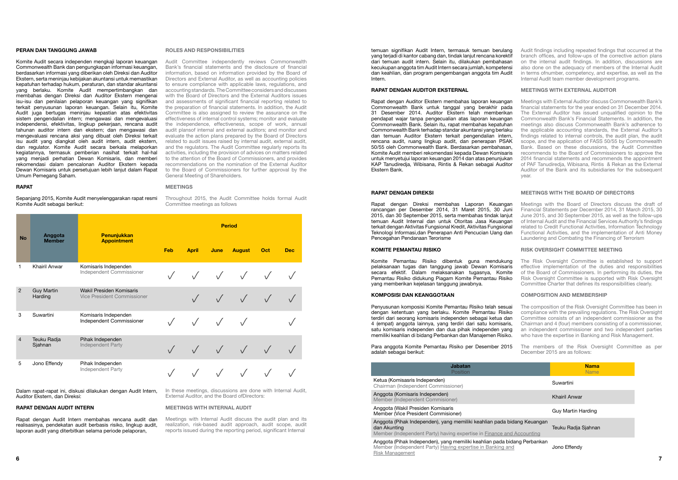temuan signifikan Audit Intern, termasuk temuan berulang yang terjadi di kantor cabang dan, tindak lanjut rencana korektif dari temuan audit intern. Selain itu, dilakukan pembahasan kecukupan anggota tim Audit Intern secara jumlah, kompetensi dan keahlian, dan program pengembangan anggota tim Audit Intern.

#### Rapat dengan Auditor Eksternal

Rapat dengan Auditor Ekstern membahas laporan keuangan Commonwealth Bank untuk tanggal yang berakhir pada 31 Desember 2014. Auditor Ekstern telah memberikan pendapat wajar tanpa pengecualian atas laporan keuangan Commonwealth Bank. Selain itu, rapat membahas kepatuhan Commonwealth Bank terhadap standar akuntansi yang berlaku dan temuan Auditor Ekstern terkait pengendalian intern, rencana audit, ruang lingkup audit, dan penerapan PSAK 50/55 oleh Commonwealth Bank. Berdasarkan pembahasan, Komite Audit memberi rekomendasi kepada Dewan Komisaris untuk menyetujui laporan keuangan 2014 dan atas penunjukan KAP Tanudiredja, Wibisana, Rintis & Rekan sebagai Auditor Ekstern Bank.

#### Rapat dengan Direksi

#### **Jabatan** Position

Ketua (Komisasris Independen) Chairman (Independent Commissioner)

Anggota (Komisaris Independen) Member (Independent Commisioner)

Anggota (Wakil Presiden Komisaris Member (Vice President Commisioner)

Rapat dengan Direksi membahas Laporan Keuangan rancangan per Desember 2014, 31 Maret 2015, 30 Juni 2015, dan 30 September 2015, serta membahas tindak lanjut temuan Audit Internal dan untuk Otoritas Jasa Keuangan terkait dengan Aktivitas Fungsional Kredit, Aktivitas Fungsional Teknologi Informasi,dan Penerapan Anti Pencucian Uang dan Pencegahan Pendanaan Terorisme

Anggota (Pihak Independen), yang memiliki keahlian pada bidang Keuangangan Keuangangangan Keuangangangan Keuangangangangan Keuangangangan Keuangangangan Keuangangangan Keuangangangan Keuangangangan Keuangangangan Keuangang dan Akunting

Member (Independent Party) having expertise in Finance and

Anggota (Pihak Independen), yang memiliki keahlian pada bid Member (Independent Party) Having expertise in Banking and Risk Management

#### KOMITE PEMANTAU RISIKO

Komite Pemantau Risiko dibentuk guna mendukung pelaksanaan tugas dan tanggung jawab Dewan Komisaris secara efektif. Dalam melaksanakan tugasnya, Komite Pemantau Risiko didukung Piagam Komite Pemantau Risiko yang memberikan kejelasan tanggung jawabnya.

#### Komposisi dan Keanggotaan

Penyusunan komposisi Komite Pemantau Risiko telah sesuai dengan ketentuan yang berlaku. Komite Pemantau Risiko terdiri dari seorang komisaris independen sebagai ketua dan 4 (empat) anggota lainnya, yang terdiri dari satu komisaris, satu komisaris independen dan dua pihak independen yang memiliki keahlian di bidang Perbankan dan Manajemen Risiko.

Para anggota Komite Pemantau Risiko per Desember 2015 adalah sebagai berikut:

|                                    | <b>Nama</b><br><b>Name</b> |
|------------------------------------|----------------------------|
|                                    | Suwartini                  |
|                                    | Khairil Anwar              |
|                                    | Guy Martin Harding         |
| dang Keuangan<br><b>Accounting</b> | Teuku Radja Sjahnan        |
| lang Perbankan<br>d                | Jono Effendy               |

Audit findings including repeated findings that occurred at the branch offices, and follow-ups of the corrective action plans on the internal audit findings. In addition, discussions are also done on the adequacy of members of the Internal Audit in terms ofnumber, competency, and expertise, as well as the Internal Audit team member development programs.

#### Meetings with External Auditor

Meetings with External Auditor discuss Commonwealth Bank's financial statements for the year ended on 31 December 2014. The External Auditor has issued unqualified opinion to the Commonwealth Bank's Financial Statements. In addition, the meetings also discuss Commonwealth Bank's adherence to the applicable accounting standards, the External Auditor's findings related to internal controls, the audit plan, the audit scope, and the application of FASS 50/55 by Commonwealth Bank. Based on these discussions, the Audit Committee recommends to the Board of Commissioners to approve the 2014 financial statements and recommends the appointment of PAF Tanudiredja, Wibisana, Rintis & Rekan as the External Auditor of the Bank and its subsidiaries for the subsequent year.

#### MEETINGS WITH THE BOARD OF DIRECTORS

Meetings with the Board of Directors discuss the draft of Financial Statements per December 2014, 31 March 2015, 30 June 2015, and 30 September 2015, as well as the follow-ups of Internal Audit and the Financial Services Authority's findings related to Credit Functional Activities, Information Technology Functional Activities, and the implementation of Anti Money Laundering and Combating the Financing of Terrorism

In these meetings, discussions are done with Internal Audit, External Auditor, and the Board ofDirectors:

#### RISK OVERSIGHT COMMITTEE MEETING

The Risk Oversight Committee is established to support effective implementation of the duties and responsibilities of the Board of Commissioners. In performing its duties, the Risk Oversight Committee is supported with Risk Oversight Committee Charter that defines its responsibilities clearly.

#### Composition and Membership

The composition of the Risk Oversight Committee has been in compliance with the prevailing regulations. The Risk Oversight Committee consists of an independent commissioner as the Chairman and 4 (four) members consisting of a commissioner, an independent commissioner and two independent parties who have the expertise in Banking and Risk Management.

The members of the Risk Oversight Committee as per December 2015 are as follows:

#### Peran dan Tanggung Jawab

Komite Audit secara independen mengkaji laporan keuangan Commonwealth Bank dan pengungkapan informasi keuangan, berdasarkan informasi yang diberikan oleh Direksi dan Auditor Ekstern, serta meninjau kebijakan akuntansi untuk memastikan kepatuhan terhadap hukum, peraturan, dan standar akuntansi yang berlaku. Komite Audit mempertimbangkan dan membahas dengan Direksi dan Auditor Ekstern mengenai isu-isu dan penilaian pelaporan keuangan yang signifikan terkait penyusunan laporan keuangan. Selain itu, Komite Audit juga bertugas meninjau kepastian atas efektivitas sistem pengendalian intern; mengawasi dan mengevaluasi independensi, efektivitas, lingkup pekerjaan, rencana audit tahunan auditor intern dan ekstern; dan mengawasi dan mengevaluasi rencana aksi yang dibuat oleh Direksi terkait isu audit yang diangkat oleh audit intern, audit ekstern, dan regulator. Komite Audit secara berkala melaporkan kegiatannya, termasuk pemberian nasihat terkait hal-hal yang menjadi perhatian Dewan Komisaris, dan memberi rekomendasi dalam pencalonan Auditor Ekstern kepada Dewan Komisaris untuk persetujuan lebih lanjut dalam Rapat Umum Pemegang Saham.

#### **RAPAT**

Sepanjang 2015, Komite Audit menyelenggarakan rapat resmi Komite Audit sebagai berikut:

| <b>No</b>      | Anggota                      | Penunjukkan                                             | <b>Period</b> |              |      |               |     |            |
|----------------|------------------------------|---------------------------------------------------------|---------------|--------------|------|---------------|-----|------------|
|                | <b>Member</b>                | <b>Appointment</b>                                      | Feb           | <b>April</b> | June | <b>August</b> | Oct | <b>Dec</b> |
| 1              | <b>Khairil Anwar</b>         | Komisaris Independen<br>Independent Commissioner        |               | $\sqrt{}$    |      |               |     |            |
| 2              | <b>Guy Martin</b><br>Harding | Wakil Presiden Komisaris<br>Vice President Commissioner |               | $\sqrt{ }$   |      |               |     |            |
| 3              | Suwartini                    | Komisaris Independen<br>Independent Commissioner        |               | $\sqrt{ }$   |      |               |     |            |
| $\overline{4}$ | Teuku Radja<br>Sjahnan       | Pihak Independen<br>Independent Party                   |               | $\sqrt{ }$   |      |               |     |            |
| 5              | Jono Effendy                 | Pihak Independen<br>Independent Party                   |               |              |      |               |     |            |

Dalam rapat-rapat ini, diskusi dilakukan dengan Audit Intern, Auditor Ekstern, dan Direksi:

#### Rapat dengan Audit Intern

Rapat dengan Audit Intern membahas rencana audit dan realisasinya, pendekatan audit berbasis risiko, lingkup audit, laporan audit yang diterbitkan selama periode pelaporan,

#### Roles and Responsibilities

Audit Committee independently reviews Commonwealth Bank's financial statements and the disclosure of financial information, based on information provided by the Board of Directors and External Auditor, as well as accounting policies to ensure compliance with applicable laws, regulations, and accounting standards. The Committee considers and discusses with the Board of Directors and the External Auditors issues and assessments of significant financial reporting related to the preparation of financial statements. In addition, the Audit Committee is also assigned to review the assurance on the effectiveness of internal control systems; monitor and evaluate the independence, effectiveness, scope of work, annual audit plansof internal and external auditors; and monitor and evaluate the action plans prepared by the Board of Directors related to audit issues raised by internal audit, external audit, and the regulators. The Audit Committee regularly reports its activities, including the provision of advices on matters related to the attention of the Board of Commissioners, and provides recommendations on the nomination of the External Auditor to the Board of Commissioners for further approval by the General Meeting of Shareholders.

#### **MEETINGS**

Throughout 2015, the Audit Committee holds formal Audit Committee meetings as follows

#### Meetings with Internal Audit

Meetings with Internal Audit discuss the audit plan and its realization, risk-based audit approach, audit scope, audit reports issued during the reporting period, significant Internal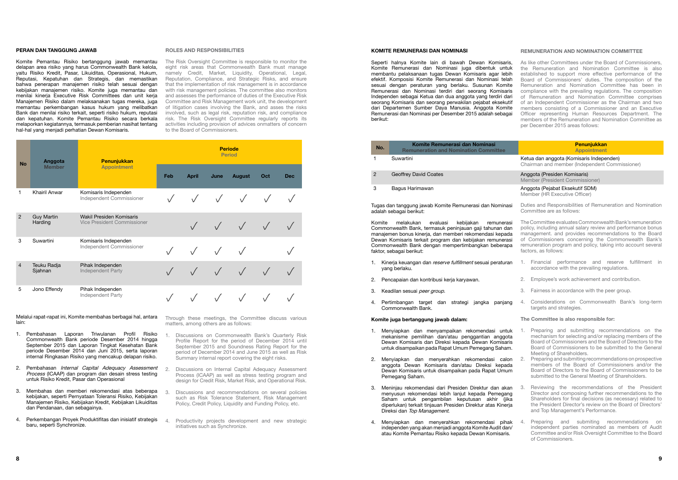#### KOMITE REMUNERASI DAN NOMINASI

Seperti halnya Komite lain di bawah Dewan Komisaris, Komite Remunerasi dan Nominasi juga dibentuk untuk membantu pelaksanaan tugas Dewan Komisaris agar lebih efektif. Komposisi Komite Remunerasi dan Nominasi telah sesuai dengan peraturan yang berlaku. Susunan Komite Remunerasi dan Nominasi terdiri dari seorang Komisaris Independen sebagai Ketua dan dua anggota yang terdiri dari seorang Komisaris dan seorang perwakilan pejabat eksekutif dari Departemen Sumber Daya Manusia. Anggota Komite Remunerasi dan Nominasi per Desember 2015 adalah sebagai berikut:

#### Ketua dan anggota (Komisaris Independen) Chairman and member (Independent Commissioner)

#### Anggota (Presiden Komisaris) Member (President Commissioner)

Anggota (Pejabat Eksekutif SDM) Member (HR Executive Officer)

| No. | Komite Remunerasi dan Nominasi<br><b>Remuneration and Nomination Committee</b> |
|-----|--------------------------------------------------------------------------------|
|     | Suwartini                                                                      |
| 2   | <b>Geoffrey David Coates</b>                                                   |
| з   | Bagus Harimawan                                                                |

#### Penunjukkan Appointment

- 1. Kinerja keuangan dan reserve fulfillment sesuai peraturan yang berlaku.
- 2. Pencapaian dan kontribusi kerja karyawan.
- 3. Keadilan sesuai peer group.
- 4. Pertimbangan target dan strategi jangka panjang Commonwealth Bank.

Tugas dan tanggung jawab Komite Remunerasi dan Nominasi adalah sebagai berikut:

Komite melakukan evaluasi kebijakan remunerasi Commonwealth Bank, termasuk peninjauan gaji tahunan dan manajemen bonus kinerja, dan memberi rekomendasi kepada Dewan Komisaris terkait program dan kebijakan remunerasi Commonwealth Bank dengan mempertimbangkan beberapa faktor, sebagai berikut:

- The Committee evaluates Commonwealth Bank's remuneration policy, including annual salary review and performance bonus management. and provides recommendations to the Board of Commissioners concerning the Commonwealth Bank's remuneration program and policy, taking into account several factors, as follows:
- 1. Financial performance and reserve fulfillment in accordance with the prevailing regulations.
- 2. Employee's work achievement and contribution.
- 3. Fairness in accordance with the peer group.
- 4. Considerations on Commonwealth Bank's long-term targets and strategies.

#### Komite juga bertanggung jawab dalam:

- Preparing and submitting recommendations on the mechanism for selecting and/or replacing members of the Board of Commissioners and the Board of Directors to the Board of Commissioners to be submitted to the General Meeting of Shareholders.
- 2. Preparing and submiting recommendations on prospective members of the Board of Commissioners and/or the Board of Directors to the Board of Commissioners to be submitted to the General Meeting of Shareholders.
- Reviewing the recommendations of the President Director and composing further recommendations to the Shareholders for final decisions (as necessary) related to the President Director's review on the Board of Directors' and Top Management's Performance.

#### REMUNERATION AND NOMINATION COMMITTEE

As like other Committees under the Board of Commissioners, the Remuneration and Nomination Committee is also established to support more effective performance of the Board of Commissioners' duties. The composition of the Remuneration and Nomination Committee has been in compliance with the prevailing regulations. The composition of Remuneration and Nomination Committee comprises of an Independent Commissioner as the Chairman and two members consisting of a Commissioner and an Executive Officer representing Human Resources Department. The members of the Remuneration and Nomination Committee as per December 2015 areas follows:

Melalui rapat-rapat ini, Komite membahas berbagai hal, antara Through these meetings, the Committee discuss various lain:

Duties and Responsibilities of Remuneration and Nomination Committee are as follows:

- 1. Menyiapkan dan menyampaikan rekomendasi untuk mekanisme pemilihan dan/atau penggantian anggota Dewan Komisaris dan Direksi kepada Dewan Komisaris untuk disampaikan pada Rapat Umum Pemegang Saham.
- 2. Menyiapkan dan menyerahkan rekomendasi calon anggota Dewan Komisaris dan/atau Direksi kepada Dewan Komisaris untuk disampaikan pada Rapat Umum Pemegang Saham.
- 3. Meninjau rekomendasi dari Presiden Direktur dan akan menyusun rekomendasi lebih lanjut kepada Pemegang Saham untuk pengambilan keputusan akhir (jika diperlukan) terkait tinjauan Presiden Direktur atas Kinerja Direksi dan Top Management.
- 4. Menyiapkan dan menyerahkan rekomendasi pihak independen yang akan menjadi anggota Komite Audit dan/ atau Komite Pemantau Risiko kepada Dewan Komisaris. Preparing and submiting recommendations on independent parties nominated as members of Audit Committee and/or Risk Oversight Committee to the Board of Commissioners.

#### The Committee is also responsible for:

- Discussions on Commonwealth Bank's Quarterly Risk Profile Report for the period of December 2014 until September 2015 and Soundness Rating Report for the period of December 2014 and June 2015 as well as Risk Summary internal report covering the eight risks.
- 2. Discussions on Internal Capital Adequacy Assessment Process (ICAAP) as well as stress testing program and design for Credit Risk, Market Risk, and Operational Risk.
- Discussions and recommendations on several policies such as Risk Tolerance Statement, Risk Management Policy, Credit Policy, Liquidity and Funding Policy, etc.
- 4. Productivity projects development and new strategic initiatives such as Synchronize.

#### Peran dan Tanggung Jawab

Komite Pemantau Risiko bertanggung jawab memantau delapan area risiko yang harus Commonwealth Bank kelola, yaitu Risiko Kredit, Pasar, Likuiditas, Operasional, Hukum, Reputasi, Kepatuhan dan Strategis, dan memastikan bahwa penerapan manajemen risiko telah sesuai dengan kebijakan manajemen risiko. Komite juga memantau dan menilai kinerja Executive Risk Committees dan unit kerja Manajemen Risiko dalam melaksanakan tugas mereka, juga memantau perkembangan kasus hukum yang melibatkan Bank dan menilai risiko terkait, seperti risiko hukum, reputasi dan kepatuhan. Komite Pemantau Risiko secara berkala melaporkan kegiatannya, termasuk pemberian nasihat tentang hal-hal yang menjadi perhatian Dewan Komisaris.

| <b>No</b>      | Penunjukkan<br>Anggota              |                                                         | <b>Periode</b><br><b>Period</b> |           |               |     |            |  |  |
|----------------|-------------------------------------|---------------------------------------------------------|---------------------------------|-----------|---------------|-----|------------|--|--|
|                | <b>Member</b><br><b>Appointment</b> | Feb                                                     | <b>April</b>                    | June      | <b>August</b> | Oct | <b>Dec</b> |  |  |
| 1              | <b>Khairil Anwar</b>                | Komisaris Independen<br>Independent Commissioner        |                                 |           |               |     |            |  |  |
| $\overline{2}$ | <b>Guy Martin</b><br>Harding        | Wakil Presiden Komisaris<br>Vice President Commissioner |                                 |           | $\sqrt{ }$    |     |            |  |  |
| 3              | Suwartini                           | Komisaris Independen<br>Independent Commissioner        |                                 |           |               |     |            |  |  |
| $\overline{4}$ | Teuku Radja<br>Sjahnan              | Pihak Independen<br>Independent Party                   |                                 | $\sqrt{}$ |               |     |            |  |  |
| 5              | Jono Effendy                        | Pihak Independen<br>Independent Party                   |                                 |           |               |     |            |  |  |

- 1. Pembahasan Laporan Triwulanan Profil Risiko Commonwealth Bank periode Desember 2014 hingga September 2015 dan Laporan Tingkat Kesehatan Bank periode Desember 2014 dan Juni 2015, serta laporan internal Ringkasan Risiko yang mencakup delapan risiko.
- Pembahasan Internal Capital Adequacy Assessment Process (ICAAP) dan program dan desain stress testing untuk Risiko Kredit, Pasar dan Operasional
- 3. Membahas dan memberi rekomendasi atas beberapa kebijakan, seperti Pernyataan Toleransi Risiko, Kebijakan Manajemen Risiko, Kebijakan Kredit, Kebijakan Likuiditas dan Pendanaan, dan sebagainya.
- 4. Perkembangan Proyek Produktifitas dan inisiatif strategis baru, seperti Synchronize.

#### Roles and Responsibilities

The Risk Oversight Committee is responsible to monitor the eight risk areas that Commonwealth Bank must manage namely Credit, Market, Liquidity, Operational, Legal, Reputation, Compliance, and Strategic Risks, and ensure that the implementation of risk management is in accordance with risk management policies. The committee also monitors and assesses the performance of duties of the Executive Risk Committee and Risk Management work unit, the development of litigation cases involving the Bank, and asses the risks involved, such as legal risk, reputation risk, and compliance risk. The Risk Oversight Committee regularly reports its activities including provision of advices onmatters of concern to the Board of Commissioners.

matters, among others are as follows: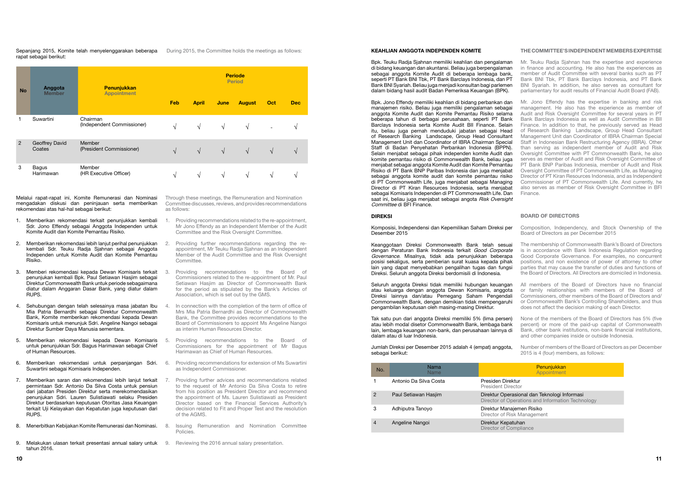#### Keahlian Anggota Independen Komite

Penunjukkan **Annointment** 

asional dan Teknologi Informasi erations and Information Technology

ijemen Risiko sk Management

mpliance

#### DIREKSI

Komposisi, Independensi dan Kepemilikan Saham Direksi per Desember 2015

Bpk. Teuku Radja Sjahnan memiliki keahlian dan pengalaman di bidang keuangan dan akuntansi. Beliau juga berpengalaman sebagai anggota Komite Audit di beberapa lembaga bank, seperti PT Bank BNI Tbk, PT Bank Barclays Indonesia, dan PT Bank BNI Syariah. Beliau juga menjadi konsultan bagi parlemen dalam bidang hasil audit Badan Pemeriksa Keuangan (BPK). Mr. Teuku Radja Sjahnan has the expertise and experience in finance and accounting. He also has the experiences as member of Audit Committee with several banks such as PT Bank BNI Tbk, PT Bank Barclays Indonesia, and PT Bank BNI Syariah. In addition, he also serves as consultant for parliamentary for audit results of Financial Audit Board (FAB).

Keanggotaan Direksi Commonwealth Bank telah sesuai dengan Peraturan Bank Indonesia terkait Good Corporate Governance. Misalnya, tidak ada penunjukkan beberapa posisi sekaligus, serta pemberian surat kuasa kepada pihak lain yang dapat menyebabkan pengalihan tugas dan fungsi Direksi. Seluruh anggota Direksi berdomisili di Indonesia.

Seluruh anggota Direksi tidak memiliki hubungan keuangan atau keluarga dengan anggota Dewan Komisaris, anggota Direksi lainnya dan/atau Pemegang Saham Pengendali Commonwealth Bank, dengan demikian tidak mempengaruhi pengambilan keputusan oleh masing-masing Direktur.

Tak satu pun dari anggota Direksi memiliki 5% (lima persen) atau lebih modal disetor Commonwealth Bank, lembaga bank lain, lembaga keuangan non-bank, dan perusahaan lainnya di dalam atau di luar Indonesia.

Bpk. Jono Effendy memiliki keahlian di bidang perbankan dan manajemen risiko. Beliau juga memiliki pengalaman sebagai anggota Komite Audit dan Komite Pemantau Risiko selama beberapa tahun di berbagai perusahaan, seperti PT Bank Barclays Indonesia serta Komite Audit BII Finance. Selain itu, beliau juga pernah menduduki jabatan sebagai Head of Research Banking Landscape, Group Head Consultant Management Unit dan Coordinator of IBRA Chairman Special Staff di Badan Penyehatan Perbankan Indonesia (BPPN). Selain menjabat sebagai pihak independen komite Audit dan komite pemantau risiko di Commonwealth Bank, beliau juga menjabat sebagai anggota Komite Audit dan Komite Pemantau Risiko di PT Bank BNP Paribas Indonesia dan juga menjabat sebagai anggota komite audit dan komite pemantau risiko di PT Commonwealth Life, juga menjabat sebagai Managing Director di PT Kiran Resources Indonesia, serta menjabat sebagai Komisaris Independen di PT Commonwealth Life. Dan saat ini, beliau juga menjabat sebagai angota Risk Oversight Committee di BFI Finance. Mr. Jono Effendy has the expertise in banking and risk management. He also has the experience as member of Audit and Risk Oversight Committee for several years in PT Bank Barclays Indonesia as well as Audit Committee in BII Finance. In addition to that, he previously served as Head of Research Banking Landscape, Group Head Consultant Management Unit dan Coordinator of IBRA Chairman Special Staff in Indonesian Bank Restructuring Agency (IBRA). Other than serving as independent member of Audit and Risk Oversight Committee with PT Commonwealth Bank, he also serves as member of Audit and Risk Oversight Committee of PT Bank BNP Paribas Indonesia, member of Audit and Risk Oversight Committee of PT Commonwealth Life, as Managing Director of PT Kiran Resources Indonesia, and as Independent Commissioner of PT Commonwealth Life. And currently, he also serves as member of Risk Oversight Committee in BFI Finance.

Jumlah Direksi per Desember 2015 adalah 4 (empat) anggota, sebagai berikut:

| No. | Nama<br>Name           |                                                |
|-----|------------------------|------------------------------------------------|
|     | Antonio Da Silva Costa | Presiden Direktur<br><b>President Director</b> |
| 2   | Paul Setiawan Hasjim   | Direktur Operasiona<br>Director of Operation   |
| 3   | Adhiputra Tanoyo       | Direktur Manajemer<br>Director of Risk Ma      |
| 4   | Angeline Nangoi        | Direktur Kepatuhan<br>Director of Complia      |

#### THE COMMITTEE'S INDEPENDENT MEMBERS EXPERTISE

#### BOARD OF DIRECTORS

- Composition, Independency, and Stock Ownership of the Board of Directors as per December 2015
- The membership of Commonwealth Bank's Board of Directors is in accordance with Bank Indonesia Regulation regarding Good Corporate Governance. For examples, no concurrent positions, and non existence of power of attorney to other parties that may cause the transfer of duties and functions of the Board of Directors. All Directors are domiciled in Indonesia.
- All members of the Board of Directors have no financial or family relationships with members of the Board of Commissioners, other members of the Board of Directors and/ or Commonwealth Bank's Controlling Shareholders, and thus does not affect the decision making of each Director.
- None of the members of the Board of Directors has 5% (five percent) or more of the paid-up capital of Commonwealth Bank, other bank institutions, non-bank financial institutions, and other companies inside or outside Indonesia.

Number of members of the Board of Directors as per December 2015 is 4 (four) members, as follows:

| <b>No</b>      | Anggota<br><b>Member</b>        | <b>Penunjukkan</b><br><b>Appointment</b> | <b>Periode</b><br><b>Period</b> |              |            |               |               |               |
|----------------|---------------------------------|------------------------------------------|---------------------------------|--------------|------------|---------------|---------------|---------------|
|                |                                 |                                          | Feb                             | <b>April</b> | June       | <b>August</b> | Oct           | <b>Dec</b>    |
|                | Suwartini                       | Chairman<br>(Independent Commissioner)   | V                               | $\sqrt{ }$   | $\sqrt{ }$ | $\sqrt{ }$    |               | $\Delta$      |
| $\overline{2}$ | <b>Geoffrey David</b><br>Coates | Member<br>(President Commissioner)       | $\sqrt{ }$                      | $\sqrt{ }$   | $\sqrt{ }$ | $\sqrt{ }$    | $\mathcal{N}$ | $\mathcal{N}$ |
| 3              | Bagus<br>Harimawan              | Member<br>(HR Executive Officer)         | $\mathbf{v}$                    | V            | V          | N             | $\mathcal{N}$ | $\Delta$      |

Melalui rapat-rapat ini, Komite Remunerasi dan Nominasi mengadakan diskusi dan peninjauan serta memberikan rekomendasi atas hal-hal sebagai berikut:

Sepanjang 2015, Komite telah menyelenggarakan beberapa rapat sebagai berikut: During 2015, the Committee holds the meetings as follows:

- 1. Memberikan rekomendasi terkait penunjukkan kembali Sdr. Jono Effendy sebagai Anggota Independen untuk Komite Audit dan Komite Pemantau Risiko.
- 2. Memberikan rekomendasi lebih lanjut perihal penunjukkan kembali Sdr. Teuku Radja Sjahnan sebagai Anggota Independen untuk Komite Audit dan Komite Pemantau Risiko.
- 3. Memberi rekomendasi kepada Dewan Komisaris terkait penunjukan kembali Bpk. Paul Setiawan Hasjim sebagai Direktur Commonwealth Bank untuk periode sebagaimana diatur dalam Anggaran Dasar Bank, yang diatur dalam RUPS.
- 4. Sehubungan dengan telah selesainya masa jabatan Ibu Mia Patria Bernardhi sebagai Direktur Commonwealth Bank, Komite memberikan rekomendasi kepada Dewan Komisaris untuk menunjuk Sdri. Angeline Nangoi sebagai Direktur Sumber Daya Manusia sementara.
- 5. Memberikan rekomendasi kepada Dewan Komisaris untuk penunjukkan Sdr. Bagus Harimawan sebagai Chief of Human Resources.
- 6. Memberikan rekomendasi untuk perpanjangan Sdri. Suwartini sebagai Komisaris Independen.
- 7. Memberikan saran dan rekomendasi lebih lanjut terkait permintaan Sdr. Antonio Da Silva Costa untuk pensiun dari jabatan Presiden Direktur serta merekomendasikan penunjukan Sdri. Lauren Sulistiawati selaku Presiden Direktur berdasarkan keputusan Otoritas Jasa Keuangan terkait Uji Kelayakan dan Kepatutan juga keputusan dari RUPS.
- 8. Menerbitkan Kebijakan Komite Remunerasi dan Nominasi.
- 9. Melakukan ulasan terkait presentasi annual salary untuk 9. Reviewing the 2016 annual salary presentation. tahun 2016.

Through these meetings, the Remuneration and Nomination Committee discusses, reviews, and provides recommendations as follows:

- 1. Providing recommendations related to the re-appointment, Mr Jono Effendy as an Independent Member of the Audit Committee and the Risk Oversight Committee.
- 2. Providing further recommendations regarding the reappointment, Mr Teuku Radja Sjahnan as an Independent Member of the Audit Committee and the Risk Oversight Committee.
- 3. Providing recommendations to the Board of Commissioners related to the re-appointment of Mr. Paul Setiawan Hasjim as Director of Commonwealth Bank for the period as stipulated by the Bank's Articles of Association, which is set out by the GMS.
- In connection with the completion of the term of office of Mrs Mia Patria Bernardhi as Director of Commonwealth Bank, the Committee provides recommendations to the Board of Commissioners to appoint Ms Angeline Nangoi as interim Human Resources Director.
- 5. Providing recommendations to the Board of Commissioners for the appointment of Mr Bagus Harimawan as Chief of Human Resources.
- 6. Providing recommendations for extension of Ms Suwartini as Independent Commissioner.
- Providing further advices and recommendations related to the request of Mr Antonio Da Silva Costa to retire from his position as President Director and recommend the appointment of Ms. Lauren Sulistiawati as President Director based on the Financial Services Authority's decision related to Fit and Proper Test and the resolution of the AGMS.
- 8. Issuing Remuneration and Nomination Committee Policies.
	-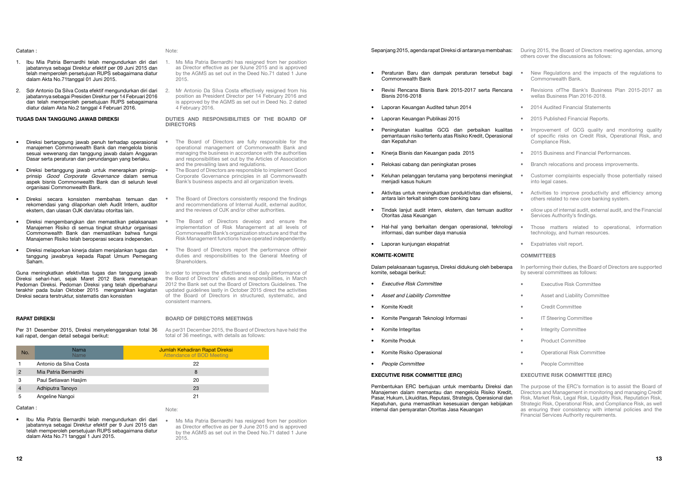#### Sepanjang 2015, agenda rapat Direksi di antaranya membahas:

- Peraturan Baru dan dampak peraturan tersebut bagi Commonwealth Bank
- Revisi Rencana Bisnis Bank 2015-2017 serta Rencana Bisnis 2016-2018
- Laporan Keuangan Audited tahun 2014
- Laporan Keuangan Publikasi 2015
- Peningkatan kualitas GCG dan perbaikan kualitas pemantauan risiko tertentu atas Risiko Kredit, Operasional .<br>dan Kepatuhan
- Kinerja Bisnis dan Keuangan pada 2015
- Relokasi cabang dan peningkatan proses
- Keluhan pelanggan terutama yang berpotensi meningkat menjadi kasus hukum
- Aktivitas untuk meningkatkan produktivitas dan efisiensi, antara lain terkait sistem core banking baru
- Tindak lanjut audit intern, ekstern, dan temuan auditor Otoritas Jasa Keuangan
- Hal-hal yang berkaitan dengan operasional, teknologi informasi, dan sumber daya manusia
- Laporan kunjungan ekspatriat

#### KOMITE-KOMITE

Dalam pelaksanaan tugasnya, Direksi didukung oleh beberapa komite, sebagai berikut:

- Executive Risk Committee
- Asset and Liability Committee
- Komite Kredit
- Komite Pengarah Teknologi Informasi
- Komite Integritas
- Komite Produk
- Komite Risiko Operasional
- People Committee

#### EXECUTIVE RISK COMMITTEE (ERC)

- In performing their duties, the Board of Directors are supported by several committees as follows:
- Executive Risk Committee
- Asset and Liability Committee
- Credit Committee
- **IT Steering Committee**
- Integrity Committee
- Product Committee
- Operational Risk Committee
- People Committee

Pembentukan ERC bertujuan untuk membantu Direksi dan Manajemen dalam memantau dan mengelola Risiko Kredit, Pasar, Hukum, Likuiditas, Reputasi, Strategis, Operasional dan Kepatuhan, guna memastikan kesesuaian dengan kebijakan internal dan persyaratan Otoritas Jasa Keuangan

During 2015, the Board of Directors meeting agendas, among others cover the discussions as follows:

- New Regulations and the impacts of the regulations to Commonwealth Bank.
- Revisions ofThe Bank's Business Plan 2015-2017 as wellas Business Plan 2016-2018.
- 2014 Audited Financial Statements
- 2015 Published Financial Reports.
- Improvement of GCG quality and monitoring quality of specific risks on Credit Risk, Operational Risk, and Compliance Risk.
- 2015 Business and Financial Performances.
- Branch relocations and process improvements.
- Customer complaints especially those potentially raised into legal cases.
- Activities to improve productivity and efficiency among others related to new core banking system.
- ollow ups of internal audit, external audit, and the Financial Services Authority's findings.
- Those matters related to operational, information technology, and human resources.
- Expatriates visit report.

#### COMMITTEES

#### EXECUTIVE RISK COMMITTEE (ERC)

The purpose of the ERC's formation is to assist the Board of Directors and Management in monitoring and managing Credit Risk, Market Risk, Legal Risk, Liquidity Risk, Reputation Risk, Strategic Risk, Operational Risk, and Compliance Risk, as well as ensuring their consistency with internal policies and the Financial Services Authority requirements.

The Board of Directors are fully responsible for the operational management of Commonwealth Bank and managing the business in accordance with the authorities and responsibilities set out by the Articles of Association

The Board of Directors consistently respond the findings and recommendations of Internal Audit, external auditor,

#### Catatan :

The Board of Directors develop and ensure the implementation of Risk Management at all levels of Commonwealth Bank's organization structure and that the Risk Management functions have operated independently.

The Board of Directors report the performance oftheir duties and responsibilities to the General Meeting of

- 1. Ibu Mia Patria Bernardhi telah mengundurkan diri dari jabatannya sebagai Direktur efektif per 09 Juni 2015 dan telah memperoleh persetujuan RUPS sebagaimana diatur dalam Akta No.71tanggal 01 Juni 2015.
- 2. Sdr Antonio Da Silva Costa efektif mengundurkan diri dari jabatannya sebagai Presiden Direktur per 14 Februari 2016 dan telah memperoleh persetujuan RUPS sebagaimana diatur dalam Akta No.2 tanggal 4 Februari 2016.

In order to improve the effectiveness of daily performance of the Board of Directors' duties and responsibilities, in March 2012 the Bank set out the Board of Directors Guidelines. The updated guidelines lastly in October 2015 direct the activities of the Board of Directors in structured, systematic, and

#### Tugas dan Tanggung Jawab Direksi

- Direksi bertanggung jawab penuh terhadap operasional manajemen Commonwealth Bank dan mengelola bisnis sesuai wewenang dan tanggung jawab dalam Anggaran Dasar serta peraturan dan perundangan yang berlaku.
- Direksi bertanggung jawab untuk menerapkan prinsipprinsip *Good Corporate Governance* dalam semua aspek bisnis Commonwealth Bank dan di seluruh level organisasi Commonwealth Bank.
- Direksi secara konsisten membahas temuan dan rekomendasi yang dilaporkan oleh Audit Intern, auditor ekstern, dan ulasan OJK dan/atau otoritas lain.
- Direksi mengembangkan dan memastikan pelaksanaan Manajemen Risiko di semua tingkat struktur organisasi Commonwealth Bank dan memastikan bahwa fungsi Manajemen Risiko telah beroperasi secara independen.
- Direksi melaporkan kinerja dalam menjalankan tugas dan tanggung jawabnya kepada Rapat Umum Pemegang Saham.

Guna meningkatkan efektivitas tugas dan tanggung jawab Direksi sehari-hari, sejak Maret 2012 Bank menetapkan Pedoman Direksi. Pedoman Direksi yang telah diperbaharui terakhir pada bulan Oktober 2015 mengarahkan kegiatan Direksi secara terstruktur, sistematis dan konsisten

#### Rapat Direksi

Per 31 Desember 2015, Direksi menyelenggarakan total 36 kali rapat, dengan detail sebagai berikut:

| No.            | <b>Nama</b><br><b>Name</b> | Jumlah Kehadiran Rapat Direksi<br><b>Attendance of BOD Meeting</b> |
|----------------|----------------------------|--------------------------------------------------------------------|
|                | Antonio da Silva Costa     | 22                                                                 |
| $\overline{2}$ | Mia Patria Bernardhi       | 8                                                                  |
| 3              | Paul Setiawan Hasjim       | 20                                                                 |
| 4              | Adhiputra Tanoyo           | 23                                                                 |
| 5              | Angeline Nangoi            | 21                                                                 |
|                |                            |                                                                    |

Catatan :

#### Note:

1. Ms Mia Patria Bernardhi has resigned from her position as Director effective as per 9June 2015 and is approved by the AGMS as set out in the Deed No.71 dated 1 June

2015.

**DIRECTORS** 

2. Mr Antonio Da Silva Costa effectively resigned from his position as President Director per 14 February 2016 and is approved by the AGMS as set out in Deed No. 2 dated

4 February 2016.

Shareholders

Duties and Responsibilities of The Board of

and the prevailing laws and regulations.

• The Board of Directors are responsible to implement Good Corporate Governance principles in all Commonwealth Bank's business aspects and all organization levels.

- Ibu Mia Patria Bernardhi telah mengundurkan diri dari jabatannya sebagai Direktur efektif per 9 Juni 2015 dan telah memperoleh persetujuan RUPS sebagaimana diatur dalam Akta No.71 tanggal 1 Juni 2015.
- Ms Mia Patria Bernardhi has resigned from her position as Director effective as per 9 June 2015 and is approved by the AGMS as set out in the Deed No.71 dated 1 June 2015.

and the reviews of OJK and/or other authorities.

consistent manners.

Board of Directors Meetings

As per31 December 2015, the Board of Directors have held the total of 36 meetings, with details as follows:

#### Note: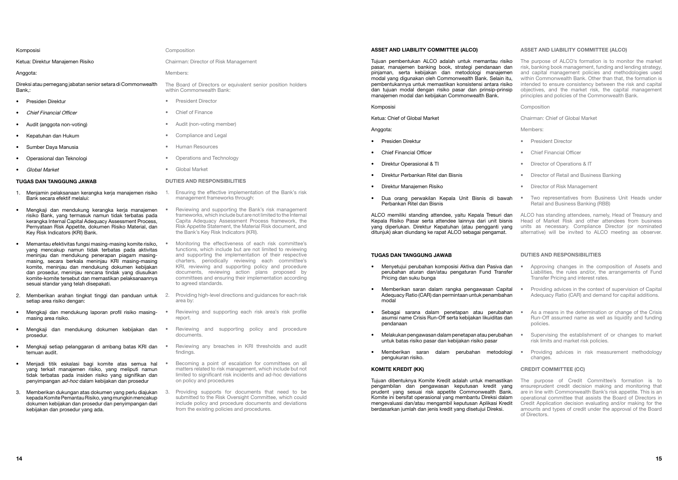#### ASSET AND LIABILITY COMMITTEE (ALCO)

Tujuan pembentukan ALCO adalah untuk memantau risiko pasar, manajemen banking book, strategi pendanaan dan pinjaman, serta kebijakan dan metodologi manajemen modal yang digunakan oleh Commonwealth Bank. Selain itu, pembentukannya untuk memastikan konsistensi antara risiko dan tujuan modal dengan risiko pasar dan prinsip-prinsip manajemen modal dan kebijakan Commonwealth Bank.

#### Komposisi

Ketua: Chief of Global Market

#### Anggota:

- Presiden Direktur
- Chief Financial Officer
- Direktur Operasional & TI
- Direktur Perbankan Ritel dan Bisnis
- Direktur Manajemen Risiko
- Dua orang perwakilan Kepala Unit Bisnis di bawah Perbankan Ritel dan Bisnis

ALCO memiliki standing attendee, yaitu Kepala Tresuri dan Kepala Risiko Pasar serta attendee lainnya dari unit bisnis yang diperlukan. Direktur Kepatuhan (atau pengganti yang ditunjuk) akan diundang ke rapat ALCO sebagai pengamat.

#### Tugas dan Tanggung Jawab

- Menyetujui perubahan komposisi Aktiva dan Pasiva dan perubahan aturan dan/atau pengaturan Fund Transfer Pricing dan suku bunga
- Memberikan saran dalam rangka pengawasan Capital Adequacy Ratio (CAR) dan permintaan untuk penambahan modal
- Sebagai sarana dalam penetapan atau perubahan asumsi name Crisis Run-Off serta kebijakan likuiditas dan pendanaan
- Melakukan pengawasan dalam penetapan atau perubahan untuk batas risiko pasar dan kebijakan risiko pasar
- Memberikan saran dalam perubahan metodologi pengukuran risiko.

#### KOMITE KREDIT (KK)

Tujuan dibentuknya Komite Kredit adalah untuk memastikan pengambilan dan pengawasan keputusan kredit yang prudent yang sesuai risk appetite Commonwealth Bank. Komite ini bersifat operasional yang membantu Direksi dalam mengevaluasi dan/atau mengambil keputusan Aplikasi Kredit berdasarkan jumlah dan jenis kredit yang disetujui Direksi.

#### ASSET AND LIABILITY COMMITTEE (ALCO)

The purpose of ALCO's formation is to monitor the market risk, banking book management, funding and lending strategy, and capital management policies and methodologies used within Commonwealth Bank. Other than that, the formation is intended to ensure consistency between the risk and capital objectives, and the market risk, the capital management principles and policies of the Commonwealth Bank.

Composition

Chairman: Chief of Global Market

Members:

- President Director
- Chief Financial Officer
- Director of Operations & IT
- Director of Retail and Business Banking
- Director of Risk Management
- Two representatives from Business Unit Heads under Retail and Business Banking (RBB)
- ALCO has standing attendees, namely, Head of Treasury and Head of Market Risk and other attendees from business units as necessary. Compliance Director (or nominated alternative) will be invited to ALCO meeting as observer.

#### Duties and Responsibilities

- Approving changes in the composition of Assets and Liabilities, the rules and/or, the arrangements of Fund Transfer Pricing and interest rates.
- Providing advices in the context of supervision of Capital Adequacy Ratio (CAR) and demand for capital additions.
- As a means in the determination or change of the Crisis Run-Off assumed name as well as liquidity and funding policies.
- Supervising the establishment of or changes to market risk limits and market risk policies.
- Providing advices in risk measurement methodology changes.

#### CREDIT COMMITTEE (CC)

The purpose of Credit Committee's formation is to ensureprudent credit decision making and monitoring that are in line with Commonwealth Bank's risk appetite. This is an operational committee that assists the Board of Directors in Credit Application decision evaluating and/or making for the amounts and types of credit under the approval of the Board of Directors.

#### Komposisi

Ketua: Direktur Manajemen Risiko

#### Anggota:

Direksi atau pemegang jabatan senior setara di Commonwealth Bank,:

- Presiden Direktur
- Chief Financial Officer
- Audit (anggota non-voting)
- Kepatuhan dan Hukum
- Sumber Daya Manusia
- Operasional dan Teknologi
- Global Market

#### Tugas dan Tanggung Jawab

- 1. Menjamin pelaksanaan kerangka kerja manajemen risiko Bank secara efektif melalui:
- Mengkaji dan mendukung kerangka kerja manajemen risiko Bank, yang termasuk namun tidak terbatas pada kerangka Internal Capital Adequacy Assessment Process, Pernyataan Risk Appetite, dokumen Risiko Material, dan Key Risk Indicators (KRI) Bank.
- Memantau efektivitas fungsi masing-masing komite risiko, yang mencakup namun tidak terbatas pada aktivitas meninjau dan mendukung penerapan piagam masingmasing, secara berkala meninjau KRI masing-masing komite, meninjau dan mendukung dokumen kebijakan dan prosedur, meninjau rencana tindak yang diusulkan komite-komite tersebut dan memastikan pelaksanaannya sesuai standar yang telah disepakati.
- 2. Memberikan arahan tingkat tinggi dan panduan untuk setiap area risiko dengan:
- Mengkaji dan mendukung laporan profil risiko masingmasing area risiko.
- Mengkaji dan mendukung dokumen kebijakan dan prosedur.
- Mengkaji setiap pelanggaran di ambang batas KRI dan temuan audit.
- Menjadi titik eskalasi bagi komite atas semua hal yang terkait manajemen risiko, yang meliputi namun tidak terbatas pada insiden risiko yang signifikan dan penyimpangan ad-hoc dalam kebijakan dan prosedur
- 3. Memberikan dukungan atas dokumen yang perlu diajukan kepada Komite Pemantau Risiko, yang mungkin mencakup dokumen kebijakan dan prosedur dan penyimpangan dari kebijakan dan prosedur yang ada.

#### Composition

Chairman: Director of Risk Management

Members:

The Board of Directors or equivalent senior position holders within Commonwealth Bank:

- President Director
- Chief of Finance
- Audit (non-voting member)
- Compliance and Legal
- Human Resources
- Operations and Technology
- Global Market

- 1. Ensuring the effective implementation of the Bank's risk management frameworks through:
- Reviewing and supporting the Bank's risk management frameworks, which include but are not limited to the Internal Capita Adequacy Assessment Process framework, the Risk Appetite Statement, the Material Risk document, and the Bank's Key Risk Indicators (KRI).
- Monitoring the effectiveness of each risk committee's functions, which include but are not limited to reviewing and supporting the implementation of their respective charters, periodically reviewing each committee's KRI, reviewing and supporting policy and procedure documents, reviewing action plans proposed by committees and ensuring their implementation according to agreed standards.
- Providing high-level directions and guidances for each risk area by:
- Reviewing and supporting each risk area's risk profile report.
- Reviewing and supporting policy and procedure documents.
- Reviewing any breaches in KRI thresholds and audit findings.
- Becoming a point of escalation for committees on all matters related to risk management, which include but not limited to significant risk incidents and ad-hoc deviations on policy and procedures
- 3. Providing supports for documents that need to be submitted to the Risk Oversight Committee, which could include policy and procedure documents and deviations from the existing policies and procedures.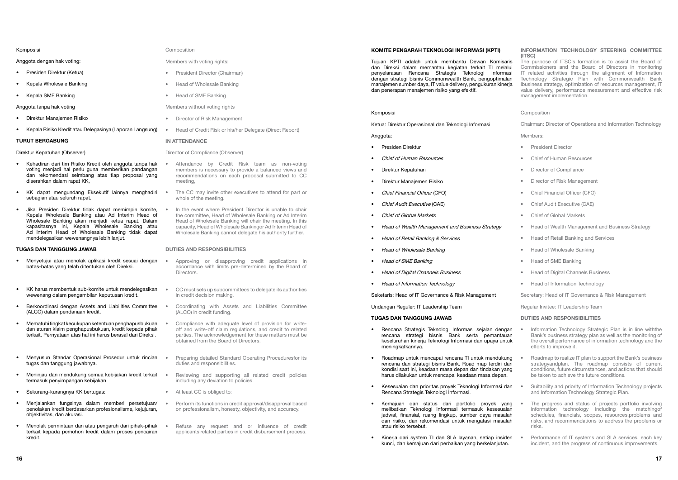#### KOMITE PENGARAH TEKNOLOGI INFORMASI (KPTI)

Tujuan KPTI adalah untuk membantu Dewan Komisaris dan Direksi dalam memantau kegiatan terkait TI melalui penyelarasan Rencana Strategis Teknologi Informasi dengan strategi bisnis Commonwealth Bank, pengoptimalan manajemen sumber daya, IT value delivery, pengukuran kinerja dan penerapan manajemen risiko yang efektif.

- Presiden Direktur
- Chief of Human Resources
- Direktur Kepatuhan
- Direktur Manajemen Risiko
- Chief Financial Officer (CFO)
- Chief Audit Executive (CAE)
- Chief of Global Markets
- Head of Wealth Management and Business Strategy
- Head of Retail Banking & Services
- Head of Wholesale Banking
- Head of SME Banking
- Head of Digital Channels Business
- Head of Information Technology

#### Komposisi

Ketua: Direktur Operasional dan Teknologi Informasi

#### Anggota:

Seketaris: Head of IT Governance & Risk Management

Undangan Reguler: IT Leadership Team

#### Tugas dan Tanggung Jawab

- Rencana Strategis Teknologi Informasi sejalan dengan rencana strategi bisnis Bank serta pemantauan keseluruhan kinerja Teknologi Informasi dan upaya untuk meningkatkannya.
- Roadmap untuk mencapai rencana TI untuk mendukung rencana dan strategi bisnis Bank. Road map terdiri dari kondisi saat ini, keadaan masa depan dan tindakan yang harus dilakukan untuk mencapai keadaan masa depan.
- Kesesuaian dan prioritas proyek Teknologi Informasi dan Rencana Strategis Teknologi Informasi.
- Kemajuan dan status dari portfolio proyek yang melibatkan Teknologi Informasi termasuk kesesuaian jadwal, finansial, ruang lingkup, sumber daya masalah dan risiko, dan rekomendasi untuk mengatasi masalah atau risiko tersebut.
- Kinerja dari system TI dan SLA layanan, setiap insiden kunci, dan kemajuan dari perbaikan yang berkelanjutan.

#### INFORMATION TECHNOLOGY STEERING COMMITTEE (ITSC)

The purpose of ITSC's formation is to assist the Board of Commissioners and the Board of Directors in monitoring IT related activities through the alignment of Information Technology Strategic Plan with Commonwealth Bank Ibusiness strategy, optimization of resources management, IT value delivery, performance measurement and effective risk management implementation.

#### Composition

Chairman: Director of Operations and Information Technology

Members:

- President Director
- Chief of Human Resources
- Director of Compliance
- Director of Risk Management
- Chief Financial Officer (CFO)
- Chief Audit Executive (CAE)
- Chief of Global Markets
- Head of Wealth Management and Business Strategy
- Head of Retail Banking and Services
- Head of Wholesale Banking
- Head of SME Banking
- Head of Digital Channels Business
- Head of Information Technology

Secretary: Head of IT Governance & Risk Management

Regular Invitee: IT Leadership Team

#### Duties and Responsibilities

- Information Technology Strategic Plan is in line withthe Bank's business strategy plan as well as the monitoring of the overall performance of information technology and the efforts to improve it.
- Roadmap to realize IT plan to support the Bank's business strategyandplan. The roadmap consists of current conditions, future circumstances, and actions that should be taken to achieve the future conditions.
- Suitability and priority of Information Technology projects and Information Technology Strategic Plan.
- The progress and status of projects portfolio involving information technology including the matchingof schedules, financials, scopes, resources,problems and risks, and recommendations to address the problems or risks.
- Performance of IT systems and SLA services, each key incident, and the progress of continuous improvements.

Komposisi

Anggota dengan hak voting:

- Presiden Direktur (Ketua)
- Kepala Wholesale Banking
- Kepala SME Banking
- Anggota tanpa hak voting
- Direktur Manajemen Risiko
- Kepala Risiko Kredit atau Delegasinya (Laporan Langsung)

#### Turut bergabung

#### Direktur Kepatuhan (Observer)

- Kehadiran dari tim Risiko Kredit oleh anggota tanpa hak voting menjadi hal perlu guna memberikan pandangan dan rekomendasi seimbang atas tiap proposal yang diserahkan dalam rapat KK,
- KK dapat mengundang Eksekutif lainnya menghadiri sebagian atau seluruh rapat.
- Jika Presiden Direktur tidak dapat memimpin komite, Kepala Wholesale Banking atau Ad Interim Head of Wholesale Banking akan menjadi ketua rapat. Dalam kapasitasnya ini, Kepala Wholesale Banking atau Ad Interim Head of Wholesale Banking tidak dapat mendelegasikan wewenangnya lebih lanjut.

#### Tugas dan Tanggung Jawab

- Menyetujui atau menolak aplikasi kredit sesuai dengan batas-batas yang telah ditentukan oleh Direksi.
- KK harus membentuk sub-komite untuk mendelegasikan wewenang dalam pengambilan keputusan kredit.
- Berkoordinasi dengan Assets and Liabilities Committee (ALCO) dalam pendanaan kredit.
- Mematuhi tingkat kecukupan ketentuan penghapusbukuan dan aturan klaim penghapusbukuan, kredit kepada pihak terkait. Pernyataan atas hal ini harus berasal dari Direksi.
- Menyusun Standar Operasional Prosedur untuk rincian tugas dan tanggung jawabnya.
- Meninjau dan mendukung semua kebijakan kredit terkait termasuk penyimpangan kebijakan
- Sekurang-kurangnya KK bertugas:
- Menjalankan fungsinya dalam memberi persetujuan/ penolakan kredit berdasarkan profesionalisme, kejujuran, objektivitas, dan akurasi.
- Menolak permintaan dan atau pengaruh dari pihak-pihak terkait kepada pemohon kredit dalam proses pencairan kredit.

#### Composition

#### Members with voting rights:

- President Director (Chairman)
- Head of Wholesale Banking
- Head of SME Banking

#### Members without voting rights

- Director of Risk Management
- Head of Credit Risk or his/her Delegate (Direct Report)

#### **IN ATTENDANCE**

#### Director of Compliance (Observer)

- Attendance by Credit Risk team as non-voting members is necessary to provide a balanced views and recommendations on each proposal submitted to CC meeting,
- The CC may invite other executives to attend for part or whole of the meeting.
- In the event where President Director is unable to chair the committee, Head of Wholesale Banking or Ad Interim Head of Wholesale Banking will chair the meeting. In this capacity, Head of Wholesale Bankingor Ad Interim Head of Wholesale Banking cannot delegate his authority further.

- Approving or disapproving credit applications in accordance with limits pre-determined by the Board of Directors.
- CC must sets up subcommittees to delegate its authorities in credit decision making.
- Coordinating with Assets and Liabilities Committee (ALCO) in credit funding.
- Compliance with adequate level of provision for writeoff and write-off claim regulations, and credit to related parties. The acknowledgement for these matters must be obtained from the Board of Directors.
- Preparing detailed Standard Operating Proceduresfor its duties and responsibilities.
- Reviewing and supporting all related credit policies including any deviation to policies.
- At least CC is obliged to:
- Perform its functions in credit approval/disapproval based on professionalism, honesty, objectivity, and accuracy.
- Refuse any request and or influence of credit applicants'related parties in credit disbursement process.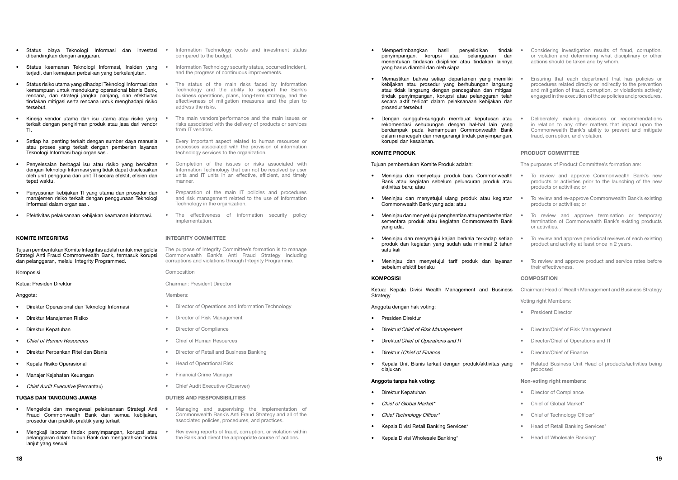- Mempertimbangkan hasil penyelidikan tindak penyimpangan, korupsi atau pelanggaran dan menentukan tindakan disipliner atau tindakan lainnya yang harus diambil dan oleh siapa
- Memastikan bahwa setiap departemen yang memiliki kebijakan atau prosedur yang berhubungan langsung atau tidak langsung dengan pencegahan dan mitigasi tindak penyimpangan, korupsi atau pelanggaran telah secara aktif terlibat dalam pelaksanaan kebijakan dan prosedur tersebut
- Dengan sungguh-sungguh membuat keputusan atau rekomendasi sehubungan dengan hal-hal lain yang berdampak pada kemampuan Commonwealth Bank dalam mencegah dan mengurangi tindak penyimpangan, korupsi dan kesalahan.

#### KOMITE PRODUK

Tujuan pembentukan Komite Produk adalah:

- Meninjau dan menyetujui produk baru Commonwealth Bank atau kegiatan sebelum peluncuran produk atau aktivitas baru; atau
- Meninjau dan menyetujui ulang produk atau kegiatan Commonwealth Bank yang ada; atau
- Meninjau dan menyetujui penghentian atau pemberhentian sementara produk atau kegiatan Commonwealth Bank yang ada.
- Meninjau dan menyetujui kajian berkala terkadap setiap produk dan kegiatan yang sudah ada minimal 2 tahun satu kali
- Meninjau dan menyetujui tarif produk dan layanan sebelum efektif berlaku

#### **KOMPOSISI**

Ketua: Kepala Divisi Wealth Management and Business Strategy

Anggota dengan hak voting:

- To review and approve Commonwealth Bank's new products or activities prior to the launching of the new products or activities; or
- To review and re-approve Commonwealth Bank's existing products or activities; or
- To review and approve termination or temporary termination of Commonwealth Bank's existing products or activities.
- To review and approve periodical reviews of each existing product and activity at least once in 2 years.
- To review and approve product and service rates before their effectiveness.

#### **COMPOSITION**

- Presiden Direktur
- Direktur/Chief of Risk Management
- Direktur/Chief of Operations and IT
- Direktur / Chief of Finance
- Kepala Unit Bisnis terkait dengan produk/aktivitas yang diajukan

#### Anggota tanpa hak voting:

- Direktur Kepatuhan
- Chief of Global Market\*
- Chief Technology Officer\*
- Kepala Divisi Retail Banking Services\*
- Kepala Divisi Wholesale Banking\*
- Considering investigation results of fraud, corruption, or violation and determining what disciplinary or other actions should be taken and by whom.
- Ensuring that each department that has policies or procedures related directly or indirectly to the prevention and mitigation of fraud, corruption, or violationis actively engaged in the execution of those policies and procedures.
- Deliberately making decisions or recommendations in relation to any other matters that impact upon the Commonwealth Bank's ability to prevent and mitigate fraud, corruption, and violation.

- Direktur Operasional dan Teknologi Informasi
- Direktur Manajemen Risiko
- Direktur Kepatuhan
- Chief of Human Resources
- Direktur Perbankan Ritel dan Bisnis
- Kepala Risiko Operasional
- Manajer Kejahatan Keuangan
- Chief Audit Executive (Pemantau)

### PRODUCT COMMITTEE

The purposes of Product Committee's formation are:

- Chairman: Head of Wealth Management and Business Strategy
- Voting right Members:
- President Director
- Director/Chief of Risk Management
- Director/Chief of Operations and IT
- Director/Chief of Finance
- Related Business Unit Head of products/activities being proposed

#### Non-voting right members:

- Director of Compliance
- Chief of Global Market\*
- Chief of Technology Officer\*
- Head of Retail Banking Services\*
- Head of Wholesale Banking\*
- Managing and supervising the implementation of Commonwealth Bank's Anti Fraud Strategy and all of the associated policies, procedures, and practices.
- Reviewing reports of fraud, corruption, or violation within the Bank and direct the appropriate course of actions.
- Status biaya Teknologi Informasi dan investasi dibandingkan dengan anggaran.
- Status keamanan Teknologi Informasi, Insiden yang terjadi, dan kemajuan perbaikan yang berkelanjutan.
- Status risiko utama yang dihadapi Teknologi Informasi dan kemampuan untuk mendukung operasional bisnis Bank, rencana, dan strategi jangka panjang, dan efektivitas tindakan mitigasi serta rencana untuk menghadapi risiko tersebut.
- Kinerja vendor utama dan isu utama atau risiko yang terkait dengan pengiriman produk atau jasa dari vendor TI.
- Setiap hal penting terkait dengan sumber daya manusia atau proses yang terkait dengan pemberian layanan Teknologi Informasi bagi organisasi.
- Penyelesaian berbagai isu atau risiko yang berkaitan dengan Teknologi Informasi yang tidak dapat diselesaikan oleh unit pengguna dan unit TI secara efektif, efisien dan tepat waktu.
- Penyusunan kebijakan TI yang utama dan prosedur dan manajemen risiko terkait dengan penggunaan Teknologi Informasi dalam organisasi.
- Efektivitas pelaksanaan kebijakan keamanan informasi.

#### KOMITE INTEGRITAS

Tujuan pembentukan Komite Integritas adalah untuk mengelola Strategi Anti Fraud Commonwealth Bank, termasuk korupsi dan pelanggaran, melalui Integrity Programmed.

#### Komposisi

Ketua: Presiden Direktur

#### Anggota:

#### Tugas dan Tanggung Jawab

- Mengelola dan mengawasi pelaksanaan Strategi Anti Fraud Commonwealth Bank dan semua kebijakan, prosedur dan praktik-praktik yang terkait
- Mengkaji laporan tindak penyimpangan, korupsi atau pelanggaran dalam tubuh Bank dan mengarahkan tindak lanjut yang sesuai
- Information Technology costs and investment status compared to the budget.
- Information Technology security status, occurred incident, and the progress of continuous improvements.
- The status of the main risks faced by Information Technology and the ability to support the Bank's business operations, plans, long-term strategy, and the effectiveness of mitigation measures and the plan to address the risks.
- The main vendors'performance and the main issues or risks associated with the delivery of products or services from IT vendors.
- Every important aspect related to human resources or processes associated with the provision of information technology services to the organization.
- Completion of the issues or risks associated with Information Technology that can not be resolved by user units and IT units in an effective, efficient, and timely manner.
- Preparation of the main IT policies and procedures and risk management related to the use of Information Technology in the organization.
- The effectiveness of information security policy implementation.

#### INTEGRITY COMMITTEE

The purpose of Integrity Committee's formation is to manage Commonwealth Bank's Anti Fraud Strategy including corruptions and violations through Integrity Programme.

Composition

Chairman: President Director

Members:

- Director of Operations and Information Technology
- Director of Risk Management
- **Director of Compliance**
- Chief of Human Resources
- Director of Retail and Business Banking
- Head of Operational Risk
- Financial Crime Manager
- Chief Audit Executive (Observer)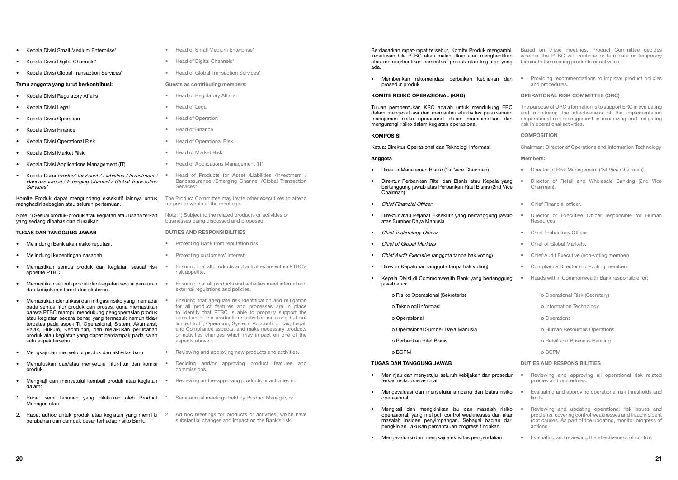Berdasarkan rapat-rapat tersebut, Komite Produk mengambil keputusan bila PTBC akan melanjutkan atau menghentikan atau memberhentikan sementara produk atau kegiatan yang ada.

• Memberikan rekomendasi perbaikan kebijakan dan prosedur produk.

#### KOMITE RISIKO OPERASIONAL (KRO)

Tujuan pembentukan KRO adalah untuk mendukung ERC dalam mengevaluasi dan memantau efektivitas pelaksanaan manajemen risiko operasional dalam meminimalkan dan mengurangi risiko dalam kegiatan operasional.

#### **KOMPOSISI**

Ketua: Direktur Operasional dan Teknologi Informasi

#### Anggota

- Direktur Manajemen Risiko (1st Vice Chairman)
- Direktur Perbankan Ritel dan Bisnis atau Kepala yang bertanggung jawab atas Perbankan Ritel Bisnis (2nd Vice Chairman)
- Chief Financial Officer
- Direktur atau Pejabat Eksekutif yang bertanggung jawab atas Sumber Daya Manusia
- Chief Technology Officer
- Chief of Global Markets
- Chief Audit Executive (anggota tanpa hak voting)
- Direktur Kepatuhan (anggota tanpa hak voting)
- Kepala Divisi di Commonwealth Bank yang bertanggung jawab atas:
	- o Risiko Operasional (Sekretaris)
	- o Teknologi Informasi
	- o Operasional
	- o Operasional Sumber Daya Manusia
	- o Perbankan Ritel Bisnis
	- o BCPM

#### Tugas dan Tanggung Jawab

- Meninjau dan menyetujui seluruh kebijakan dan prosedur terkait risiko operasional Reviewing and approving all operational risk related policies and procedures.
- Mengevaluasi dan menyetujui ambang dan batas risiko operasional
- Mengkaji dan mengkinikan isu dan masalah risiko operasional, yang meliputi control weaknesses dan akar masalah insiden penyimpangan. Sebagai bagian dari pengkinian, lakukan pemantauan progress tindakan.
- Mengevaluasi dan mengkaji efektivitas pengendalian

Based on these meetings, Product Committee decides whether the PTBC will continue or terminate or temporary terminate the existing products or activities.

• Providing recommendations to improve product policies and procedures.

#### OPERATIONAL RISK COMMITTEE (ORC)

The purpose of ORC's formation is to support ERC in evaluating and monitoring the effectiveness of the implementation ofoperational risk management in minimizing and mitigating risk in operational activities.

#### **COMPOSITION**

Chairman: Director of Operations and Information Technology

#### Members:

- Director of Risk Management (1st Vice Chairman).
- Director of Retail and Wholesale Banking (2nd Vice Chairman).
- Chief Financial officer.
- Director or Executive Officer responsible for Human **Resources**
- Chief Technology Officer.
- Chief of Global Markets.
- Chief Audit Executive (non-voting member)
- Compliance Director (non-voting member).
- Heads within Commonwealth Bank responsible for:
	- o Operational Risk (Secretary)
	- o Information Technology
	- o Operations
	- o Human Resources Operations
	- o Retail and Business Banking
	- o BCPM
- Head of Small Medium Enterprise\*
- Head of Digital Channels\*
- Head of Global Transaction Services\*

#### Duties and Responsibilities

- Evaluating and approving operational risk thresholds and limits.
- Reviewing and updating operational risk issues and problems, covering control weaknesses and fraud incident root causes. As part of the updating, monitor progress of actions.
- Evaluating and reviewing the effectiveness of control.
- Kepala Divisi Small Medium Enterprise\*
- Kepala Divisi Digital Channels\*
- Kepala Divisi Global Transaction Services\*

#### Tamu anggota yang turut berkontribusi:

- Kepala Divisi Regulatory Affairs
- Kepala Divisi Legal
- Kepala Divisi Operation
- Kepala Divisi Finance
- Kepala Divisi Operational Risk
- Kepala Divisi Market Risk
- Kepala Divisi Applications Management (IT)
- Kepala Divisi Product for Asset / Liabilities / Investment / Bancassurance / Emerging Channel / Global Transaction Services\*

Komite Produk dapat mengundang eksekutif lainnya untuk menghadiri sebagian atau seluruh pertemuan.

Note: \*) Sesuai produk-produk atau kegiatan atau usaha terkait yang sedang dibahas dan diusulkan

#### Tugas dan Tanggung Jawab

- Melindungi Bank akan risiko reputasi.
- Melindungi kepentingan nasabah.
- Memastikan semua produk dan kegiatan sesuai risk appetite PTBC.
- Memastikan seluruh produk dan kegiatan sesuai peraturan dan kebijakan internal dan eksternal.
- Memastikan identifikasi dan mitigasi risiko yang memadai pada semua fitur produk dan proses, guna memastikan bahwa PTBC mampu mendukung pengoperasian produk atau kegiatan secara benar, yang termasuk namun tidak terbatas pada aspek TI, Operasional, Sistem, Akuntansi, Pajak, Hukum, Kepatuhan, dan melakukan perubahan produk atau kegiatan yang dapat berdampak pada salah satu aspek tersebut.
- Mengkaji dan menyetujui produk dan aktivitas baru
- Memutuskan dan/atau menyetujui fitur-fitur dan komisi produk.
- Mengkaji dan menyetujui kembali produk atau kegiatan dalam:
- 1. Rapat semi tahunan yang dilakukan oleh Product Manager, atau
- 2. Rapat adhoc untuk produk atau kegiatan yang memiliki perubahan dan dampak besar terhadap risiko Bank.

## Guests as contributing members:

- Head of Regulatory Affairs
- Head of Legal
- Head of Operation
- Head of Finance
- Head of Operational Risk
- Head of Market Risk
- Head of Applications Management (IT)
- Head of Products for Asset /Liabilities /Investment / Bancassurance /Emerging Channel /Global Transaction Services\*
- The Product Committee may invite other executives to attend for part or whole of the meetings.

Note: \*) Subject to the related products or activities or businesses being discussed and proposed.

- Protecting Bank from reputation risk.
- Protecting customers' interest.
- Ensuring that all products and activities are within PTBC's risk appetite.
- Ensuring that all products and activities meet internal and external regulations and policies.
	- Ensuring that adequate risk identification and mitigation for all product features and processes are in place to identify that PTBC is able to properly support the operation of the products or activities including but not limited to IT, Operation, System, Accounting, Tax, Legal, and Compliance aspects, and make necessary products or activities changes which may impact on one of the aspects above.
- Reviewing and approving new products and activities.
- Deciding and/or approving product features and commissions.
- Reviewing and re-approving products or activities in:
- 1. Semi-annual meetings held by Product Manager, or
- 2. Ad hoc meetings for products or activities, which have substantial changes and impact on the Bank's risk.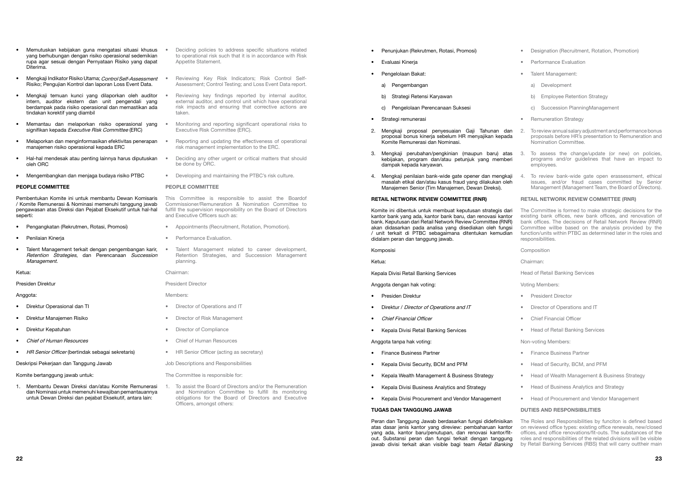- Penunjukan (Rekrutmen, Rotasi, Promosi)
- Evaluasi Kinerja
- Pengelolaan Bakat:
	- a) Pengembangan
	- b) Strategi Retensi Karyawan
	- c) Pengelolaan Perencanaan Suksesi
- Strategi remunerasi
- 2. Mengkaji proposal penyesuaian Gaji Tahunan dan proposal bonus kinerja sebelum HR menyajikan kepada Komite Remunerasi dan Nominasi.
- 3. Mengkaji perubahan/pengkinian (maupun baru) atas kebijakan, program dan/atau petunjuk yang memberi dampak kepada karyawan.
- 4. Mengkaji penilaian bank-wide gate opener dan mengkaji masalah etikal dan/atau kasus fraud yang dilakukan oleh Manajemen Senior (Tim Manajemen, Dewan Direksi).

#### RETAIL NETWORK REVIEW COMMITTEE (RNR)

Peran dan Tanggung Jawab berdasarkan fungsi didefinisikan atas dasar jenis kantor yang direview: pembaharuan kantor yang ada, kantor baru/penutupan, dan renovasi kantor/fitout. Substansi peran dan fungsi terkait dengan tanggung jawab divisi terkait akan visible bagi team Retail Banking

Komite ini dibentuk untuk membuat keputusan strategis dari kantor bank yang ada, kantor bank baru, dan renovasi kantor bank. Keputusan dari Retail Network Review Committee (RNR) akan didasarkan pada analisa yang disediakan oleh fungsi / unit terkait di PTBC sebagaimana ditentukan kemudian didalam peran dan tanggung jawab.

Komposisi

Ketua:

Kepala Divisi Retail Banking Services

Anggota dengan hak voting:

- Presiden Direktur
- Direktur / Director of Operations and IT
- Chief Financial Officer
- Kepala Divisi Retail Banking Services

Anggota tanpa hak voting:

- Finance Business Partner
- Kepala Divisi Security, BCM and PFM
- Kepala Wealth Management & Business Strategy
- Kepala Divisi Business Analytics and Strategy
- Kepala Divisi Procurement and Vendor Management

#### Tugas dan Tanggung Jawab

- Designation (Recruitment, Rotation, Promotion)
- Performance Evaluation
- Talent Management:
	- a) Development
	- b) Employee Retention Strategy
	- c) Succession PlanningManagement
- Remuneration Strategy
- 2. To review annual salary adjustment and performance bonus proposals before HR's presentation to Remuneration and Nomination Committee.
- 3. To assess the change/update (or new) on policies, programs and/or guidelines that have an impact to employees.
- 4. To review bank-wide gate open erassessment, ethical issues, and/or fraud cases committed by Senior Management (Management Team, the Board of Directors).

### RETAIL NETWORK REVIEW COMMITTEE (RNR)

The Committee is formed to make strategic decisions for the existing bank offices, new bank offices, and renovation of bank offices. The decisions of Retail Network Review (RNR) Committee willbe based on the analysis provided by the function/units within PTBC as determined later in the roles and responsibilities.

Composition

Chairman:

Head of Retail Banking Services

Voting Members:

- President Director
- Director of Operations and IT
- Chief Financial Officer
- Head of Retail Banking Services

Non-voting Members:

- Finance Business Partner
- Head of Security, BCM, and PFM
- Head of Wealth Management & Business Strategy
- Head of Business Analytics and Strategy
- Head of Procurement and Vendor Management

### Duties and Responsibilities

The Roles and Responsibilities by funciton is defined based on reviewed office types: existing office renewals, new/closed offices, and office renovations/fit-outs. The substances of the roles and responsibilities of the related divisions will be visible by Retail Banking Services (RBS) that will carry outtheir main

- Memutuskan kebijakan guna mengatasi situasi khusus yang berhubungan dengan risiko operasional sedemikian rupa agar sesuai dengan Pernyataan Risiko yang dapat Diterima.
- Mengkaji Indikator Risiko Utama; Control Self-Assessment Risiko; Pengujian Kontrol dan laporan Loss Event Data.
- Mengkaji temuan kunci yang dilaporkan oleh auditor intern, auditor ekstern dan unit pengendali yang berdampak pada risiko operasional dan memastikan ada tindakan korektif yang diambil
- Memantau dan melaporkan risiko operasional yang signifikan kepada Executive Risk Committee (ERC)
- Melaporkan dan menginformasikan efektivitas penerapan manajemen risiko operasional kepada ERC
- Hal-hal mendesak atau penting lainnya harus diputuskan oleh ORC
- Mengembangkan dan menjaga budaya risiko PTBC

## PEOPLE COMMITTEE

Pembentukan Komite ini untuk membantu Dewan Komisaris / Komite Remunerasi & Nominasi memenuhi tanggung jawab pengawasan atas Direksi dan Pejabat Eksekutif untuk hal-hal seperti:

- Pengangkatan (Rekrutmen, Rotasi, Promosi)
- Penilaian Kinerja
- Talent Management terkait dengan pengembangan karir, Retention Strategies, dan Perencanaan Succession Management.

#### Ketua:

Presiden Direktur

#### Anggota:

- Direktur Operasional dan TI
- Direktur Manajemen Risiko
- Direktur Kepatuhan
- Chief of Human Resources
- **HR Senior Officer (bertindak sebagai sekretaris)**
- Deskripsi Pekerjaan dan Tanggung Jawab

#### Komite bertanggung jawab untuk:

1. Membantu Dewan Direksi dan/atau Komite Remunerasi dan Nominasi untuk memenuhi kewajiban pemantauannya untuk Dewan Direksi dan pejabat Eksekutif, antara lain:

- Deciding policies to address specific situations related to operational risk such that it is in accordance with Risk Appetite Statement
- Reviewing Key Risk Indicators; Risk Control Self-Assessment; Control Testing; and Loss Event Data report.
- Reviewing key findings reported by internal auditor, external auditor, and control unit which have operational risk impacts and ensuring that corrective actions are taken.
- Monitoring and reporting significant operational risks to Executive Risk Committee (ERC).
- Reporting and updating the effectiveness of operational risk management implementation to the ERC.
- Deciding any other urgent or critical matters that should be done by ORC.
- Developing and maintaining the PTBC's risk culture.

#### PEOPLE COMMITTEE

This Committee is responsible to assist the Boardof Commissioner/Remuneration & Nomination Committee to fulfill the supervision responsibility on the Board of Directors and Executive Officers such as:

- Appointments (Recruitment, Rotation, Promotion).
- Performance Evaluation.
- Talent Management related to career development, Retention Strategies, and Succession Management planning.

#### Chairman:

President Director

#### Members:

• Director of Compliance • Chief of Human Resources

- Director of Operations and IT
- Director of Risk Management
- HR Senior Officer (acting as secretary)
- Job Descriptions and Responsibilities

The Committee is responsible for:

1. To assist the Board of Directors and/or the Remuneration and Nomination Committee to fulfill its monitoring obligations for the Board of Directors and Executive Officers, amongst others: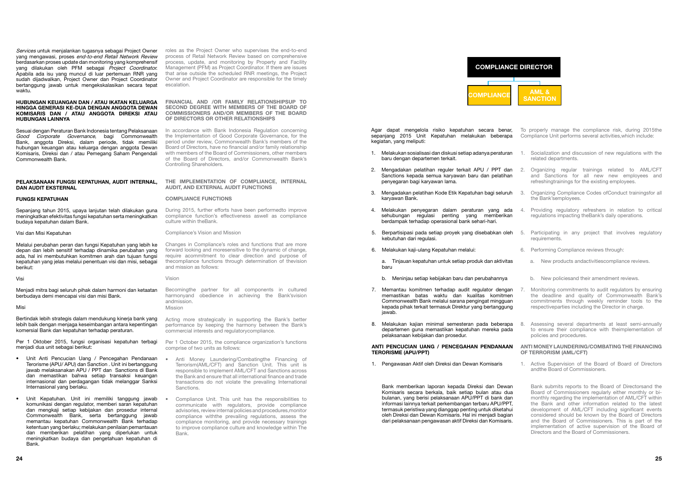Agar dapat mengelola risiko kepatuhan secara benar, sepanjang 2015 Unit Kepatuhan melakukan beberapa kegiatan, yang meliputi:

- To properly manage the compliance risk, during 2015the Compliance Unit performs several activities,which include:
- 1. Melakukan sosialisasi dan diskusi setiap adanya peraturan 1. Socialization and discussion of new regulations with the related departments.
	- 2. Organizing regular trainings related to AML/CFT and Sanctions for all new new employees and refreshingtrainings for the existing employees.
	- 3. Organizing Compliance Codes ofConduct trainingsfor all the Bank'semployees.
	- 6. Performing Compliance reviews through:
		- a. New products andactivitiescompliance reviews.
		- b. New policiesand their amendment reviews.
- baru dengan departemen terkait.
- 2. Mengadakan pelatihan reguler terkait APU / PPT dan 2. Sanctions kepada semua karyawan baru dan pelatihan penyegaran bagi karyawan lama.
- 3. Mengadakan pelatihan Kode Etik Kepatuhan bagi seluruh karyawan Bank.
- 4. Melakukan penyegaran dalam peraturan yang ada sehubungan regulasi penting yang memberikan berdampak terhadap operasional bank sehari-hari. 4. Providing regulatory refreshers in relation to critical regulations impacting theBank's daily operations.
- 5. Participating in any project that involves regulatory requirements. 5. Berpartisipasi pada setiap proyek yang disebabkan oleh kebutuhan dari regulasi.
- 6. Melakukan kaji-ulang Kepatuhan melalui:

- Monitoring commitments to audit regulators by ensuring the deadline and quality of Commonwealth Bank's commitments through weekly reminder tools to the respectiveparties including the Director in charge. 7. Memantau komitmen terhadap audit regulator dengan memastikan batas waktu dan kualitas komitmen Commonwealth Bank melalui sarana pengingat mingguan kepada pihak terkait termasuk Direktur yang bertanggung jawab.
- 8. Assessing several departments at least semi-annually to ensure their compliance with theimplementation of policies and procedures. 8. Melakukan kajian minimal semesteran pada beberapa departemen guna memastikan kepatuhan mereka pada pelaksanaan kebijakan dan prosedur.

- 1. Active Supervision of the Board of Board of Directors andthe Board of Commissioners.
- Bank submits reports to the Board of Directorsand the Board of Commissioners regularly either monthly or bimonthly regarding the implementation of AML/CFT within the Bank and other information related to the latest development of AML/CFT including significant events considered should be known by the Board of Directors and the Board of Commissioners. This is part of the implementation of active supervision of the Board of Directors and the Board of Commissioners.





#### ANTI MONEY LAUNDERING/COMBATING THE FINANCING OF TERRORISM (AML/CFT) ANTI PENCUCIAN UANG / PENCEGAHAN PENDANAAN TERORISME (APU/PPT)

a. Tinjauan kepatuhan untuk setiap produk dan aktivitas baru

b. Meninjau setiap kebijakan baru dan perubahannya

1. Pengawasan Aktif oleh Direksi dan Dewan Komisaris

Bank memberikan laporan kepada Direksi dan Dewan Komisaris secara berkala, baik setiap bulan atau dua bulanan, yang berisi pelaksanaan APU/PPT di bank dan informasi lainnya terkait perkembangan terbaru APU/PPT, termasuk peristiwa yang dianggap penting untuk diketahui oleh Direksi dan Dewan Komisaris. Hal ini menjadi bagian dari pelaksanaan pengawasan aktif Direksi dan Komisaris.

Services untuk menjalankan tugasnya sebagai Project Owner yang mengawasi, proses end-to-end Retail Network Review berdasarkan proses update dan monitoring yang komprehensif yang dilakukan oleh PFM sebagai Project Coordinator. Apabila ada isu yang muncul di luar pertemuan RNR yang sudah dijadwalkan, Project Owner dan Project Coordinator bertanggung jawab untuk mengekskalasikan secara tepat waktu.

#### HUBUNGAN KEUANGAN DAN / ATAU IKATAN KELUARGA HINGGA GENERASI KE-DUA DENGAN ANGGOTA DEWAN KOMISARIS DAN / ATAU ANGGOTA DIREKSI ATAU HUBUNGAN LAINNYA

Sesuai dengan Peraturan Bank Indonesia tentang Pelaksanaan Good Corporate Governance, bagi Commonwealth Bank, anggota Direksi, dalam periode, tidak memiliki hubungan keuangan atau keluarga dengan anggota Dewan Komisaris, Direksi dan / atau Pemegang Saham Pengendali Commonwealth Bank.

#### PELAKSANAAN FUNGSI KEPATUHAN, AUDIT INTERNAL, DAN AUDIT EKSTERNAL

#### FUNGSI KEPATUHAN

Sepanjang tahun 2015, upaya lanjutan telah dilakukan guna meningkatkan efektivitas fungsi kepatuhan serta meningkatkan budaya kepatuhan dalam Bank.

#### Visi dan Misi Kepatuhan

Melalui perubahan peran dan fungsi Kepatuhan yang lebih ke depan dan lebih sensitif terhadap dinamika perubahan yang ada, hal ini membutuhkan komitmen arah dan tujuan fungsi kepatuhan yang jelas melalui penentuan visi dan misi, sebagai berikut:

#### Visi

Menjadi mitra bagi seluruh pihak dalam harmoni dan ketaatan berbudaya demi mencapai visi dan misi Bank.

#### Misi

Bertindak lebih strategis dalam mendukung kinerja bank yang lebih baik dengan menjaga keseimbangan antara kepentingan komersial Bank dan kepatuhan terhadap peraturan.

Per 1 Oktober 2015, fungsi organisasi kepatuhan terbagi menjadi dua unit sebagai berikut:

- Unit Anti Pencucian Uang / Pencegahan Pendanaan Terorisme (APU/ APU) dan Sanction . Unit ini bertanggung jawab melaksanakan APU / PPT dan Sanctions di Bank dan memastikan bahwa setiap transaksi keuangan internasional dan perdagangan tidak melanggar Sanksi Internasional yang berlaku.
- Unit Kepatuhan. Unit ini memiliki tanggung jawab komunikasi dengan regulator, memberi saran kepatuhan dan mengkaji setiap kebijakan dan prosedur internal Commonwealth Bank, serta bertanggung jawab memantau kepatuhan Commonwealth Bank terhadap ketentuan yang berlaku; melakukan penilaian pemantauan dan memberikan pelatihan yang diperlukan untuk meningkatkan budaya dan pengetahuan kepatuhan di Bank.

roles as the Project Owner who supervises the end-to-end process of Retail Network Review based on comprehensive process, update, and monitoring by Property and Facility Management (PFM) as Project Coordinator. If there are issues that arise outside the scheduled RNR meetings, the Project Owner and Project Coordinator are responsible for the timely escalation.

#### FINANCIAL AND /OR FAMILY RELATIONSHIPSUP TO SECOND DEGREE WITH MEMBERS OF THE BOARD OF COMMISSIONERS AND/OR MEMBERS OF THE BOARD OF DIRECTORS OR OTHER RELATIONSHIPS

In accordance with Bank Indonesia Regulation concerning the Implementation of Good Corporate Governance, for the period under review, Commonwealth Bank's members of the Board of Directors, have no financial and/or family relationship with members of the Board of Commissioners, other members of the Board of Directors, and/or Commonwealth Bank's Controlling Shareholders.

#### THE IMPLEMENTATION OF COMPLIANCE, INTERNAL AUDIT, AND EXTERNAL AUDIT FUNCTIONS

#### COMPLIANCE FUNCTIONS

During 2015, further efforts have been performedto improve compliance function's effectiveness aswell as compliance culture within theBank.

Compliance's Vision and Mission

Changes in Compliance's roles and functions that are more forward looking and moresensitive to the dynamic of change, require acommitment to clear direction and purpose of thecompliance functions through determination of thevision and mission as follows:

#### Vision

Becomingthe partner for all components in cultured harmonyand obedience in achieving the Bank'svision andmission.

Mission

Acting more strategically in supporting the Bank's better performance by keeping the harmony between the Bank's commercial interests and regulatorycompliance.

Per 1 October 2015, the compliance organization's functions comprise of two units as follows:

- Anti Money Laundering/Combatingthe Financing of Terrorism(AML/CFT) and Sanction Unit. This unit is responsible to implement AML/CFT and Sanctions across the Bank and ensure that all international finance and trade transactions do not violate the prevailing International **Sanctions**
- Compliance Unit. This unit has the responsibilities to communicate with regulators, provide compliance advisories, review internal policies and procedures,monitor compliance withthe prevailing regulations, assess the compliance monitoring, and provide necessary trainings to improve compliance culture and knowledge within The Bank.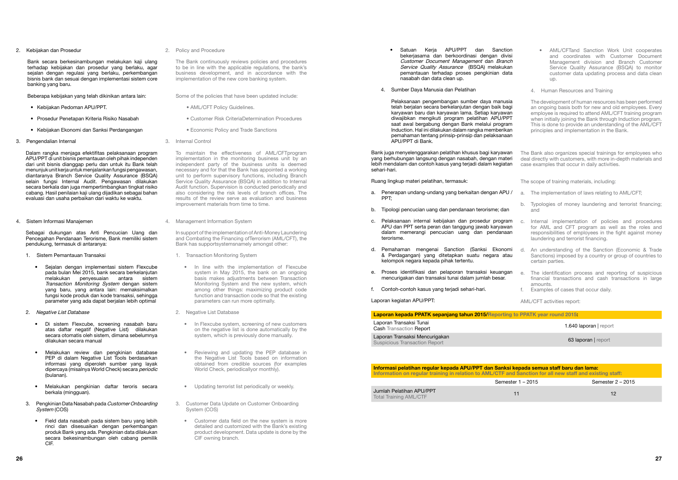- Satuan Keria APU/PPT dan Sanction bekerjasama dan berkoordinasi dengan divisi Customer Document Management dan Branch Service Quality Assurance (BSQA) melakukan pemantauan terhadap proses pengkinian data nasabah dan data clean up.
- 4. Sumber Daya Manusia dan Pelatihan

Pelaksanaan pengembangan sumber daya manusia telah berjalan secara berkelanjutan dengan baik bagi karyawan baru dan karyawan lama. Setiap karyawan diwajibkan mengikuti program pelatihan APU/PPT saat awal bergabung dengan Bank melalui program Induction. Hal ini dilakukan dalam rangka memberikan pemahaman tentang prinsip-prinsip dan pelaksanaan APU/PPT di Bank.

Bank juga menyelenggarakan pelatihan khusus bagi karyawan yang berhubungan langsung dengan nasabah, dengan materi lebih mendalam dan contoh kasus yang terjadi dalam kegiatan sehari-hari.

Laporan Transaksi Mencurigakan **Laporan Iransaksi Mencurigakan**<br>Suspicious Transaction Report 63 laporan | report 63 laporan | report 63 laporan | report 63 laporan | report

Informasi pelatihan regular kepada APU/PPT dan Sanksi kepada semua staff baru dan lama: Information on regular training in relation to AML/CTF and Sanction for all new staff and existing staff: Semester 1 – 2015 Semester 2 – 2015 Jumlah Pelatihan APU/PPT Umilah Pelatinan APU/PPT<br>Total Training AML/CTF 12 12

Ruang lingkup materi pelatihan, termasuk:

- a. Penerapan undang-undang yang berkaitan dengan APU / PPT;
- b. Tipologi pencucian uang dan pendanaan terorisme; dan
- c. Pelaksanaan internal kebijakan dan prosedur program APU dan PPT serta peran dan tanggung jawab karyawan dalam memerangi pencucian uang dan pendanaan terorisme.
- d. Pemahaman mengenai Sanction (Sanksi Ekonomi & Perdagangan) yang ditetapkan suatu negara atau kelompok negara kepada pihak tertentu.
- e. Proses identifikasi dan pelaporan transaksi keuangan mencurigakan dan transaksi tunai dalam jumlah besar.
- f. Contoh-contoh kasus yang terjadi sehari-hari.

Laporan kegiatan APU/PPT:

Laporan kepada PPATK sepanjang tahun 2015/Reporting to PPATK year round 2015:

Laporan Transaksi Tunai Cash Transaction Report 1.640 laporan | report

- AML/CFTand Sanction Work Unit cooperates and coordinates with Customer Document Management division and Branch Customer Service Quality Assurance (BSQA) to monitor customer data updating process and data clean up.
- 4. Human Resources and Training

The development of human resources has been performed an ongoing basis both for new and old employees. Every employee is required to attend AML/CFT training program when initially joining the Bank through Induction program. This is done to provide an understanding of the AML/CFT principles and implementation in the Bank.

The Bank also organizes special trainings for employees who deal directly with customers, with more in-depth materials and case examples that occur in daily activities.

The scope of training materials, including:

- a. The implementation of laws relating to AML/CFT;
- b. Typologies of money laundering and terrorist financing; and
- c. Internal implementation of policies and procedures for AML and CFT program as well as the roles and responsibilities of employees in the fight against money laundering and terrorist financing.
- d. An understanding of the Sanction (Economic & Trade Sanctions) imposed by a country or group of countries to certain parties.
- e. The identification process and reporting of suspicious financial transactions and cash transactions in large amounts.
- f. Examples of cases that occur daily.

AML/CFT activities report:

2. Kebijakan dan Prosedur

Bank secara berkesinambungan melakukan kaji ulang terhadap kebijakan dan prosedur yang berlaku, agar sejalan dengan regulasi yang berlaku, perkembangan bisnis bank dan sesuai dengan implementasi sistem core banking yang baru.

Beberapa kebijakan yang telah dikinikan antara lain:

- Kebijakan Pedoman APU/PPT.
- Prosedur Penetapan Kriteria Risiko Nasabah
- Kebijakan Ekonomi dan Sanksi Perdangangan
- 3. Pengendalian Internal

Dalam rangka menjaga efektifitas pelaksanaan program APU/PPT di unit bisnis pemantauan oleh pihak independen dari unit bisnis dianggap perlu dan untuk itu Bank telah menunjuk unit kerja untuk menjalankan fungsi pengawasan, diantaranya Branch Service Quality Assurance (BSQA) selain fungsi Internal Audit. Pengawasan dilakukan secara berkala dan juga mempertimbangkan tingkat risiko cabang. Hasil penilaian kaji ulang dijadikan sebagai bahan evaluasi dan usaha perbaikan dari waktu ke waktu.

4. Sistem Informasi Manajemen

Sebagai dukungan atas Anti Pencucian Uang dan Pencegahan Pendanaan Terorisme, Bank memiliki sistem pendukung, termasuk di antaranya:

- 1. Sistem Pemantauan Transaksi
	- Sejalan dengan implementasi sistem Flexcube pada bulan Mei 2015, bank secara berkelanjutan melakukan penyesuaian antara sistem Transaction Monitoring System dengan sistem yang baru, yang antara lain: memaksimalkan fungsi kode produk dan kode transaksi, sehingga parameter yang ada dapat berjalan lebih optimal
- 2. Negative List Database
	- Di sistem Flexcube, screening nasabah baru atas daftar negatif (Negative List) dilakukan secara otomatis oleh sistem, dimana sebelumnya dilakukan secara manual
	- Melakukan review dan pengkinian database PEP di dalam Negative List Tools berdasarkan informasi yang diperoleh sumber yang layak dipercaya (misalnya World Check) secara periodic (bulanan).
	- Melakukan pengkinian daftar teroris secara berkala (mingguan).
- 3. Pengkinian Data Nasabah pada Customer Onboarding System (COS)
	- Field data nasabah pada sistem baru yang lebih rinci dan disesuaikan dengan perkembangan produk Bank yang ada. Pengkinian data dilakukan secara bekesinambungan oleh cabang pemilik CIF.

2. Policy and Procedure

The Bank continuously reviews policies and procedures to be in line with the applicable regulations, the bank's business development, and in accordance with the implementation of the new core banking system.

Some of the policies that have been updated include:

- AML/CFT Policy Guidelines.
- Customer Risk CriteriaDetermination Procedures
- Economic Policy and Trade Sanctions
- 3. Internal Control

To maintain the effectiveness of AML/CFTprogram implementation in the monitoring business unit by an independent party of the business units is deemed necessary and for that the Bank has appointed a working unit to perform supervisory functions, including Branch Service Quality Assurance (BSQA) in addition to Internal Audit function. Supervision is conducted periodically and also considering the risk levels of branch offices. The results of the review serve as evaluation and business improvement materials from time to time.

4. Management Information System

In support of the implementation of Anti-Money Laundering and Combating the Financing ofTerrorism (AML/CFT), the Bank has supportsystemsnamely amongst other:

- 1. Transaction Monitoring System
	- In line with the implementation of Flexcube system in May 2015, the bank on an ongoing basis makes adjustments between Transaction Monitoring System and the new system, which among other things: maximizing product code function and transaction code so that the existing parameters can run more optimally.
- 2. Negative List Database
	- In Flexcube system, screening of new customers on the negative list is done automatically by the system, which is previously done manually.
	- Reviewing and updating the PEP database in the Negative List Tools based on information obtained from credible sources (for examples World Check, periodicallyor monthly).
	- Updating terrorist list periodically or weekly.
- 3. Customer Data Update on Customer Onboarding System (COS)
	- Customer data field on the new system is more detailed and customized with the Bank's existing product development. Data update is done by the CIF owning branch.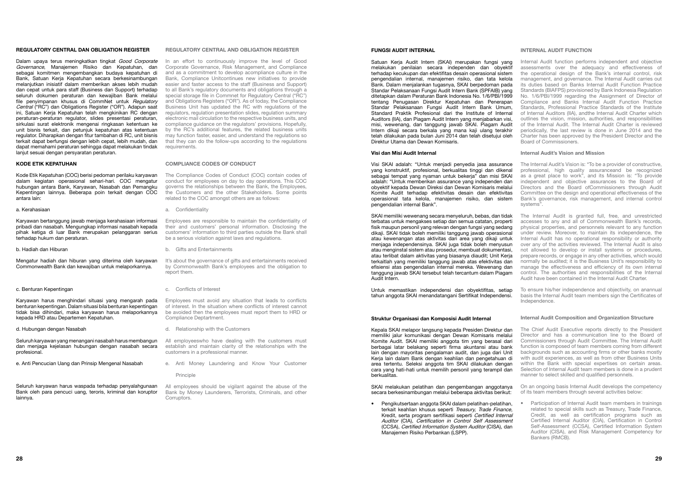#### FUNGSI AUDIT INTERNAL

Satuan Kerja Audit Intern (SKAI) merupakan fungsi yang melakukan penilaian secara independen dan obyektif terhadap kecukupan dan efektifitas desain operasional sistem pengendalian internal, manajemen risiko, dan tata kelola Bank. Dalam menjalankan tugasnya, SKAI berpedoman pada Standar Pelaksanaan Fungsi Audit Intern Bank (SPFAIB) yang ditetapkan dalam Peraturan Bank Indonesia No. 1/6/PBI/1999 tentang Penugasan Direktur Kepatuhan dan Penerapan Standar Pelaksanaan Fungsi Audit Intern Bank Umum, Standard Praktik Profesional dari the Institute of Internal Auditors (IIA), dan Piagam Audit Intern yang menjabarkan visi, misi, wewenang, dan tanggung jawab SKAI. Piagam Audit Intern dikaji secara berkala yang mana kaji ulang terakhir telah dilakukan pada bulan Juni 2014 dan telah disetujui oleh Direktur Utama dan Dewan Komisaris.

#### Visi dan Misi Audit Internal

Visi SKAI adalah: "Untuk menjadi penyedia jasa assurance yang konstruktif, profesional, berkualitas tinggi dan dikenal sebagai tempat yang nyaman untuk bekerja" dan misi SKAI adalah: "Untuk memberikan assurance yang independen dan obyektif kepada Dewan Direksi dan Dewan Komisaris melalui Komite Audit terhadap efektivitas desain dan efektivitas operasional tata kelola, manajemen risiko, dan sistem pengendalian internal Bank".

SKAI memiliki wewenang secara menyeluruh, bebas, dan tidak terbatas untuk mengakses setiap dan semua catatan, properti fisik maupun personil yang relevan dengan fungsi yang sedang dikaji. SKAI tidak boleh memiliki tanggung jawab operasional atau kewenangan atas aktivitas dari area yang dikaji untuk menjaga independensinya. SKAI juga tidak boleh menyusun atau menginstal sistem atau prosedur, membuat dokumentasi, atau terlibat dalam aktivitas yang biasanya diaudit; Unit Kerja terkaitlah yang memiliki tanggung jawab atas efektivitas dan efisiensi atas pengendalian internal mereka. Wewenang dan tanggung jawab SKAI tersebut telah tercantum dalam Piagam Audit Intern.

Untuk memastikan independensi dan obyektifitas, setiap tahun anggota SKAI menandatangani Sertifikat Independensi.

#### Struktur Organisasi dan Komposisi Audit Internal

Kepala SKAI melapor langsung kepada Presiden Direktur dan memiliki jalur komunikasi dengan Dewan Komisaris melalui Komite Audit. SKAI memiliki anggota tim yang berasal dari berbagai latar belakang seperti firma akuntansi atau bank lain dengan mayoritas pengalaman audit, dan juga dari Unit Kerja lain dalam Bank dengan keahlian dan pengetahuan di area tertentu. Seleksi anggota tim SKAI dilakukan dengan cara yang hati-hati untuk memilih personil yang terampil dan berkualitas.

SKAI melakukan pelatihan dan pengembangan anggotanya secara berkesinambungan melalui beberapa aktivitas berikut:

#### INTERNAL AUDIT FUNCTION

Internal Audit function performs independent and objective assessments over the adequacy and effectiveness of the operational design of the Bank's internal control, risk management, and governance. The Internal Audit carries out its duties based on Banks Internal Audit Function Practice Standards (BIAFPS) provisioned by Bank Indonesia Regulation No. 1/6/PBI/1999 regarding the Assignment of Director of Compliance and Banks Internal Audit Function Practice Standards, Professional Practice Standards of the Institute of Internal Auditors (IIA), andthe Internal Audit Charter which outlines the vision, mission, authorities, and responsibilities of the Internal Audit. The Internal Audit Charter is reviewed periodically, the last review is done in June 2014 and the Charter has been approved by the President Director and the Board of Commissioners.

Dalam upaya terus meningkatkan tingkat Good Corporate Governance, Manajemen Risiko dan Kepatuhan, dan sebagai komitmen mengembangkan budaya kepatuhan di Bank, Satuan Kerja Kepatuhan secara berkesinambungan melanjutkan inisiatif dalam memberikan akses lebih mudah dan cepat untuk para staff (Business dan Support) terhadap seluruh dokumen peraturan dan kewajiban Bank melalui file penyimpanan khusus di CommNet untuk Regulatory Central ("RC") dan Obligations Register ("OR"). Adapun saat ini, Satuan Kerja Kepatuhan telah mengkinikan RC dengan peraturan-peraturan regulator, slides presentasi peraturan, sirkulasi surat elektronik mengenai ringkasan ketentuan ke unit bisnis terkait, dan petunjuk kepatuhan atas ketentuan regulator. Diharapkan dengan fitur tambahan di RC, unit bisnis terkait dapat berfungsi dengan lebih cepat, lebih mudah, dan dapat memahami peraturan sehingga dapat melakukan tindak lanjut sesuai dengan persyaratan peraturan.

#### Internal Audit's Vision and Mission

• Pengikutsertaan anggota SKAI dalam pelatihan-pelatihan, terkait keahlian khusus seperti Treasury, Trade Finance, Kredit, serta program sertifikasi seperti Certified Internal Auditor (CIA), Certification in Control Self Assessment (CCSA), Certified Information System Auditor (CISA), dan Manajemen Risiko Perbankan (LSPP). • Participation of Internal Audit team members in trainings related to special skills such as Treasury, Trade Finance, Credit, as well as certification programs such as Certified Internal Auditor (CIA), Certification in Control Self-Assessment (CCSA), Certified Information System Auditor (CISA), and Risk Management Competency for Bankers (RMCB).

- The Internal Audit's Vision is: "To be a provider of constructive, professional, high quality assuranceand be recognized as a great place to work", and its Mission is: "To provide independent and objective assurances to the Board of Directors and the Board ofCommissioners through Audit Committee on the design and operational effectiveness of the Bank's governance, risk management, and internal control systems".
- The Internal Audit is granted full, free, and unrestricted accesses to any and all of Commonwealth Bank's records, physical properties, and personnels relevant to any function under review. Moreover, to maintain its independence, the Internal Audit has no operational responsibility or authority over any of the activities reviewed. The Internal Audit is also not allowed to develop or install systems or procedures, prepare records, or engage in any other activities, which would normally be audited; it is the Business Unit's responsibility to manage the effectiveness and efficiency of its own internal control. The authorities and responsibilities of the Internal Audit have been contained in the Internal Audit Charter.
- To ensure his/her independence and objectivity, on anannual basis the Internal Audit team members sign the Certificates of Independence.

It's about the governance of gifts and entertainments received by Commonwealth Bank's employees and the obligation to report them.

#### Internal Audit Composition and Organization Structure

All employees should be vigilant against the abuse of the Bank by Money Launderers, Terrorists, Criminals, and other Corruptors

- The Chief Audit Executive reports directly to the President Director and has a communication line to the Board of Commissioners through Audit Committee. The Internal Audit function is composed of team members coming from different backgrounds such as accounting firms or other banks mostly with audit experiences, as well as from other Business Units within the Bank with special expertises on certain areas. Selection of Internal Audit team members is done in a prudent manner to select skilled and qualified personnels.
- On an ongoing basis Internal Audit develops the competency of its team members through several activities below:

#### REGULATORY CENTRAL DAN OBLIGATION REGISTER

#### KODE ETIK KEPATUHAN

Kode Etik Kepatuhan (COC) berisi pedoman perilaku karyawan dalam kegiatan operasional sehari-hari. COC mengatur hubungan antara Bank, Karyawan, Nasabah dan Pemangku Kepentingan lainnya. Beberapa poin terkait dengan COC antara lain:

#### a. Kerahasiaan

Karyawan bertanggung jawab menjaga kerahasiaan informasi pribadi dan nasabah. Mengungkap informasi nasabah kepada pihak ketiga di luar Bank merupakan pelanggaran serius terhadap hukum dan peraturan.

b. Hadiah dan Hiburan

Mengatur hadiah dan hiburan yang diterima oleh karyawan Commonwealth Bank dan kewajiban untuk melaporkannya.

#### c. Benturan Kepentingan

Karyawan harus menghindari situasi yang mengarah pada benturan kepentingan. Dalam situasi bila benturan kepentingan tidak bisa dihindari, maka karyawan harus melaporkannya kepada HRD atau Departemen Kepatuhan.

#### d. Hubungan dengan Nasabah

Seluruh karyawan yang menangani nasabah harus membangun dan menjaga kejelasan hubungan dengan nasabah secara profesional.

e. Anti Pencucian Uang dan Prinsip Mengenal Nasabah

Seluruh karyawan harus waspada terhadap penyalahgunaan Bank oleh para pencuci uang, teroris, kriminal dan koruptor lainnya.

#### Regulatory Central and Obligation Register

In an effort to continuously improve the level of Good Corporate Governance, Risk Management, and Compliance and as a commitment to develop acompliance culture in the Bank, Compliance Unitcontinues new initiatives to provide easier and faster access to the staff (Business and Support) to all Bank's regulatory documents and obligations through a special storage file in Commnet for Regulatory Central ("RC") and Obligations Registers ("OR"). As of today, the Compliance Business Unit has updated the RC with regulations of the regulators, regulation presentation slides, regulation summary electronic mail circulation to the respective business units, and compliance guidance on the regulators' provisions. Hopefully, by the RC's additional features, the related business units may function faster, easier, and understand the regulations so that they can do the follow-ups according to the regulations requirements.

#### COMPLIANCE CODES OF CONDUCT

The Compliance Codes of Conduct (COC) contain codes of conduct for employees on day to day operations. This COC governs the relationships between the Bank, the Employees, the Customers and the other Stakeholders. Some points related to the COC amongst others are as follows:

a. Confidentiality

Employees are responsible to maintain the confidentiality of their and customers' personal information. Disclosing the customers' information to third parties outside the Bank shall be a serious violation against laws and regulations.

b. Gifts and Entertainments

c. Conflicts of Interest

Employees must avoid any situation that leads to conflicts of interest. In the situation where conflicts of interest cannot be avoided then the employees must report them to HRD or Compliance Deptartment.

d. Relationship with the Customers

All employeeswho have dealing with the customers must establish and maintain clarity of the relationships with the customers in a professional manner.

e. Anti Money Laundering and Know Your Customer

#### Principle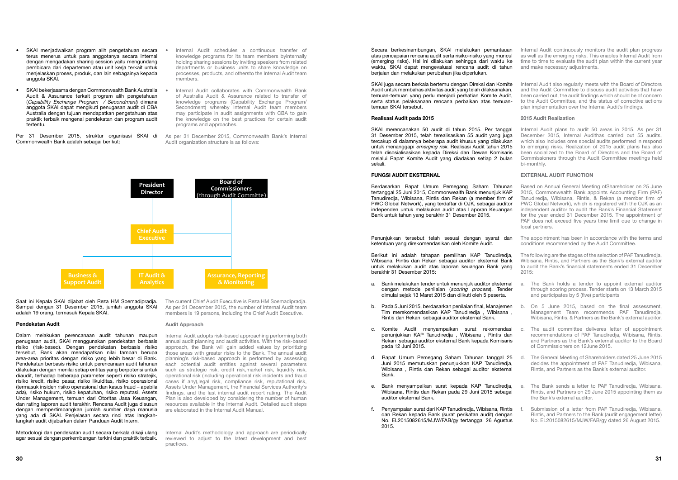Secara berkesinambungan, SKAI melakukan pemantauan atas pencapaian rencana audit serta risiko-risiko yang muncul (emerging risks). Hal ini dilakukan sehingga dari waktu ke waktu, SKAI dapat mengevaluasi rencana audit di tahun berjalan dan melakukan perubahan jika diperlukan.

SKAI juga secara berkala bertemu dengan Direksi dan Komite Audit untuk membahas aktivitas audit yang telah dilaksanakan, temuan-temuan yang perlu menjadi perhatian Komite Audit, serta status pelaksanaan rencana perbaikan atas temuantemuan SKAI tersebut.

#### Realisasi Audit pada 2015

#### FUNGSI AUDIT EKSTERNAL

Penunjukkan tersebut telah sesuai dengan syarat dan ketentuan yang direkomendasikan oleh Komite Audit.

Berikut ini adalah tahapan pemilihan KAP Tanudiredja, Wibisana, Rintis dan Rekan sebagai auditor eksternal Bank untuk melakukan audit atas laporan keuangan Bank yang berakhir 31 Desember 2015:

SKAI merencanakan 50 audit di tahun 2015. Per tanggal 31 Desember 2015, telah terealisasikan 55 audit yang juga tercakup di dalamnya beberapa audit khusus yang dilakukan untuk menanggapi emerging risk. Realisasi Audit tahun 2015 telah disosialisasikan kepada Direksi dan Dewan Komisaris melalui Rapat Komite Audit yang diadakan setiap 2 bulan sekali. Internal Audit plans to audit 50 areas in 2015. As per 31 December 2015, Internal Audithas carried out 55 audits, which also includes ome special audits performed in respond to emerging risks. Realization of 2015 audit plans has also been socialized to the Board of Directors and the Board of Commissioners through the Audit Committee meetings held bi-monthly.

- a. Bank melakukan tender untuk menunjuk auditor eksternal dengan metode penilaian (scoring process). Tender dimulai sejak 13 Maret 2015 dan diikuti oleh 5 peserta. a. The Bank holds a tender to appoint external auditor through scoring process. Tender starts on 13 March 2015 and participates by 5 (five) participants
- b. Pada 5 Juni 2015, berdasarkan penilaian final, Manajemen Tim merekomendasikan KAP Tanudiredja , Wibisana , Rintis dan Rekan sebagai auditor eksternal Bank.
- c. Komite Audit menyampaikan surat rekomendasi penunjukkan KAP Tanudiredja , Wibisana , Rintis dan Rekan sebagai auditor eksternal Bank kepada Komisaris pada 12 Juni 2015.
- d. Rapat Umum Pemegang Saham Tahunan tanggal 25 Juni 2015 memutuskan penunjukkan KAP Tanudiredja, Wibisana , Rintis dan Rekan sebagai auditor eksternal Bank.
- e. Bank menyampaikan surat kepada KAP Tanudiredja, Wibisana, Rintis dan Rekan pada 29 Juni 2015 sebagai auditor eksternal Bank.
- f. Penyampaian surat dari KAP Tanudiredja, Wibisana, Rintis dan Rekan kepada Bank (surat perikatan audit) dengan No. EL2015082615/MJW/FAB/gy tertanggal 26 Agustus 2015.

Berdasarkan Rapat Umum Pemegang Saham Tahunan tertanggal 25 Juni 2015, Commonwealth Bank menunjuk KAP Tanudiredja, Wibisana, Rintis dan Rekan (a member firm of PWC Global Network), yang terdaftar di OJK, sebagai auditor independen untuk melakukan audit atas Laporan Keuangan Bank untuk tahun yang berakhir 31 Desember 2015. Based on Annual General Meeting ofShareholder on 25 June 2015, Commonwealth Bank appoints Accounting Firm (PAF) Tanudiredja, WIbisana, Rintis, & Rekan (a member firm of PWC Global Network), which is registered with the OJK as an independent auditor to audit the Bank's Financial Statement for the year ended 31 December 2015. The appointment of PAF does not exceed five years time limit due to change in local partners.

Internal Audit continuously monitors the audit plan progress as well as the emerging risks. This enables Internal Audit from time to time to evaluate the audit plan within the current year and make necessary adjustments.

Internal Audit also regularly meets with the Board of Directors and the Audit Committee to discuss audit activities that have been carried out, the audit findings which should be of concern to the Audit Committee, and the status of corrective actions plan implementation over the Internal Audit's findings.

#### 2015 Audit Realization

#### EXTERNAL AUDIT FUNCTION

The appointment has been in accordance with the terms and conditions recommended by the Audit Committee.

- Internal Audit schedules a continuous transfer of knowledge programs for its team members byinternally holding sharing sessions by inviting speakers from related departments or business units to share knowledge on processes, products, and othersto the Internal Audit team members.
- Internal Audit collaborates with Commonwealth Bank of Australia Audit & Assurance related to transfer of knowledge programs (Capability Exchange Program/ Secondment) whereby Internal Audit team members may participate in audit assignments with CBA to gain the knowledge on the best practices for certain audit programs and approaches.
- As per 31 December 2015, Commonwealth Bank's Internal Audit organization structure is as follows:

- The following are the stages of the selection of PAF Tanudiredja, Wibisana, Rintis, and Partners as the Bank's external auditor to audit the Bank's financial statements ended 31 December  $2015$
- On 5 June 2015, based on the final assessment, Management Team recommends PAF Tanudiredja, Wibisana, Rintis, & Partners as the Bank's external auditor.
- The audit committee deliveres letter of appointment recommendations of PAF Tanudiredja, Wibisana, Rintis, and Partners as the Bank's external auditor to the Board of Commissioners on 12June 2015.
- d. The General Meeting of Shareholders dated 25 June 2015 decides the appointment of PAF Tanudiredja, Wibisana, Rintis, and Partners as the Bank's external auditor.
- e. The Bank sends a letter to PAF Tanudiredja, Wibisana, Rintis, and Partners on 29 June 2015 appointing them as the Bank's external auditor.
- Submission of a letter from PAF Tanudiredia, Wibisana, Rintis, and Partners to the Bank (audit engagement letter) No. EL2015082615/MJW/FAB/gy dated 26 August 2015.
- SKAI menjadwalkan program alih pengetahuan secara terus menerus untuk para anggotanya secara internal dengan mengadakan sharing session yaitu mengundang pembicara dari departemen atau unit kerja terkait untuk menjelaskan proses, produk, dan lain sebagainya kepada anggota SKAI.
- SKAI bekerjasama dengan Commonwealth Bank Australia Audit & Assurance terkait program alih pengetahuan (Capability Exchange Program / Secondment) dimana anggota SKAI dapat mengikuti penugasan audit di CBA Australia dengan tujuan mendapatkan pengetahuan atas praktik terbaik mengenai pendekatan dan program audit tertentu.

Per 31 Desember 2015, struktur organisasi SKAI di Commonwealth Bank adalah sebagai berikut:

Saat ini Kepala SKAI dijabat oleh Reza HM Soemadipradja. Sampai dengan 31 Desember 2015, jumlah anggota SKAI adalah 19 orang, termasuk Kepala SKAI.

#### Pendekatan Audit

Dalam melakukan perencanaan audit tahunan maupun penugasan audit, SKAI menggunakan pendekatan berbasis risiko (risk-based). Dengan pendekatan berbasis risiko tersebut, Bank akan mendapatkan nilai tambah berupa area-area prioritas dengan risiko yang lebih besar di Bank. Pendekatan berbasis risiko untuk perencanaan audit tahunan dilakukan dengan menilai setiap entitas yang berpotensi untuk diaudit, terhadap beberapa parameter seperti risiko stratejik, risiko kredit, risiko pasar, risiko likuiditas, risiko operasional (termasuk insiden risiko operasional dan kasus fraud – apabila ada), risiko hukum, risiko kepatuhan, risiko reputasi, Assets Under Management, temuan dari Otoritas Jasa Keuangan, dan rating laporan audit terakhir. Rencana Audit juga disusun dengan mempertimbangkan jumlah sumber daya manusia yang ada di SKAI. Penjelasan secara rinci atas langkahlangkah audit dijabarkan dalam Panduan Audit Intern.

Metodologi dan pendekatan audit secara berkala dikaji ulang agar sesuai dengan perkembangan terkini dan praktik terbaik.



The current Chief Audit Executive is Reza HM Soemadipradja. As per 31 December 2015, the number of Internal Audit team members is 19 persons, including the Chief Audit Executive.

#### Audit Approach

Internal Audit adopts risk-based approaching performing both annual audit planning and audit activities. With the risk-based approach, the Bank will gain added values by prioritizing those areas with greater risks to the Bank. The annual audit planning's risk-based approach is performed by assessing each potential audit entities against several parameters such as strategic risk, credit risk, market risk, liquidity risk, operational risk (including operational risk incidents and fraud cases if any),legal risk, compliance risk, reputational risk, Assets Under Management, the Financial Services Authority's findings, and the last internal audit report rating. The Audit Plan is also developed by considering the number of human resources available in the Internal Audit. Detailed audit steps are elaborated in the Internal Audit Manual.

Internal Audit's methodology and approach are periodically reviewed to adjust to the latest development and best practices.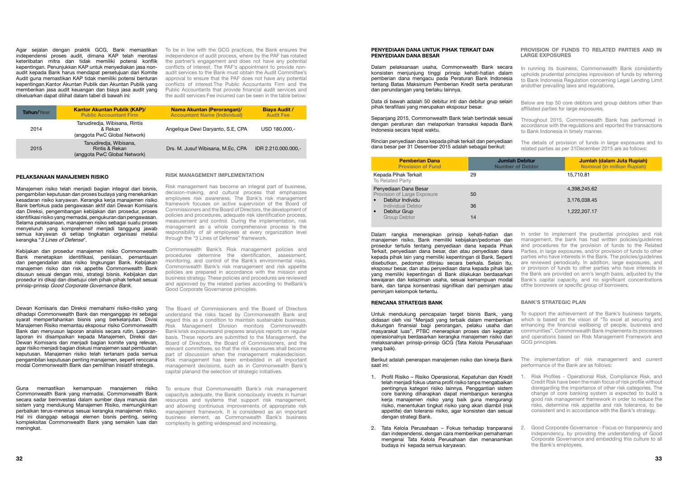#### PENYEDIAAN DANA UNTUK PIHAK TERKAIT DAN PENYEDIAAN DANA BESAR

Dalam pelaksanaan usaha, Commonwealth Bank secara konsisten menjunjung tinggi prinsip kehati-hatian dalam pemberian dana mengacu pada Peraturan Bank Indonesia tentang Batas Maksimum Pemberian Kredit serta peraturan dan perundangan yang berlaku lainnya.

Data di bawah adalah 50 debitur inti dan debitur grup selain pihak terafiliasi yang merupakan eksposur besar.

Sepanjang 2015, Commonwealth Bank telah bertindak sesuai dengan peraturan dan melaporkan transaksi kepada Bank Indonesia secara tepat waktu.

Rincian penyediaan dana kepada pihak terkait dan penyediaan dana besar per 31 Desember 2015 adalah sebagai berikut:

| <b>Pemberian Dana</b><br><b>Provision of Fund</b>                                     | <b>Jumlah Debitur</b><br><b>Number of Debtor</b> | Jumlah (dalam Juta Rupiah)<br><b>Nominal (in million Rupiah)</b> |
|---------------------------------------------------------------------------------------|--------------------------------------------------|------------------------------------------------------------------|
| Kepada Pihak Terkait<br>To Related Party                                              | 29                                               | 15,710.81                                                        |
| Penyediaan Dana Besar<br>Provision of Large Exposure<br>Debitur Individu<br>$\bullet$ | 50                                               | 4,398,245.62<br>3,176,038.45                                     |
| Individual Debtor<br>$\bullet$<br>Debitur Grup                                        | 36                                               | 1,222,207.17                                                     |
| <b>Group Debtor</b>                                                                   | 14                                               |                                                                  |

Dalam rangka menerapkan prinsip kehati-hatian dan manajemen risiko, Bank memiliki kebijakan/pedoman dan prosedur tertulis tentang penyediaan dana kepada Pihak Terkait, penyediaan dana besar, dan atau penyediaan dana kepada pihak lain yang memiliki kepentingan di Bank. Seperti disebutkan, pedoman ditinjau secara berkala. Selain itu, eksposur besar, dan atau penyediaan dana kepada pihak lain yang memiliki kepentingan di Bank dilakukan berdasarkan kewajaran dan kelaziman usaha, sesuai kemampuan modal bank, dan tanpa konsentrasi signifikan dari peminjam atau peminjam kelompok tertentu.

#### RENCANA STRATEGIS BANK

Untuk mendukung pencapaian target bisnis Bank, yang didasari oleh visi "Menjadi yang terbaik dalam memberikan dukungan finansial bagi perorangan, pelaku usaha dan masyarakat luas", PTBC menerapkan proses dan kegiatan operasionalnya berdasarkan kerangka manajemen risiko dan melaksanakan prinsip-prinsip GCG (Tata Kelola Perusahaan yang baik).

Berikut adalah penerapan manajemen risiko dan kinerja Bank saat ini:

- 1. Profil Risiko Risiko Operasional, Kepatuhan dan Kredit telah menjadi fokus utama profil risiko tanpa mengabaikan pentingnya kategori risiko lainnya. Penggantian sistem core banking diharapkan dapat membangun kerangka kerja manajemen risiko yang baik guna mengurangi risiko, menentukan tingkat risiko yang akan diambil (risk appetite) dan toleransi risiko, agar konsisten dan sesuai dengan strategi Bank. 1. Risk Profiles - Operational Risk, Compliance Risk, and Credit Risk have been the main focus of risk profile without disregarding the importance of other risk categories. The change of core banking system is expected to build a good risk management framework in order to reduce the risks, determine risk appetite and risk tolerance, to be consistent and in accordance with the Bank's strategy.
- 2. Tata Kelola Perusahaan Fokus terhadap tranparansi dan independensi, dengan cara memberikan pemahaman mengenai Tata Kelola Perusahaan dan menanamkan budaya ini kepada semua karyawan.

#### PROVISION OF FUNDS TO RELATED PARTIES AND IN LARGE EXPOSURES

Agar sejalan dengan praktik GCG, Bank memastikan To be in line with the GCG practices, the Bank ensures the independensi proses audit, dimana KAP telah merotasi keterlibatan mitra dan tidak memiliki potensi konflik kepentingan. Penunjukkan KAP untuk menyediakan jasa nonaudit kepada Bank harus mendapat persetujuan dari Komite Audit guna memastikan KAP tidak memiliki potensi benturan kepentingan.Kantor Akuntan Publik dan Akuntan Publik yang memberikan jasa audit keuangan dan biaya jasa audit yang dikeluarkan dapat dilihat dalam tabel di bawah ini:

Manajemen risiko telah menjadi bagian integral dari bisnis, pengambilan keputusan dan proses budaya yang menekankan kesadaran risiko karyawan. Kerangka kerja manajemen risiko Bank berfokus pada pengawasan aktif dari Dewan Komisaris dan Direksi, pengembangan kebijakan dan prosedur, proses identifikasi risiko yang memadai, pengukuran dan pengawasan. Selama pelaksanaan, manajemen risiko sebagai suatu proses menyeluruh yang komprehensif menjadi tanggung jawab semua karyawan di setiap tingkatan organisasi melalui kerangka "3 Lines of Defense".

- In running its business, Commonwealth Bank consistently upholds prudential principles inprovision of funds by referring to Bank Indonesia Regulation concerning Legal Lending Limit andother prevailing laws and regulations.
- Below are top 50 core debtors and group debtors other than affiliated parties for large exposures.
- Throughout 2015, Commonwealth Bank has performed in accordance with the regulations and reported the transactions to Bank Indonesia in timely manner.
- The details of provision of funds in large exposures and to related parties as per 31December 2015 are as follows:

In order to implement the prudential principles and risk management, the bank has had written policies/guidelines and procedures for the provision of funds to the Related Parties, in large exposures, and/or provision of funds to other parties who have interests in the Bank. The policies/guidelines are reviewed periodically. In addition, large exposures, and or provision of funds to other parties who have interests in the Bank are provided on arm's length basis, adjusted by the Bank's capital capacity, and no significant concentrations ofthe borrowers or specific group of borrowers.

#### BANK'S STRATEGIC PLAN

- To support the achievement of the Bank's business targets, which is based on the vision of "To excel at securing and enhancing the financial wellbeing of people, business and communities", Commonwealth Bank implements its processes and operations based on Risk Management Framework and GCG principles.
- The implementation of risk management and current performance of the Bank are as follows:

2. Good Corporate Governance - Focus on tranparency and independency, by providing the understanding of Good Corporate Governance and embedding this culture to all the Bank's employees.

| <b>Tahun/Year</b> | <b>Kantor Akuntan Publik (KAP)/</b><br><b>Public Accountant Firm</b>     | <b>Nama Akuntan (Perorangan)/</b><br><b>Accountant Name (Individual)</b> | <b>Biaya Audit /</b><br><b>Audit Fee</b> |
|-------------------|--------------------------------------------------------------------------|--------------------------------------------------------------------------|------------------------------------------|
| 2014              | Tanudiredia, Wibisana, Rintis<br>& Rekan<br>(anggota PwC Global Network) | Angelique Dewi Daryanto, S.E. CPA                                        | USD 180,000.-                            |
| 2015              | Tanudiredja, Wibisana,<br>Rintis & Rekan<br>(anggota PwC Global Network) | Drs. M. Jusuf Wibisana, M.Ec. CPA                                        | IDR 2.210.000.000.-                      |

#### PELAKSANAAN MANAJEMEN RISIKO

Kebijakan dan prosedur manajemen risiko Commonwealth Bank menetapkan identifikasi, penilaian, pemantauan dan pengendalian atas risiko lingkungan Bank. Kebijakan manajemen risiko dan risk appetite Commonwealth Bank disusun sesuai dengan misi, strategi bisnis. Kebijakan dan prosedur ini dikaji dan disetujui oleh pihak-pihak terkait sesuai prinsip-prinsip Good Corporate Governance Bank.

#### Dewan Komisaris dan Direksi memahami risiko-risiko yang dihadapi Commonwealth Bank dan menganggap ini sebagai syarat mempertahankan bisnis yang berkelanjutan. Divisi Manajemen Risiko memantau eksposur risiko Commonwealth Bank dan menyusun laporan analisis secara rutin. Laporanlaporan ini disampaikan kepada Manajemen, Direksi dan Dewan Komisaris dan menjadi bagian komite yang relevan, agar risiko menjadi bagian diskusi manajemen saat pembuatan keputusan. Manajemen risiko telah tertanam pada semua pengambilan keputusan penting manajemen, seperti renccana modal Commonwealth Bank dan pemilihan inisiatif strategis.

Guna memastikan kemampuan manajemen risiko Commonwealth Bank yang memadai, Commonwealth Bank secara sadar berinvestasi dalam sumber daya manusia dan sistem yang mendukung Manajemen Risiko, memungkinkan perbaikan terus-menerus sesuai kerangka manajemen risiko. Hal ini dianggap sebagai elemen bisnis penting, seiring kompleksitas Commonwealth Bank yang semakin luas dan meningkat.

independence of audit process, where by the PAF has rotated the partner's engagement and does not have any potential conflicts of interest. The PAF's appointment to provide nonaudit services to the Bank must obtain the Audit Committee's approval to ensure that the PAF does not have any potential conflicts of interest.The Public Accountants Firm and the Public Accountants that provide financial audit services and the audit services Fee incurred can be seen in the table below:

#### RISK MANAGEMENT IMPLEMENTATION

Risk management has become an integral part of business, decision-making, and cultural process that emphasizes employees risk awareness. The Bank's risk management framework focuses on active supervision of the Board of Commissioners and the Board of Directors, the development of policies and procedures, adequate risk identification process, measurement and control. During the implementation, risk management as a whole comprehensive process is the responsibility of all employees at every organization level through the "3 Lines of Defense" framework.

Commonwealth Bank's Risk management policies and procedures determine the identification, assessment, monitoring, and control of the Bank's environmental risks. Commonwealth Bank's risk management and risk appetite policies are prepared in accordance with the mission and business strategy. These policies and procedures are reviewed and approved by the related parties according to theBank's Good Corporate Governance principles.

The Board of Commissioners and the Board of Directors understand the risks faced by Commonwealth Bank and regard this as a condition to maintain sustainable business. Risk Management Division monitors Commonwealth Bank'srisk exposuresand prepares analysis reports on regular basis. These reports are submitted to the Management, the Board of Directors, the Board of Commissioners, and the relevant committees, so that the risk exposures shall become part of discussion when the management makesdecision. Risk management has been embedded in all important management decisions, such as in Commonwealth Bank's capital planand the selection of strategic initiatives.

To ensure that Commonwealth Bank's risk management capacityis adequate, the Bank consciously invests in human resources and systems that support risk management, and allowing continuous improvements of appropriate risk management framework. It is considered as an important business element, as Commonwealth Bank's business complexity is getting widespread and increasing.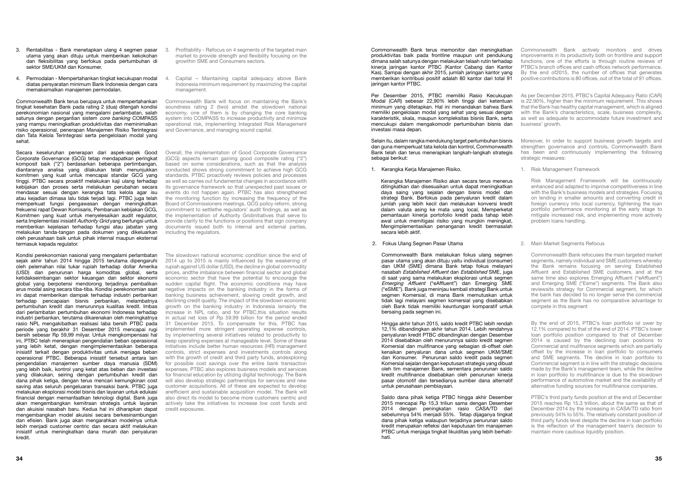1. Kerangka Kerja Manajemen Risiko.

Kerangka Manajemen Risiko akan secara terus menerus ditingkatkan dan disesuaikan untuk dapat meningkatkan daya saing yang sejalan dengan bisnis model dan strategi Bank. Berfokus pada penyaluran kredit dalam jumlah yang lebih kecil dan melakukan konversi kredit dalam valuta asing ke mata uang local, Memperketat pemantauan kinerja portofolio kredit pada tahap lebih awal untuk memitigasi risiko yang mungkin meningkat, Mengimplementasikan penanganan kredit bermasalah secara lebih aktif.

2. Fokus Ulang Segmen Pasar Utama

Commonwealth Bank terus memonitor dan meningkatkan produktivitas baik pada frontline maupun unit pendukung dimana salah satunya dengan melakukan telaah rutin terhadap kinerja jaringan kantor PTBC (Kantor Cabang dan Kantor Kas). Sampai dengan akhir 2015, jumlah jaringan kantor yang memberikan kontribusi positif adalah 80 kantor dari total 91 jaringan kantor PTBC. Commonwealth Bank actively monitors and drives improvements in its productivity both on frontline and support functions, one of the efforts is through routine reviews of PTBC's branch offices and cash offices network performance. By the end of2015, the number of offices that generates positive contributions is 80 offices, out of the total of 91 offices.

Commonwealth Bank melakukan fokus ulang segmen pasar utama yang akan dituju yaitu individual (consumer) dan UKM (SME) dimana Bank tetap fokus melayani nasabah Established Affluent dan Established SME, juga di saat yang sama melakukan eksplorasi untuk segmen Emerging Affluent ("eAffluent") dan Emerging SME ("eSME"). Bank juga meninjau kembali strategi Bank untuk segmen Komersial, di mana Bank memutuskan untuk tidak lagi melayani segmen komersial yang disebabkan oleh Bank tidak memiliki keuntungan komparatif untuk bersaing pada segmen ini.

Per Desember 2015, PTBC memiliki Rasio Kecukupan Modal (CAR) sebesar 22,90% lebih tinggi dari ketentuan minimum yang ditetapkan. Hal ini menandakan bahwa Bank memiliki pengelolaan modal yang sehat yang sesuai dengan karakteristik, skala, maupun kompleksitas bisnis Bank, serta mencukupi dalam mengakomodir pertumbuhan bisnis dan investasi masa depan. As per December 2015, PTBC's Capital Adequacy Ratio (CAR) is 22.90%, higher than the minimum requirement. This shows that the Bank has healthy capital management, which is aligned with the Bank's characteristics, scale, business complexity, as well as adequate to accommodate future investment and business' growth.

Selain itu, dalam rangka mendukung target pertumbuhan bisnis dan guna memperkuat tata kelola dan kontrol, Commonwealth Bank telah dan terus menerapkan langkah-langkah strategis sebagai berikut: Moreover, In order to support business growth targets and strengthen governance and controls, Commonwealth Bank has been and continuously implementing the following strategic measures:

Hingga akhir tahun 2015, saldo kredit PTBC lebih rendah 12,1% dibandingkan akhir tahun 2014. Lebih rendahnya penyaluran kredit PTBC dibandingkan dengan Desember 2014 disebabkan oleh menurunnya saldo kredit segmen Komersial dan mulifinance yang sebagian di-offset oleh kenaikan penyaluran dana untuk segmen UKM/SME dan Konsumer. Penurunan saldo kredit pada segmen Komersial sejalan dengan keputusan strategis yang dibuat oleh tim manajemen Bank, sementara penurunan saldo kredit multifinance disebabkan oleh penurunan kinerja pasar otomotif dan tersedianya sumber dana alternatif untuk perusahaan pembiayaan.

Saldo dana pihak ketiga PTBC hingga akhir Desember 2015 mencapai Rp 15,3 triliun sama dengan Desember 2014 dengan peningkatan rasio CASA/TD dari sebelumnya 54% menjadi 55%. Tetap dijaganya tingkat dana pihak ketiga walaupun terjadinya penurunan saldo kredit merupakan refleksi dari keputusan tim manajemen PTBC untuk menjaga tingkat likuiditas yang lebih berhatihati.

- 3. Rentabilitas Bank menetapkan ulang 4 segmen pasar 3. Profitability Refocus on 4 segments of the targeted main utama yang akan dituju untuk memberikan kekokohan dan fleksibilitas yang berfokus pada pertumbuhan di sektor SME/UKM dan Konsumer.
- 4. Permodalan Mempertahankan tingkat kecukupan modal diatas persyaratan minimum Bank Indonesia dengan cara memaksimalkan manajemen permodalan.

1. Risk Management Framework

Risk Management Framework will be continuously enhanced and adapted to improve competitiveness in line with the Bank's business models and strategies. Focusing on lending in smaller amounts and converting credit in foreign currency into local currency, tightening the loan portfolio performance monitoring at the early stage to mitigate increased risk, and implementing more actively problem loans handling.

#### 2. Main Market Segments Refocus

Commonwealth Bank refocuses the main targeted market segments, namely individual and SME customers whereby the Bank remains focusing on serving Established Affluent and Established SME customers, and at the same time also explores Emerging Affluent ("eAffluent") and Emerging SME ("Esme") segments. The Bank also reviewsits strategy for Commercial segment, for which the bank has decided to no longer serve the commercial segment as the Bank has no comparative advantage to compete in this segment

By the end of 2015, PTBC's loan portfolio isl ower by 12.1% compared to that of the end of 2014. PTBC's lower loan portfolio position compared to that of December 2014 is caused by the declining loan positions to Commercial and mulifinance segments which are partially offset by the increase in loan portfolio to consumers and SME segments. The decline in loan portfolio to Commercial segment is in line with the strategic decisions made by the Bank's management team, while the decline in loan portfolio to multifinance is due to the slowdown performance of automotive market and the availability of alternative funding sources for multifinance companies.

PTBC's third party funds position at the end of December 2015 reaches Rp 15.3 trillion, about the same as that of December 2014 by the increasing in CASA/TD ratio from previously 54% to 55%. The relatively constant position of third party funds level despite the decline in loan portfolio is the reflection of the management team's decision to maintain more cautious liquidity position.

Commonwealth Bank terus berupaya untuk mempertahankan tingkat kesehatan Bank pada rating 2 (dua) ditengah kondisi perekonomian nasional yang mengalami perlambatan, salah satunya dengan pergantian sistem *core banking* COMPASS yang mampu meningkatkan produktivitas dan meminimalkan risiko operasional, penerapan Manajemen Risiko Terintegrasi dan Tata Kelola Terintegrasi serta pengelolaan modal yang sehat.

Secara keseluruhan penerapan dari aspek-aspek Good Corporate Governance (GCG) tetap mendapatkan peringkat komposit baik ("2") berdasarkan beberapa pertimbangan, diantaranya analisa yang dilakukan telah menunjukkan komitmen yang kuat untuk mencapai standar GCG yang tinggi. PTBC secara proaktif melakukan kaji ulang terhadap kebijakan dan proses serta melakukan perubahan secara mendasar sesuai dengan kerangka tata kelola agar isu atau kejadian dimasa lalu tidak terjadi lagi. PTBC juga telah memperkuat fungsi pengawasan dengan meningkatkan frekuensi rapat Dewan Komisaris, Pembaruan kebijakan GCG, Komitmen yang kuat untuk menyelesaikan audit regulator, serta Implementasi inisiatif Authority Grid yang berfungsi untuk memberikan kejelasan terhadap fungsi atau jabatan yang melakukan tanda-tangan pada dokumen yang dikeluarkan oleh perusahaan baik untuk pihak internal maupun eksternal termasuk kepada regulator.

Kondisi perekonomian nasional yang mengalami perlambatan sejak akhir tahun 2014 hingga 2015 terutama dipengaruhi oleh pelemahan nilai tukar rupiah terhadap dollar Amerika (USD) dan penurunan harga komoditas global, serta ketidakseimbangan sektor keuangan dan sektor ekonomi global yang berpotensi mendorong terjadinya pembalikan arus modal asing secara tiba-tiba. Kondisi perekonomian saat ini dapat memberikan dampak terhadap industri perbankan terhadap pencapaian bisnis perbankan, melambatnya pertumbuhan kredit dan menurunnya kualitas kredit. Imbas dari perlambatan pertumbuhan ekonomi Indonesia terhadap industri perbankan, terutama dikarenakan oleh meningkatnya rasio NPL mengakibatkan realisasi laba bersih PTBC pada periode yang berakhir 31 Desember 2015 mencapai rugi bersih sebesar Rp 59,99 milyar. Untuk mengkompensasi hal ini, PTBC telah menerapkan pengendalian beban operasional yang lebih ketat, dengan mengimplementasikan beberapa inisiatif terkait dengan produktivitas untuk menjaga beban operasional PTBC. Beberapa inisiatif tersebut antara lain pengendalian manajemen sumber daya manusia (SDM) yang lebih baik, kontrol yang ketat atas beban dan investasi yang dilakukan, seiring dengan pertumbuhan kredit dan dana pihak ketiga, dengan terus mencari kemungkinan cost saving atas seluruh pengeluaran transaksi bank. PTBC juga melakukan eksplorasi model bisnis dan layanan untuk edukasi financial dengan memanfaatkan teknologi digital. Bank juga akan mengembangkan kemitraan strategis untuk layanan dan akuisisi nasabah baru. Kedua hal ini diharapkan dapat mengembangkan model akuisisi secara berkesinambungan dan efisien. Bank juga akan mengarahkan modelnya untuk lebih menjadi customer centric dan secara aktif melakukan inisiatif untuk meningkatkan dana murah dan penyaluran kredit.

- market to provide strength and flexibility focusing on the growthin SME and Consumers sectors.
- Capital Maintaining capital adequacy above Bank Indonesia minimum requirement by maximizing the capital management.

Commonwealth Bank will focus on maintaining the Bank's soundness rating 2 (two) amidst the slowdown national economy, one of them is by changing the core banking system into COMPASS to increase productivity and minimize operational risk, implementing Integrated Risk Management and Governance, and managing sound capital.

Overall, the implementation of Good Corporate Governance (GCG) aspects remain gaining good composite rating ("2") based on some considerations, such as that the analysis conducted shows strong commitment to achieve high GCG standards. PTBC proactively reviews policies and processes as well as carries out fundamental changes in accordance with its governance framework so that unexpected past issues or events do not happen again. PTBC has also strengthened the monitoring function by increasing the frequency of the Board of Commissioners meetings, GCG policy reform, strong commitment to settlethe regulators' audit findings, as well as the implementation of Authority Gridinitiatives that serve to provide clarity to the functions or positions that sign company documents issued both to internal and external parties, including the regulators.

The slowdown national economic condition since the end of 2014 up to 2015 is mainly influenced by the weakening of rupiah against US dollar (USD), the decline in global commodity prices, andthe imbalance between financial sector and global economic sector that have the potential to encourage the sudden capital flight. The economic conditions may have negative impacts on the banking industry in the forms of banking business achievement, slowing credit growth, and declining credit quality. The impact of the slowdown economic growth on the banking industry in Indonesia ismainly the increase in NPL ratio, and for PTBC,this situation results in actual net loss of Rp 59.99 billion for the period ended 31 December 2015. To compensate for this, PTBC has implemented more stringent operating expense controls, by implementing several initiatives related to productivity to keep operating expenses at manageable level. Some of these initiatives include better human resources (HR) management controls, strict expenses and investments controls along with the growth of credit and third party funds, andexploring for possible cost savings over the entire bank transaction expenses. PTBC also explores business models and services for financial education by utilizing digital technology. The Bank will also develop strategic partnerships for services and new customer acquisitions. All of these are expected to develop anefficient and sustainable acquisition model. The Bank will also direct its model to become more customers centric and actively take the initiatives to increase low cost funds and credit exposures.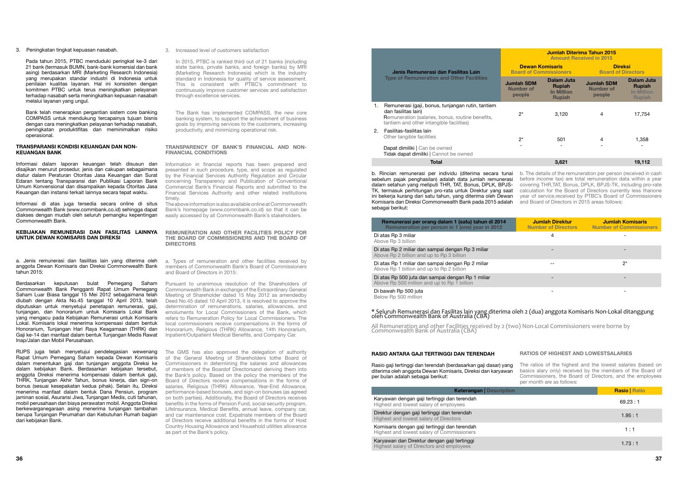Jenis Remunerasi dan Fasilitas Lain Type of Remuneration and Other Facilities

# Ju

Dapat dimiliki | Can be owned Tidak dapat dimiliki | Cannot be owned

#### 1. Remunerasi (gaji, bonus, tunjangan rutin, tantiem dan fasilitas lain)

|                                                      | Jumlah Diterima Tahun 2015<br><b>Amount Received in 2015</b> |                                                                   |                                                 |                                                                   |  |
|------------------------------------------------------|--------------------------------------------------------------|-------------------------------------------------------------------|-------------------------------------------------|-------------------------------------------------------------------|--|
| asi dan Fasilitas Lain                               | <b>Dewan Komisaris</b><br><b>Board of Commissioners</b>      |                                                                   | <b>Direksi</b><br><b>Board of Directors</b>     |                                                                   |  |
| tion and Other Facilities                            | <b>Jumlah SDM</b><br><b>Number of</b><br>people              | Dalam Juta<br><b>Rupiah</b><br><b>In Million</b><br><b>Rupiah</b> | <b>Jumlah SDM</b><br><b>Number of</b><br>people | Dalam Juta<br><b>Rupiah</b><br><b>In Million</b><br><b>Rupiah</b> |  |
| nus, tunjangan rutin, tantiem                        |                                                              |                                                                   |                                                 |                                                                   |  |
| es, bonus, routine benefits,<br>tangible facilities) | $2^*$                                                        | 3,120                                                             | 4                                               | 17,754                                                            |  |
|                                                      |                                                              |                                                                   |                                                 |                                                                   |  |
| es                                                   | $2^*$                                                        | 501                                                               | 4                                               | 1,358                                                             |  |
| pe owned<br>Cannot be owned                          |                                                              |                                                                   |                                                 |                                                                   |  |
| Total                                                |                                                              | 3,621                                                             |                                                 | 19,112                                                            |  |

Remuneration (salaries, bonus, routine benefits, tantiem and other intangible facilities)

2. Fasilitas-fasilitas lain Other tangible facilities

Karyawan dengan gaji tertinggi dan terendah Highest and lowest salary of employees

Direktur dengan gaji tertinggi dan terendah Highest and lowest salary of Directors

Komisaris dengan gaji tertinggi dan terendah Highest and lowest salary of Commissioners

Karyawan dan Direktur dengan gaji tertinggi Highest salary of Directors and employees

#### Remunerasi per orang dalam 1 (satu) tahun di 2014 Remuneration per person in 1 (one) year in 2012

Di atas Rp 3 miliar Above Rp 3 billion

Di atas Rp 2 miliar dan sampai dengan Rp 3 miliar Above Rp 2 billion and up to Rp 3 billion

| <b>Jumlah Direktur</b><br><b>Number of Directors</b> | <b>Jumlah Komisaris</b><br><b>Number of Commissioners</b> |
|------------------------------------------------------|-----------------------------------------------------------|
|                                                      |                                                           |
|                                                      |                                                           |
|                                                      | $2^*$                                                     |
|                                                      |                                                           |
|                                                      |                                                           |

Di atas Rp 1 miliar dan sampai dengan Rp 2 miliar Above Rp 1 billion and up to Rp 2 billion

Di atas Rp 500 juta dan sampai dengan Rp 1 miliar Above Rp 500 million and up to Rp 1 billion

Di bawah Rp 500 juta Below Rp 500 million

# \* Seluruh Remunerasi dan Fasilitas lain yang diterima oleh 2 (dua) anggota Komisaris Non-Lokal ditanggung<br>oleh Commonwealth Bank of Australia (CBA)

b. Rincian remunerasi per individu (diterima secara tunai sebelum pajak penghasilan) adalah data jumlah remunerasi dalam setahun yang meliputi THR, TAT, Bonus, DPLK, BPJS-TK, termasuk perhitungan pro-rata untuk Direktur yang saat ini bekerja kurang dari satu tahun, yang diterima oleh Dewan Komisaris dan Direksi Commonwealth Bank pada 2015 adalah sebagai berikut: b. The details of the remuneration per person (received in cash before income tax) are total remuneration data within a year covering THR,TAT, Bonus, DPLK, BPJS-TK, including pro-rate calculation for the Board of Directors currently less thanone year of service,received by PTBC's Board of Commissioners and Board of Directors in 2015 areas follows:

#### RASIO ANTARA GAJI TERTINGGI DAN TERENDAH

Rasio gaji tertinggi dan terendah (berdasarkan gaji dasar) yang diterima oleh anggota Dewan Komisaris, Direksi dan karyawan per bulan adalah sebagai berikut: The ratios of the highest and the lowest salaries (based on basics alary only) received by the members of the Board of Commissioners, the Board of Directors, and the employees per month are as follows:

#### Keterangan | Descripti

#### RATIOS OF HIGHEST AND LOWESTSALARIES

| n | <b>Rasio   Ratio</b> |
|---|----------------------|
|   | 69.23:1              |
|   | 1.95:1               |
|   | 1:1                  |
|   | 1.73:1               |

All Remuneration and other Facilities received by 2 (two) Non-Local Commissioners were borne by Commonwealth Bank of Australia (CBA)

3. Peningkatan tingkat kepuasan nasabah.

Pada tahun 2015, PTBC menduduki peringkat ke-3 dari 21 bank (termasuk BUMN, bank-bank komersial dan bank asing) berdasarkan MRI (Marketing Research Indonesia) yang merupakan standar industri di Indonesia untuk penilaian kualitas layanan. Hal ini konsisten dengan komitmen PTBC untuk terus meningkatkan pelayanan terhadap nasabah serta meningkatkan kepuasan nasabah melalui layanan yang ungul.

Bank telah menerapkan pergantian sistem core banking COMPASS untuk mendukung tercapainya tujuan bisnis dengan cara meningkatkan pelayanan terhadap nasabah, peningkatan produktifitas dan meminimalkan risiko operasional.

#### TRANSPARANSI KONDISI KEUANGAN DAN NON-KEUANGAN BANK

Informasi dalam laporan keuangan telah disusun dan disajikan menurut prosedur, jenis dan cakupan sebagaimana diatur dalam Peraturan Otoritas Jasa Keuangan dan Surat Edaran tentang Transparansi dan Publikasi Laporan Bank Umum Konvensional dan disampaikan kepada Otoritas Jasa Keuangan dan instansi terkait lainnya secara tepat waktu.

Informasi di atas juga tersedia secara online di situs Commonwealth Bank (www.commbank.co.id) sehingga dapat diakses dengan mudah oleh seluruh pemangku kepentingan Commonwealth Bank.

#### KEBIJAKAN REMUNERASI DAN FASILITAS LAINNYA UNTUK DEWAN KOMISARIS DAN DIREKSI

a. Jenis remunerasi dan fasilitas lain yang diterima oleh anggota Dewan Komisaris dan Direksi Commonwealth Bank tahun 2015:

Berdasarkan keputusan bulat Pemegang Saham Commonwealth Bank Pengganti Rapat Umum Pemegang Saham Luar Biasa tanggal 15 Mei 2012 sebagaimana telah diubah dengan Akta No.45 tanggal 10 April 2013, telah diputuskan untuk menyetujui penetapan remunerasi, gaji, tunjangan, dan honorarium untuk Komisaris Lokal Bank yang mengacu pada Kebijakan Remunerasi untuk Komisaris Lokal. Komisaris lokal menerima kompensasi dalam bentuk Honorarium, Tunjangan Hari Raya Keagamaan (THRK) dan Gaji ke-14 dan manfaat dalam bentuk Tunjangan Medis Rawat Inap/Jalan dan Mobil Perusahaan.

RUPS juga telah menyetujui pendelegasian wewenang Rapat Umum Pemegang Saham kepada Dewan Komisaris dalam menentukan gaji dan tunjangan anggota Direksi ke dalam kebijakan Bank. Berdasarkan kebijakan tersebut, anggota Direksi menerima kompensasi dalam bentuk gaji, THRK, Tunjangan Akhir Tahun, bonus kinerja, dan sign-on bonus (sesuai kesepakatan kedua pihak). Selain itu, Direksi menerima manfaat dalam bentuk Dana Pensiun, program jaminan sosial, Asuransi Jiwa, Tunjangan Medis, cuti tahunan, mobil perusahaan dan biaya perawatan mobil. Anggota Direksi berkewarganegaraan asing menerima tunjangan tambahan berupa Tunjangan Perumahan dan Kebutuhan Rumah bagian dari kebijakan Bank.

3. Increased level of customers satisfaction

In 2015, PTBC is ranked third out of 21 banks (including state banks, private banks, and foreign banks) by MRI (Marketing Research Indonesia) which is the industry standard in Indonesia for quality of service assessment. This is consistent with PTBC's commitment to continuously improve customer services and satisfaction through excellence services.

The Bank has implemented COMPASS, the new core banking system, to support the achievement of business goals by improving services to the customers, increasing productivity, and minimizing operational risk.

#### TRANSPARENCY OF BANK'S FINANCIAL AND NON-FINANCIAL CONDITIONS

Information in financial reports has been prepared and presented in such procedure, type, and scope as regulated by the Financial Services Authority Regulation and Circular concerning Transparency and Publication of Conventional Commercial Bank's Financial Reports and submitted to the Financial Services Authority and other related institutions timely.

The above information is also available online at Commonwealth Bank's homepage (www.commbank.co.id) so that it can be easily accessed by all Commonwealth Bank's stakeholders.

#### REMUNERATION AND OTHER FACILITIES POLICY FOR THE BOARD OF COMMISSIONERS AND THE BOARD OF DIRECTORS

a. Types of remuneration and other facilities received by members of Commonwealth Bank's Board of Commissioners and Board of Directors in 2015:

Pursuant to unanimous resolution of the Shareholders of Commonwealth Bank in exchange of the Extraordinary General Meeting of Shareholder dated 15 May 2012 as amendedby Deed No.45 dated 10 April 2013, it is resolved to approve the determination of remunerations, salaries, allowances, and emoluments for Local Commissioners of the Bank, which refers to Remuneration Policy for Local Commissioners. The local commissioners receive compensations in the forms of Honorarium, Religious (THRK) Allowance, 14th Honorarium, Inpatient/Outpatient Medical Benefits, and Company Car.

The GMS has also approved the delegation of authority of the General Meeting of Shareholders tothe Board of Commissioners in determining the salaries and allowances of members of the Boardof Directorsand deriving them into the Bank's policy. Based on the policy the members of the Board of Directors receive compensations in the forms of salaries, Religious (THRK) Allowance, Year-End Allowance, performance-based bonuses, and sign-on bonuses (as agreed on both parties). Additionally, the Board of Directors receives benefits in the forms of Pension Fund, social security program, LifeInsurance, Medical Benefits, annual leave, company car, and car maintenance cost. Expatriate members of the Board of Directors receive additional benefits in the forms of Host Country Housing Allowance and Household utilities allowance as part ot the Bank's policy.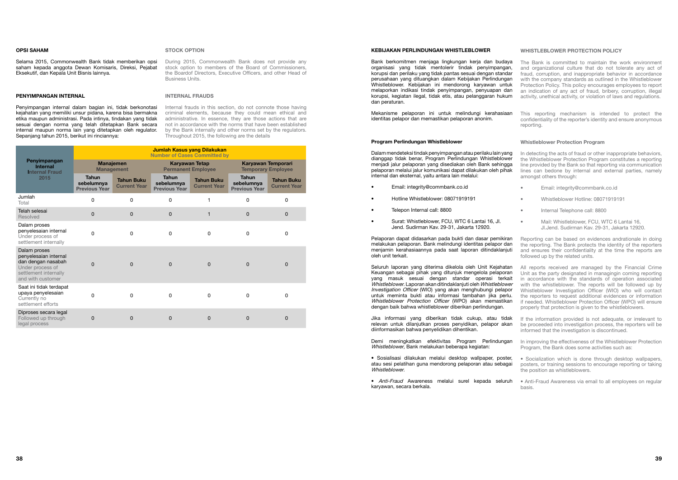#### Program Perlindungan Whistleblower

Dalam mendeteksi tindak penyimpangan atau perilaku lain yang dianggap tidak benar, Program Perlindungan Whistleblower menjadi jalur pelaporan yang disediakan oleh Bank sehingga pelaporan melalui jalur komunikasi dapat dilakukan oleh pihak internal dan eksternal, yaitu antara lain melalui:

- Email: integrity@commbank.co.id
- Hotline Whistleblower: 08071919191
- Telepon Internal call: 8800
- Surat: Whistleblower, FCU, WTC 6 Lantai 16, Jl. Jend. Sudirman Kav. 29-31, Jakarta 12920.

Pelaporan dapat didasarkan pada bukti dan dasar pemikiran melakukan pelaporan. Bank melindungi identitas pelapor dan menjamin kerahasiaannya pada saat laporan ditindaklanjuti oleh unit terkait.

Bank berkomitmen menjaga lingkungan kerja dan budaya organisasi yang tidak mentolerir tindak penyimpangan, korupsi dan perilaku yang tidak pantas sesuai dengan standar perusahaan yang dituangkan dalam Kebijakan Perlindungan Whistleblower. Kebijakan ini mendorong karyawan untuk melaporkan indikasi tindak penyimpangan, penyuapan dan korupsi, kegiatan ilegal, tidak etis, atau pelanggaran hukum dan peraturan. The Bank is committed to maintain the work environment and organizational culture that do not tolerate any act of fraud, corruption, and inappropriate behavior in accordance with the company standards as outlined in the Whistleblower Protection Policy. This policy encourages employees to report an indication of any act of fraud, bribery, corruption, illegal activity, unethical activity, or violation of laws and regulations.

Mekanisme pelaporan ini untuk melindungi kerahasiaan identitas pelapor dan memastikan pelaporan anonim. This reporting mechanism is intended to protect the confidentiality of the reporter's identity and ensure anonymous reporting.

Jika informasi yang diberikan tidak cukup, atau tidak relevan untuk dilanjutkan proses penyidikan, pelapor akan diinformasikan bahwa penyelidikan dihentikan.

Demi meningkatkan efektivitas Program Perlindungan Whistleblower, Bank melakukan beberapa kegiatan:

• Sosialisasi dilakukan melalui desktop wallpaper, poster, atau sesi pelatihan guna mendorong pelaporan atau sebagai Whistleblower.

If the information provided is not adequate, or irrelevant to be proceeded into investigation process, the reporters will be informed that the investigation is discontinued.

#### WHISTLEBLOWER PROTECTION POLICY

Seluruh laporan yang diterima dikelola oleh Unit Kejahatan Keuangan sebagai pihak yang ditunjuk mengelola pelaporan yang masuk sesuai dengan standar operasi terkait Whistleblower. Laporan akan ditindaklanjuti oleh Whistleblower Investigation Officer (WIO) yang akan menghubungi pelapor untuk meminta bukti atau informasi tambahan jika perlu. Whistleblower Protection Officer (WPO) akan memastikan dengan baik bahwa whistleblower diberikan perlindungan. All reports received are managed by the Financial Crime Unit as the party designated in managingin coming reporting in accordance with the standards of operation associated with the whistleblower. The reports will be followed up by Whistleblower Investigation Officer (WIO) who will contact the reporters to request additional evidences or information if needed. Whistleblower Protection Officer (WPO) will ensure properly that protection is given to the whistleblowers.

#### Whistleblower Protection Program

- In detecting the acts of fraud or other inappropriate behaviors, the Whistleblower Protection Program constitutes a reporting line provided by the Bank so that reporting via communication lines can bedone by internal and external parties, namely amongst others through:
- Email: integrity@commbank.co.id
- Whistleblower Hotline: 08071919191
- Internal Telephone call: 8800
- Mail: Whistleblower, FCU, WTC 6 Lantai 16, Jl.Jend. Sudirman Kav. 29-31, Jakarta 12920.

• Anti-Fraud Awareness melalui surel kepada seluruh karyawan, secara berkala. • Anti-Fraud Awareness via email to all employees on regular basis.

Reporting can be based on evidences andrationale in doing the reporting. The Bank protects the identity of the reporters and ensures their confidentiality at the time the reports are followed up by the related units.

In improving the effectiveness of the Whistleblower Protection Program, the Bank does some activities such as:

• Socialization which is done through desktop wallpapers, posters, or training sessions to encourage reporting or taking the position as whistleblowers.

#### OPSI SAHAM

Selama 2015, Commonwealth Bank tidak memberikan opsi saham kepada anggota Dewan Komisaris, Direksi, Pejabat Eksekutif, dan Kepala Unit Bisnis lainnya.

#### PENYIMPANGAN INTERNAL

Penyimpangan internal dalam bagian ini, tidak berkonotasi kejahatan yang memiliki unsur pidana, karena bisa bermakna etika maupun administrasi. Pada intinya, tindakan yang tidak sesuai dengan norma yang telah ditetapkan Bank secara internal maupun norma lain yang ditetapkan oleh regulator. Sepanjang tahun 2015, berikut ini rinciannya:

|                                                                                                                               | <b>Jumlah Kasus yang Dilakukan</b><br><b>Number of Cases Committed by</b> |                                          |                                                    |                                          |                                                    |                                          |  |  |
|-------------------------------------------------------------------------------------------------------------------------------|---------------------------------------------------------------------------|------------------------------------------|----------------------------------------------------|------------------------------------------|----------------------------------------------------|------------------------------------------|--|--|
| Penyimpangan<br><b>Internal</b><br><b>Internal Fraud</b>                                                                      | <b>Manajemen</b><br><b>Management</b>                                     |                                          | <b>Karyawan Tetap</b><br><b>Permanent Employee</b> |                                          | Karyawan Temporari<br><b>Temporary Employee</b>    |                                          |  |  |
| 2015                                                                                                                          | <b>Tahun</b><br>sebelumnya<br><b>Previous Year</b>                        | <b>Tahun Buku</b><br><b>Current Year</b> | <b>Tahun</b><br>sebelumnya<br><b>Previous Year</b> | <b>Tahun Buku</b><br><b>Current Year</b> | <b>Tahun</b><br>sebelumnya<br><b>Previous Year</b> | <b>Tahun Buku</b><br><b>Current Year</b> |  |  |
| Jumlah<br>Total                                                                                                               | 0                                                                         | $\mathbf 0$                              | 0                                                  |                                          | 0                                                  | 0                                        |  |  |
| Telah selesai<br><b>Resolved</b>                                                                                              | 0                                                                         | $\mathbf 0$                              | 0                                                  | 1                                        | $\mathbf{0}$                                       | 0                                        |  |  |
| Dalam proses<br>penyelesaian internal<br>Under process of<br>settlement internally                                            | 0                                                                         | 0                                        | 0                                                  | 0                                        | 0                                                  | 0                                        |  |  |
| Dalam proses<br>penyelesaian internal<br>dan dengan nasabah<br>Under process of<br>settlement internally<br>and with customer | 0                                                                         | 0                                        | 0                                                  | $\Omega$                                 | $\Omega$                                           | 0                                        |  |  |
| Saat ini tidak terdapat<br>upaya penyelesaian<br>Currently no<br>settlement efforts                                           | 0                                                                         | $\mathbf{0}$                             | 0                                                  | 0                                        | 0                                                  | 0                                        |  |  |
| Diproses secara legal<br>Followed up through<br>legal process                                                                 | 0                                                                         | 0                                        | $\mathbf 0$                                        | 0                                        | $\Omega$                                           | 0                                        |  |  |

#### KEBIJAKAN PERLINDUNGAN WHISTLEBLOWER

#### STOCK OPTION

During 2015, Commonwealth Bank does not provide any stock option to members of the Board of Commissioners. the Boardof Directors, Executive Officers, and other Head of Business Units.

#### INTERNAL FRAUDS

Internal frauds in this section, do not connote those having criminal elements, because they could mean ethical and administrative. In essence, they are those actions that are not in accordance with the norms that have been established by the Bank internally and other norms set by the regulators. Throughout 2015, the following are the details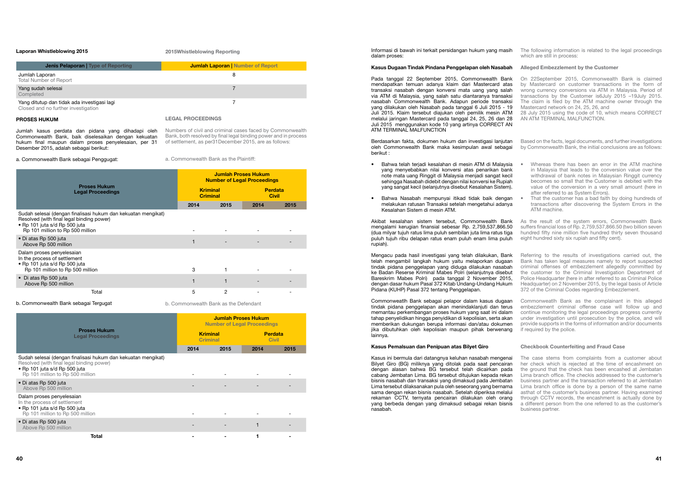Informasi di bawah ini terkait persidangan hukum yang masih dalam proses:

#### Kasus Dugaan Tindak Pindana Penggelapan oleh Nasabah

Berdasarkan fakta, dokumen hukum dan investigasi lanjutan oleh Commonwealth Bank maka kesimpulan awal sebagai berikut :

Mengacu pada hasil investigasi yang telah dilakukan, Bank telah mengambil langkah hukum yaitu melaporkan dugaan tindak pidana penggelapan yang diduga dilakukan nasabah ke Badan Reserse Kriminal Mabes Polri (selanjutnya disebut Bareskrim Mabes Polri) pada tanggal 2 November 2015, dengan dasar hukum Pasal 372 Kitab Undang-Undang Hukum Pidana (KUHP) Pasal 372 tentang Penggelapan.

- Bahwa telah terjadi kesalahan di mesin ATM di Malaysia yang menyebabkan nilai konversi atas penarikan bank note mata uang Ringgit di Malaysia menjadi sangat kecil sehingga Nasabah didebit dengan nilai konversi ke Rupiah yang sangat kecil (selanjutnya disebut Kesalahan Sistem).
- Bahwa Nasabah mempunyai itikad tidak baik dengan melakukan ratusan Transaksi setelah mengetahui adanya Kesalahan Sistem di mesin ATM.

Akibat kesalahan sistem tersebut, Commonwealth Bank mengalami kerugian finansial sebesar Rp. 2,759,537,866.50 (dua milyar tujuh ratus lima puluh sembilan juta lima ratus tiga puluh tujuh ribu delapan ratus enam puluh enam lima puluh rupiah).

The following information is related to the legal proceedings which are still in process:

Pada tanggal 22 September 2015, Commonwealth Bank mendapatkan temuan adanya klaim dari Mastercard atas transaksi nasabah dengan konversi mata uang yang salah via ATM di Malaysia, yang salah satu diantaranya transaksi nasabah Commonwealth Bank. Adapun periode transaksi yang dilakukan oleh Nasabah pada tanggal 6 Juli 2015 - 19 Juli 2015. Klaim tersebut diajukan oleh pemilik mesin ATM melalui jaringan Mastercard pada tanggal 24, 25, 26 dan 28 Juli 2015 menggunakan kode 10 yang artinya CORRECT AN ATM TERMINAL MALFUNCTION On 22September 2015, Commonwealth Bank is claimed by Mastercard on customer transactions in the form of wrong currency conversions via ATM in Malaysia. Period of transactions by the Customer is6July 2015 –19July 2015. The claim is filed by the ATM machine owner through the Mastercard network on 24, 25, 26, and 28 July 2015 using the code of 10, which means CORRECT AN ATM TERMINAL MALFUNCTION.

Commonweatlh Bank sebagai pelapor dalam kasus dugaan tindak pidana penggelapan akan menindaklanjuti dan terus memantau perkembangan proses hukum yang saat ini dalam tahap penyelidikan hingga penyidikan di kepolisian, serta akan memberikan dukungan berupa informasi dan/atau dokumen jika dibutuhkan oleh kepolisian maupun pihak berwenang lainnya.

#### Kasus Pemalsuan dan Penipuan atas Bilyet Giro

#### Alleged Embezzlement by the Customer

Based on the facts, legal documents, and further investigations by Commonwealth Bank, the initial conclusions are as follows:

Kasus ini bermula dari datangnya keluhan nasabah mengenai Bilyet Giro (BG) miliknya yang ditolak pada saat pencairan dengan alasan bahwa BG tersebut telah dicairkan pada cabang Jembatan Lima. BG tersebut ditujukan kepada rekan bisnis nasabah dan transaksi yang dimaksud pada Jembatan Lima tersebut dilaksanakan pula oleh seseorang yang bernama sama dengan rekan bisnis nasabah. Setelah diperiksa melalui rekaman CCTV, ternyata pencairan dilakukan oleh orang yang berbeda dengan yang dimaksud sebagai rekan bisnis nasabah. The case stems from complaints from a customer about her check which is rejected at the time of encashment on the ground that the check has been encashed at Jembatan Lima branch office. The checkis addressed to the customer's business partner and the transaction referred to at Jembatan Lima branch office is done by a person of the same name asthat of the customer's business partner. Having examined through CCTV records, the encashment is actually done by a different person from the one referred to as the customer's business partner.

- Whereas there has been an error in the ATM machine in Malaysia that leads to the conversion value over the withdrawal of bank notes in Malaysian Ringgit currency becomes so small that the Customer is debited with the value of the conversion in a very small amount (here in after referred to as System Errors).
- That the customer has a bad faith by doing hundreds of transactions after discovering the System Errors in the ATM machine.
- As the result of the system errors, Commonwealth Bank suffers financial loss of Rp. 2,759,537,866.50 (two billion seven hundred fifty nine million five hundred thirty seven thousand eight hundred sixty six rupiah and fifty cent).
- Referring to the results of investigations carried out, the Bank has taken legal measures namely to report suspected criminal offenses of embezzlement allegedly committed by the customer to the Criminal Investigation Department of Police Headquarter (here in after referred to as Criminal Police Headquarter) on 2 November 2015, by the legal basis of Article 372 of the Criminal Codes regarding Embezzlement.
- Commonweatlh Bank as the complainant in this alleged embezzlement criminal offense case will follow up and continue monitoring the legal proceedings progress currently under investigation until prosecution by the police, and will provide supports in the forms of information and/or documents if required by the police.

#### Checkbook Counterfeiting and Fraud Case

#### Laporan Whistleblowing 2015

| <b>Jenis Pelaporan   Type of Reporting</b>                                         | <b>Jumlah Laporan   Number of Report</b> |
|------------------------------------------------------------------------------------|------------------------------------------|
| Jumlah Laporan<br><b>Total Number of Report</b>                                    | 8                                        |
| Yang sudah selesai<br>Completed                                                    |                                          |
| Yang ditutup dan tidak ada investigasi lagi<br>Closed and no further investigation |                                          |

#### PROSES HUKUM

Jumlah kasus perdata dan pidana yang dihadapi oleh Commonwealth Bank, baik diselesaikan dengan kekuatan hukum final maupun dalam proses penyelesaian, per 31 Desember 2015, adalah sebagai berikut:

a. Commonwealth Bank sebagai Penggugat:

|                                                                                                                                                                                 | <b>Jumlah Proses Hukum</b><br><b>Number of Legal Proceedings</b> |      |                         |      |
|---------------------------------------------------------------------------------------------------------------------------------------------------------------------------------|------------------------------------------------------------------|------|-------------------------|------|
| <b>Proses Hukum</b><br><b>Legal Proceedings</b>                                                                                                                                 | <b>Kriminal</b><br><b>Criminal</b>                               |      | Perdata<br><b>Civil</b> |      |
|                                                                                                                                                                                 | 2014                                                             | 2015 | 2014                    | 2015 |
| Sudah selesai (dengan finalisasi hukum dan kekuatan mengikat)<br>Resolved (with final legal binding power)<br>• Rp 101 juta s/d Rp 500 juta<br>Rp 101 million to Rp 500 million |                                                                  |      |                         |      |
| • Di atas Rp 500 juta<br>Above Rp 500 million                                                                                                                                   |                                                                  |      |                         |      |
| Dalam proses penyelesaian<br>In the process of settlement<br>• Rp 101 juta s/d Rp 500 juta<br>Rp 101 million to Rp 500 million                                                  | 3                                                                |      |                         |      |
| • Di atas Rp 500 juta<br>Above Rp 500 million                                                                                                                                   |                                                                  |      |                         |      |
| Total                                                                                                                                                                           | 5                                                                | 2    |                         |      |

b. Commonwealth Bank sebagai Tergugat

|                                                                                                                                                                                 |                                    | <b>Jumlah Proses Hukum</b><br><b>Number of Legal Proceedings</b> |                                |      |  |
|---------------------------------------------------------------------------------------------------------------------------------------------------------------------------------|------------------------------------|------------------------------------------------------------------|--------------------------------|------|--|
| <b>Proses Hukum</b><br><b>Legal Proceedings</b>                                                                                                                                 | <b>Kriminal</b><br><b>Criminal</b> |                                                                  | <b>Perdata</b><br><b>Civil</b> |      |  |
|                                                                                                                                                                                 | 2014                               | 2015                                                             | 2014                           | 2015 |  |
| Sudah selesai (dengan finalisasi hukum dan kekuatan mengikat)<br>Resolved (with final legal binding power)<br>• Rp 101 juta s/d Rp 500 juta<br>Rp 101 million to Rp 500 million |                                    |                                                                  |                                |      |  |
| • Di atas Rp 500 juta<br>Above Rp 500 million                                                                                                                                   |                                    |                                                                  |                                |      |  |
| Dalam proses penyelesaian<br>In the process of settlement<br>• Rp 101 juta s/d Rp 500 juta<br>Rp 101 million to Rp 500 million                                                  |                                    |                                                                  |                                |      |  |
| • Di atas Rp 500 juta<br>Above Rp 500 million                                                                                                                                   |                                    |                                                                  |                                |      |  |
| Total                                                                                                                                                                           |                                    |                                                                  |                                |      |  |

LEGAL PROCEEDINGS

Numbers of civil and criminal cases faced by Commonwealth Bank, both resolved by final legal binding power and in process of settlement, as per31December 2015, are as follows:

a. Commonwealth Bank as the Plaintiff:

b. Commonwealth Bank as the Defendant

2015Whistleblowing Reporting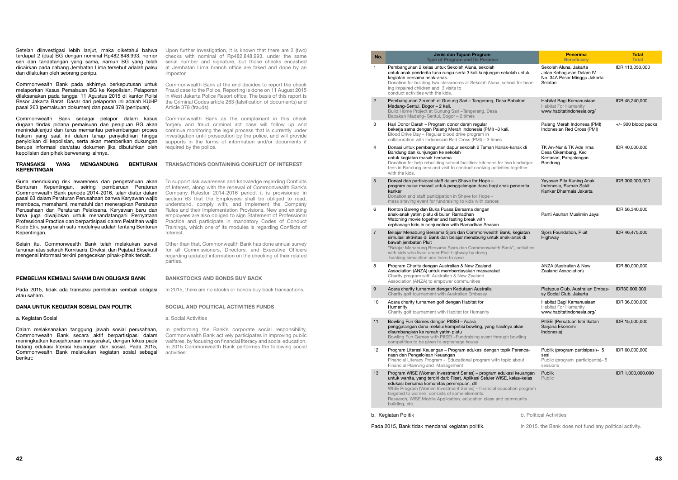- 5 Donasi dan partisipasi staff dalam Shave for Hope
	-
- 6 Nonton Bareng dan Buka Puasa Bersama dengan
- 

| No. | Jenis dan Tujuan Program<br><b>Type of Program and Its Purpose</b>                                                                                                                                                                                                                                                                                                                                         | <b>Penerima</b><br><b>Beneficiary</b>                                                         | <b>Total</b><br><b>Total</b> |
|-----|------------------------------------------------------------------------------------------------------------------------------------------------------------------------------------------------------------------------------------------------------------------------------------------------------------------------------------------------------------------------------------------------------------|-----------------------------------------------------------------------------------------------|------------------------------|
| 1   | Pembangunan 2 kelas untuk Sekolah Aluna, sekolah<br>untuk anak penderita tuna rungu serta 3 kali kunjungan sekolah untuk<br>kegiatan bersama anak-anak.<br>Donation for building two classrooms at Sekolah Aluna, school for hear-<br>ing impaired children and 3 visits to<br>conduct activities with the kids.                                                                                           | Sekolah Aluna, Jakarta<br>Jalan Kebagusan Dalam IV<br>No. 34A Pasar Minggu Jakarta<br>Selatan | IDR 113,050,000              |
| 2   | Pembangunan 2 rumah di Gunung Sari - Tangerang, Desa Babakan<br>Madang-Sentul, Bogor - 2 kali.<br>Build Home Project at Gunung Sari - Tangerang, Desa<br>Babakan Madang-Sentul, Bogor - 2 times                                                                                                                                                                                                            | Habitat Bagi Kemanusiaan<br><b>Habitat For Humanity</b><br>www.habitatindonesia.org/          | IDR 45,240,000               |
| 3   | Hari Donor Darah - Program donor darah regular<br>bekerja sama dengan Palang Merah Indonesia (PMI) -3 kali.<br>Blood Drive Day - Regular blood drive program in<br>collaboration with Indonesian Red Cross (PMI) - 3 times                                                                                                                                                                                 | Palang Merah Indonesa (PMI)<br>Indonesian Red Cross (PMI)                                     | $+/-$ 300 blood packs        |
| 4   | Donasi untuk pembangunan dapur sekolah 2 Taman Kanak-kanak di<br>Bandung dan kunjungan ke sekolah<br>untuk kegiatan masak bersama<br>Donation for help rebuilding school facilities: kitchens for two kindergar-<br>tens in Bandung area and visit to conduct cooking activities together<br>with the kids.                                                                                                | TK An-Nur & TK Ade Irma<br>Desa Cikembang, Kec<br>Kertasari, Pangalengan<br>Bandung           | IDR 40,000,000               |
| 5   | Donasi dan partisipasi staff dalam Shave for Hope -<br>program cukur massal untuk penggalangan dana bagi anak penderita<br>kanker<br>Donation and staff participation in Shave for Hope -<br>mass shaving event for fundraising to kids with cancer.                                                                                                                                                       | Yayasan Pita Kuning Anak<br>Indonesia, Rumah Sakit<br>Kanker Dharmais Jakarta                 | IDR 300,000,000              |
| 6   | Nonton Bareng dan Buka Puasa Bersama dengan<br>anak-anak yatim piatu di bulan Ramadhan<br>Watching movie together and fasting break with<br>orphanage kids in conjunction with Ramadhan Season                                                                                                                                                                                                             | Panti Asuhan Muslimin Jaya                                                                    | IDR 56,340,000               |
| 7   | Belajar Menabung Bersama Sjors dan Commonwealth Bank, kegiatan<br>simulasi aktivitas di Bank dan belajar menabung untuk anak-anak di<br>bawah jembatan Pluit<br>"Belajar Menabung Bersama Sjors dan Commonwealth Bank", activities<br>with kids who lived under Pluit highway by doing<br>banking simulation and learn to save.                                                                            | Sjors Foundation, Pluit<br>Highway                                                            | IDR 46,475,000               |
| 8   | Program Charity dengan Australian & New Zealand<br>Association (ANZA) untuk memberdayakan masyarakat<br>Charity program with Australian & New Zealand<br>Association (ANZA) to empower communities                                                                                                                                                                                                         | ANZA (Australian & New<br>Zealand Association)                                                | IDR 80,000,000               |
| 9   | Acara charity turnamen dengan Kedutaan Australia<br>Charity golf tournament with Australian Embassy                                                                                                                                                                                                                                                                                                        | Platypus Club, Australian Embas-<br>sy Social Club, Jakarta                                   | IDR30,000,000                |
| 10  | Acara charity turnamen golf dengan Habitat for<br>Humanity<br>Charity golf tournament with Habitat for Humanity                                                                                                                                                                                                                                                                                            | Habitat Bagi Kemanusiaan<br><b>Habitat For Humanity</b><br>www.habitatindonesia.org/          | IDR 36,000,000               |
| 11  | Bowling Fun Games dengan PIISEI - Acara<br>penggalangan dana melalui kompetisi bowling, yang hasilnya akan<br>disumbangkan ke rumah yatim piatu<br>Bowling Fun Games with PIISEI - Fundraising event through bowling<br>competition to be given to orphanage house                                                                                                                                         | PIISEI (Persatuan Istri Ikatan<br>Sarjana Ekonomi<br>Indonesia)                               | IDR 15,000,000               |
| 12  | Program Literasi Keuangan – Program edukasi dengan topik Perenca-<br>naan dan Pengelolaan Keuangan<br>Financial Literacy Program - Educational program with topic about<br>Financial Planning and Management                                                                                                                                                                                               | Publik (program partisipasi)- 5<br>sesi<br>Public (program participants)-5<br>sessions        | IDR 60,000,000               |
| 13  | Program WISE (Women Investment Series) – program edukasi keuangan<br>untuk wanita, yang terdiri dari: Riset, Aplikasi Seluler WISE, kelas-kelas<br>edukasi bersama komunitas perempuan, dll<br>WISE Program (Women Investment Series) - financial education program<br>targeted to women, consists of some elements:<br>Research, WISE Mobile Application, education class and community<br>building, etc. | Publik<br>Public                                                                              | IDR 1,000,000,000            |

- 8 Program Charity dengan Australian & New Zealand
- 9 Acara charity turnamen dengan Kedutaan Australia
- 10 Acara charity turnamen golf dengan Habitat for
	-
- 
- 
- 
- b. Kegiatan Politik

Pada 2015, Bank tidak mendanai kegiatan politik.

b. Political Activities

In 2015, the Bank does not fund any political activity.

Setelah diinvestigasi lebih lanjut, maka diketahui bahwa terdapat 2 (dua) BG dengan nominal Rp482,848,993, nomor seri dan tandatangan yang sama, namun BG yang telah dicairkan pada cabang Jembatan Lima tersebut adalah palsu dan dilakukan oleh seorang penipu.

Commonwealth Bank pada akhirnya berkeputusan untuk melaporkan Kasus Pemalsuan BG ke Kepolisian. Pelaporan dilaksanakan pada tanggal 11 Agustus 2015 di kantor Polisi Resor Jakarta Barat. Dasar dari pelaporan ini adalah KUHP pasal 263 (pemalsuan dokumen) dan pasal 378 (penipuan).

Commonwealth Bank sebagai pelapor dalam kasus dugaan tindak pidana pemalsuan dan penipuan BG akan menindaklanjuti dan terus memantau perkembangan proses hukum yang saat ini dalam tahap penyelidikan hingga penyidikan di kepolisian, serta akan memberikan dukungan berupa informasi dan/atau dokumen jika dibutuhkan oleh kepolisian dan pihak berwenang lainnya.

#### TRANSAKSI YANG MENGANDUNG BENTURAN TRANSACTIONS CONTAINING CONFLICT OF INTEREST KEPENTINGAN

Guna mendukung risk awareness dan pengetahuan akan Benturan Kepentingan, seiring pembaruan Peraturan Commonwealth Bank periode 2014-2016, telah diatur dalam pasal 63 dalam Peraturan Perusahaan bahwa Karyawan wajib membaca, memahami, mematuhi dan menerapkan Peraturan Perusahaan dan Peraturan Pelaksana. Karyawan baru dan lama juga diwajibkan untuk menandatangani Pernyataan Professional Practice dan berpartisipasi dalam Pelatihan wajib Kode Etik, yang salah satu modulnya adalah tentang Benturan Kepentingan.

Selain itu, Commonwealth Bank telah melakukan survei tahunan atas seluruh Komisaris, Direksi, dan Pejabat Eksekutif mengenai informasi terkini pengecekan pihak-pihak terkait.

#### PEMBELIAN KEMBALI SAHAM DAN OBLIGASI BANK

Pada 2015, tidak ada transaksi pembelian kembali obligasi atau saham.

#### DANA UNTUK KEGIATAN SOSIAL DAN POLITIK

#### a. Kegiatan Sosial

Dalam melaksanakan tanggung jawab sosial perusahaan, Commonwealth Bank secara aktif berpartisipasi dalam meningkatkan kesejahteraan masyarakat, dengan fokus pada bidang edukasi literasi keuangan dan sosial. Pada 2015, Commonwealth Bank melakukan kegiatan sosial sebagai berikut:

Upon further investigation, it is known that there are 2 (two) checks with nominal of Rp482,848,993, under the same serial number and signature, but those checks encashed at Jembatan Lima branch office are faked and done by an impostor.

Commonwealth Bank at the end decides to report the check Fraud case to the Police. Reporting is done on 11 August 2015 in West Jakarta Police Resort office. The basis of this report is the Criminal Codes article 263 (falsification of documents) and Article 378 (frauds).

Commonwealth Bank as the complainant in this check forgery and fraud criminal act case will follow up and continue monitoring the legal process that is currently under investigation until prosecution by the police, and will provide supports in the forms of information and/or documents if required by the police.

To support risk awareness and knowledge regarding Conflicts of Interest, along with the renewal of Commonwealth Bank's Company Rulesfor 2014-2016 period, it is provisioned in section 63 that the Employees shall be obliged to read. understand, comply with, and implement the Company Rules and their Implementation Provisions. New and existing employees are also obliged to sign Statement of Professional Practice and participate in mandatory Codes of Conduct Trainings, which one of its modules is regarding Conflicts of Interest.

Other than that, Commonwealth Bank has done annual survey for all Commissioners, Directors, and Executive Officers regarding updated information on the checking of their related parties.

#### BANKSTOCKS AND BONDS BUY BACK

In 2015, there are no stocks or bonds buy back transactions.

#### SOCIAL AND POLITICAL ACTIVITIES FUNDS

#### a. Social Activities

In performing the Bank's corporate social responsibility, Commonwealth Bank actively participates in improving public welfares, by focusing on financial literacy and social education. In 2015 Commonwealth Bank performes the following social activities: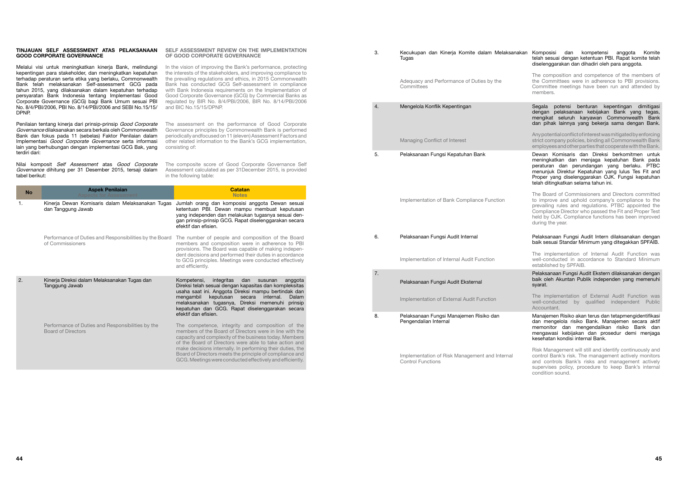#### 3. Kecukupan dan Kinerja Komite dalam Melaksanakan Komposisi dan kompetensi anggota Komite telah sesuai dengan ketentuan PBI. Rapat komite telah diselenggarakan dan dihadiri oleh para anggota.

The composition and competence of the members of the Committees were in adherence to PBI provisions. Committee meetings have been run and attended by members.

Segala potensi benturan kepentingan dimitigasi dengan pelaksanaan kebijakan Bank yang tegas, mengikat seluruh karyawan Commonwealth Bank dan pihak lainnya yang bekerja sama dengan Bank.

Any potential conflict of interest was mitigated by enforcing strict company policies, binding all Commonwealth Bank employees and other parties that cooperate with the Bank.

Dewan Komisaris dan Direksi berkomitmen untuk meningkatkan dan menjaga kepatuhan Bank pada peraturan dan perundangan yang berlaku. PTBC menunjuk Direktur Kepatuhan yang lulus Tes Fit and Proper yang diselenggarakan OJK. Fungsi kepatuhan telah ditingkatkan selama tahun ini.

The Board of Commissioners and Directors committed to improve and uphold company's compliance to the prevailing rules and regulations. PTBC appointed the Compliance Director who passed the Fit and Proper Test held by OJK. Compliance functions has been improved during the year.

#### Pelaksanaan Fungsi Audit Intern dilaksanakan dengan baik sesuai Standar Minimum yang ditegakkan SPFAIB.

The implementation of Internal Audit Function was well-conducted in accordance to Standard Minimum established by SPFAIB.

Pelaksanaan Fungsi Audit Ekstern dilaksanakan dengan baik oleh Akuntan Publik independen yang memenuhi syarat.

The implementation of External Audit Function was well-conducted by qualified independent Public Accountant.

Manajemen Risiko akan terus dan tetapmengidentifikasi dan mengelola risiko Bank. Manajemen secara aktif memonitor dan mengendalikan risiko Bank dan mengawasi kebijakan dan prosedur demi menjaga kesehatan kondisi internal Bank.

Risk Management will still and identify continuously and control Bank's risk. The management actively monitors and controls Bank's risks and management actively supervises policy, procedure to keep Bank's internal condition sound.

|                                                                                                                                                                                                                                                                                                                                                                                                                 | TINJAUAN SELF ASSESSMENT ATAS PELAKSANAAN<br><b>GOOD CORPORATE GOVERNANCE</b>                                                                                                                                                                  | SELF ASSESSMENT REVIEW ON THE IMPLEMENTATION<br>OF GOOD CORPORATE GOVERNANCE                                                                                                                                                                                                                                                                                                                                                              | 3. |
|-----------------------------------------------------------------------------------------------------------------------------------------------------------------------------------------------------------------------------------------------------------------------------------------------------------------------------------------------------------------------------------------------------------------|------------------------------------------------------------------------------------------------------------------------------------------------------------------------------------------------------------------------------------------------|-------------------------------------------------------------------------------------------------------------------------------------------------------------------------------------------------------------------------------------------------------------------------------------------------------------------------------------------------------------------------------------------------------------------------------------------|----|
| Melalui visi untuk meningkatkan kinerja Bank, melindungi<br>kepentingan para stakeholder, dan meningkatkan kepatuhan<br>terhadap peraturan serta etika yang berlaku, Commonwealth<br>Bank telah melaksanakan Self-assessment GCG pada<br>tahun 2015, yang dilaksanakan dalam kepatuhan terhadap<br>persyaratan Bank Indonesia tentang Implementasi Good<br>Corporate Governance (GCG) bagi Bank Umum sesuai PBI |                                                                                                                                                                                                                                                | In the vision of improving the Bank's performance, protecting<br>the interests of the stakeholders, and improving compliance to<br>the prevailing regulations and ethics, in 2015 Commonwealth<br>Bank has conducted GCG Self-assessment in compliance<br>with Bank Indonesia requirements on the Implementation of<br>Good Corporate Governance (GCG) by Commercial Banks as<br>regulated by BIR No. 8/4/PBI/2006, BIR No. 8/14/PBI/2006 | 4. |
| DPNP.                                                                                                                                                                                                                                                                                                                                                                                                           | No. 8/4/PBI/2006, PBI No. 8/14/PBI/2006 and SEBI No.15/15/                                                                                                                                                                                     | and BIC No.15/15/DPNP.                                                                                                                                                                                                                                                                                                                                                                                                                    |    |
|                                                                                                                                                                                                                                                                                                                                                                                                                 | Penilaian tentang kinerja dari prinsip-prinsip Good Corporate<br>Governance dilaksanakan secara berkala oleh Commonwealth<br>Bank dan fokus pada 11 (sebelas) Faktor Penilaian dalam<br>Implementasi Good Corporate Governance serta informasi | The assessment on the performance of Good Corporate<br>Governance principles by Commonwealth Bank is performed<br>periodically andfocused on 11 (eleven) Assessment Factors and<br>other related information to the Bank's GCG implementation,                                                                                                                                                                                            |    |
| terdiri dari:                                                                                                                                                                                                                                                                                                                                                                                                   | lain yang berhubungan dengan implementasi GCG Bak, yang                                                                                                                                                                                        | consisting of:                                                                                                                                                                                                                                                                                                                                                                                                                            | 5. |
| tabel berikut:                                                                                                                                                                                                                                                                                                                                                                                                  | Nilai komposit Self Assessment atas Good Corporate<br>Governance dihitung per 31 Desember 2015, tersaji dalam                                                                                                                                  | The composite score of Good Corporate Governance Self<br>Assessment calculated as per 31December 2015, is provided<br>in the following table:                                                                                                                                                                                                                                                                                             |    |
| <b>No</b>                                                                                                                                                                                                                                                                                                                                                                                                       | <b>Aspek Penilaian</b><br>Aspects for Assessment                                                                                                                                                                                               | <b>Catatan</b><br><b>Notes</b>                                                                                                                                                                                                                                                                                                                                                                                                            |    |
| 1.                                                                                                                                                                                                                                                                                                                                                                                                              | dan Tanggung Jawab                                                                                                                                                                                                                             | Kinerja Dewan Komisaris dalam Melaksanakan Tugas Jumlah orang dan komposisi anggota Dewan sesuai<br>ketentuan PBI. Dewan mampu membuat keputusan<br>yang independen dan melakukan tugasnya sesuai den-<br>gan prinsip-prinsip GCG. Rapat diselenggarakan secara<br>efektif dan efisien.                                                                                                                                                   |    |
|                                                                                                                                                                                                                                                                                                                                                                                                                 | Performance of Duties and Responsibilities by the Board<br>of Commissioners                                                                                                                                                                    | The number of people and composition of the Board<br>members and composition were in adherence to PBI<br>provisions. The Board was capable of making indepen-<br>dent decisions and performed their duties in accordance                                                                                                                                                                                                                  | 6. |
|                                                                                                                                                                                                                                                                                                                                                                                                                 |                                                                                                                                                                                                                                                |                                                                                                                                                                                                                                                                                                                                                                                                                                           |    |
|                                                                                                                                                                                                                                                                                                                                                                                                                 |                                                                                                                                                                                                                                                | to GCG principles. Meetings were conducted effectively<br>and efficiently.                                                                                                                                                                                                                                                                                                                                                                | 7. |
|                                                                                                                                                                                                                                                                                                                                                                                                                 | Kinerja Direksi dalam Melaksanakan Tugas dan<br>Tanggung Jawab                                                                                                                                                                                 | Kompetensi, integritas dan susunan anggota<br>Direksi telah sesuai dengan kapasitas dan kompleksitas                                                                                                                                                                                                                                                                                                                                      |    |
|                                                                                                                                                                                                                                                                                                                                                                                                                 |                                                                                                                                                                                                                                                | usaha saat ini. Anggota Direksi mampu bertindak dan<br>mengambil keputusan secara internal.<br>Dalam<br>melaksanakan tugasnya, Direksi memenuhi prinsip                                                                                                                                                                                                                                                                                   |    |
| 2.                                                                                                                                                                                                                                                                                                                                                                                                              | Performance of Duties and Responsibilities by the                                                                                                                                                                                              | kepatuhan dan GCG. Rapat diselenggarakan secara<br>efektif dan efisien.<br>The competence, integrity and composition of the                                                                                                                                                                                                                                                                                                               | 8. |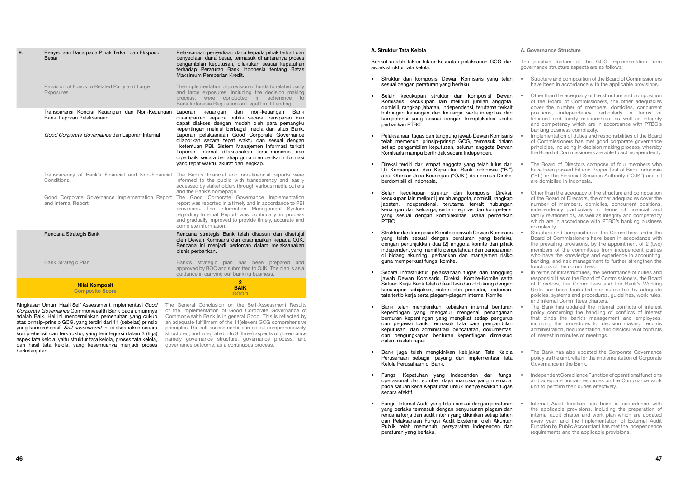#### A. Struktur Tata Kelola

Berikut adalah faktor-faktor kekuatan pelaksanan GCG dari aspek struktur tata kelola:

- Struktur dan komposisi Dewan Komisaris yang telah sesuai dengan peraturan yang berlaku.
- Selain kecukupan struktur dan komposisi Dewan Komisaris, kecukupan lain meliputi jumlah anggota, domisili, rangkap jabatan, independensi, terutama terkait hubungan keuangan dan keluarga, serta integritas dan kompetensi yang sesuai dengan kompleksitas usaha perbankan PTBC
- Pelaksanaan tugas dan tanggung jawab Dewan Komisaris telah memenuhi prinsip-prinsip GCG, termasuk dalam setiap pengambilan keputusan, seluruh anggota Dewan Komisaris mampu bertindak secara independen.
- Direksi terdiri dari empat anggota yang telah lulus dari Uji Kemampuan dan Kepatutan Bank Indonesia ("BI") atau Otoritas Jasa Keuangan ("OJK") dan semua Direksi berdomisili di Indonesia.
- Selain kecukupan struktur dan komposisi Direksi, kecukupan lain meliputi jumlah anggota, domisili, rangkap jabatan, independensi, terutama terkait hubungan keuangan dan keluarga, serta integritas dan kompetensi yang sesuai dengan kompleksitas usaha perbankan PTBC
- Struktur dan komposisi Komite dibawah Dewan Komisaris yang telah sesuai dengan peraturan yang berlaku, dengan penunjukkan dua (2) anggota komite dari pihak independen, yang memiliki pengetahuan dan pengalaman di bidang akunting, perbankan dan manajemen risiko guna memperkuat fungsi komite.
- Secara infrastruktur, pelaksanaan tugas dan tanggung jawab Dewan Komisaris, Direksi, Komite-Komite serta Satuan Kerja Bank telah difasilitasi dan didukung dengan kecukupan kebijakan, sistem dan prosedur, pedoman, tata tertib kerja serta piagam-piagam internal Komite
- Bank telah mengkinikan kebijakan internal benturan kepentingan yang mengatur mengenai penanganan benturan kepentingan yang mengikat setiap pengurus dan pegawai bank, termasuk tata cara pengambilan keputusan, dan administrasi pencatatan, dokumentasi dan pengungkapan benturan kepentingan dimaksud dalam risalah rapat.
- Bank juga telah mengkinikan kebijakan Tata Kelola Perusahaan sebagai payung dari implementasi Tata Kelola Perusahaan di Bank.
- Fungsi Kepatuhan yang independen dari fungsi operasional dan sumber daya manusia yang memadai pada satuan kerja Kepatuhan untuk menyelesaikan tugas secara efektif.
- Fungsi Internal Audit yang telah sesuai dengan peraturan yang berlaku termasuk dengan penyusunan piagam dan rencana kerja dari audit intern yang dikinikan setiap tahun dan Pelaksanaan Fungsi Audit Eksternal oleh Akuntan Publik telah memenuhi persyaratan independen dan peraturan yang berlaku.

#### A. Governance Structure

The positive factors of the GCG implementation from governance structure aspects are as follows:

- Structure and composition of the Board of Commissioners have been in accordance with the applicable provisions.
- Other than the adequacy of the structure and composition of the Board of Commissioners, the other adequacies cover the number of members, domiciles, concurrent positions, independency particularly in terms of financial and family relationships, as well as integrity and competency which are in accordance with PTBC's banking business complexity.
- Implementation of duties and responsibilities of the Board of Commissioners has met good corporate governance principles, including in decision making process, whereby the Board of Commissioners are able to act independently.
- The Board of Directors compose of four members who have been passed Fit and Proper Test of Bank Indonesia ("BI") or the Financial Services Authority ("OJK") and all are domiciled in Indonesia.
- Other than the adequacy of the structure and composition of the Board of Directors, the other adequacies cover the number of members, domiciles, concurrent positions, independency particularly in terms of financial and family relationships, as well as integrity and competency which are in accordance with PTBC's banking business complexity.
- Structure and composition of the Committees under the Board of Commissioners have been in accordance with the prevailing provisions, by the appointment of 2 (two) members of the committees from independent parties who have the knowledge and experience in accounting, banking, and risk management to further strengthen the functions of the committees.
- In terms of infrastructures, the performance of duties and responsibilities of the Board of Commissioners, the Board of Directors, the Committees and the Bank's Working Units has been facilitated and supported by adequate policies, systems and procedures, guidelines, work rules, and internal Committees charters.
- The Bank has updated the internal conflicts of interest policy concerning the handling of conflicts of interest that binds the bank's management and employees, including the procedures for decision making, records administration, documentation, and disclosure of conflicts of interest in minutes of meetings.
- The Bank has also updated the Corporate Governance policy as the umbrella for the implementation of Corporate Governance in the Bank.
- Independent Compliance Function of operational functions and adequate human resources on the Compliance work unit to perform their duties effectively.
- Internal Audit function has been in accordance with the applicable provisions, including the preparation of internal audit charter and work plan which are updated every year, and the Implementation of External Audit Function by Public Accountant has met the independence requirements and the applicable provisions.

Ringkasan Umum Hasil Self Assessment Implementasi Good The General Conclusion on the Self-Assessment Results of the Implementation of Good Corporate Governance of Commonwealth Bank is in general Good. This is reflected by an adequate fulfillment of the 11(eleven) GCG comprehensive principles. The self-assessmentis carried out comprehensively, structured, and integrated into 3 (three) aspects of governance namely governance structure, governance process, and governance outcome, as a continuous process.

| 9. | Penyediaan Dana pada Pihak Terkait dan Eksposur<br>Besar                                                                                    | Pelaksanaan penyediaan dana kepada pihak terkait dan<br>penyediaan dana besar, termasuk di antaranya proses<br>pengambilan keputusan, dilakukan sesuai kepatuhan<br>terhadap Peraturan Bank Indonesia tentang Batas<br>Maksimum Pemberian Kredit.                                                                                                                                                                                                                                                                         |
|----|---------------------------------------------------------------------------------------------------------------------------------------------|---------------------------------------------------------------------------------------------------------------------------------------------------------------------------------------------------------------------------------------------------------------------------------------------------------------------------------------------------------------------------------------------------------------------------------------------------------------------------------------------------------------------------|
|    | Provision of Funds to Related Party and Large<br>Exposures                                                                                  | The implementation of provision of funds to related party<br>and large exposures, including the decision making<br>process, were conducted in adherence<br>to<br>Bank Indonesia Regulation on Legal Limit Lending                                                                                                                                                                                                                                                                                                         |
|    | Transparansi Kondisi Keuangan dan Non-Keuangan<br>Bank, Laporan Pelaksanaan<br>Good Corporate Governance dan Laporan Internal               | Laporan<br>keuangan<br>dan<br>non-keuangan<br>Bank<br>disampaikan kepada publik secara transparan dan<br>dapat diakses dengan mudah oleh para pemangku<br>kepentingan melalui berbagai media dan situs Bank.<br>Laporan pelaksanaan Good Corporate Governance<br>dilaporkan secara tepat waktu dan sesuai dengan<br>ketentuan PBI. Sistem Manajemen Informasi terkait<br>Laporan internal dilaksanakan terus-menerus dan<br>diperbaiki secara bertahap guna memberikan informasi<br>yang tepat waktu, akurat dan lengkap. |
|    | Transparency of Bank's Financial and Non-Financial<br>Conditions,<br>Good Corporate Governance Implementation Report<br>and Internal Report | The Bank's financial and non-financial reports were<br>informed to the public with transparency and easily<br>accessed by stakeholders through various media outlets<br>and the Bank's homepage.<br>The Good Corporate Governance implementation<br>report was reported in a timely and in accordance to PBI<br>provisions. The Information Management System<br>regarding Internal Report was continually in process<br>and gradually improved to provide timely, accurate and<br>complete information.                  |
|    | Rencana Strategis Bank                                                                                                                      | Rencana strategis Bank telah disusun dan disetujui<br>oleh Dewan Komisaris dan disampaikan kepada OJK.<br>Rencana ini menjadi pedoman dalam melaksanakan<br>bisnis perbankan.                                                                                                                                                                                                                                                                                                                                             |
|    | <b>Bank Strategic Plan</b>                                                                                                                  | Bank's strategic plan has been prepared and<br>approved by BOC and submitted to OJK. The plan is as a<br>guidance in carrying out banking business.                                                                                                                                                                                                                                                                                                                                                                       |
|    | <b>Nilai Komposit</b><br><b>Composite Score</b>                                                                                             | $\overline{2}$<br><b>BAIK</b><br><b>GOOD</b>                                                                                                                                                                                                                                                                                                                                                                                                                                                                              |

Corporate Governance Commonwealth Bank pada umumnya adalah Baik. Hal ini mencerminkan pemenuhan yang cukup atas prinsip-prinsip GCG, yang terdiri dari 11 (sebelas) prinsip yang komprehensif. Self assessment ini dilaksanakan secara komprehensif dan terstruktur, yang terintegrasi dalam 3 (tiga) aspek tata kelola, yaitu struktur tata kelola, proses tata kelola, dan hasil tata kelola, yang kesemuanya menjadi proses berkelanjutan.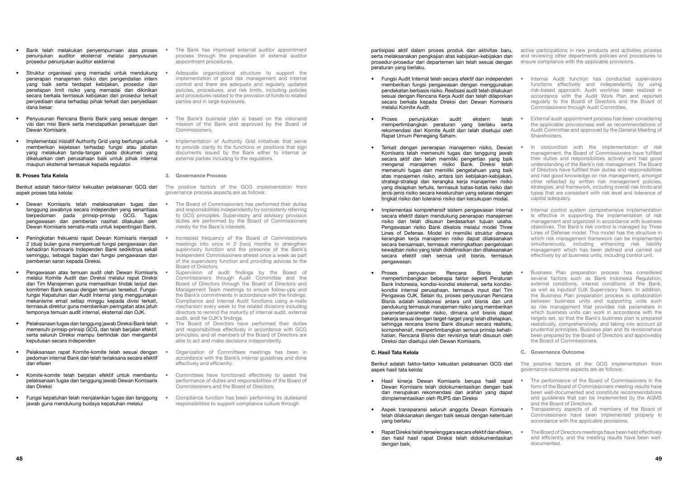partisipasi aktif dalam proses produk dan aktivitas baru, serta melaksanakan pengkajian atas kebijakan-kebijakan dan prosedur-prosedur dari departemen lain telah sesuai dengan peraturan yang berlaku.

- Fungsi Audit Internal telah secara efektif dan independen memberikan fungsi pengawasan dengan menggunakan pendekatan berbasis risiko. Realisasi audit telah dilakukan .<br>sesuai dengan Rencana Keria Audit dan telah dilaporkan secara berkala kepada Direksi dan Dewan Komisaris melalui Komite Audit.
- Proses penunjukkan audit ekstern telah mempertimbangkan peraturan yang berlaku serta rekomendasi dari Komite Audit dan telah disetujui oleh Rapat Umum Pemegang Saham.
- Terkait dengan penerapan manajemen risiko, Dewan Komisaris telah memenuhi tugas dan tanggung jawab secara aktif dan telah memiliki pengertian yang baik mengenai manajemen risiko Bank. Direksi telah memenuhi tugas dan memiliki pengetahuan yang baik atas manajemen risiko, antara lain kebijakan-kebijakan, strategi-strategi dan kerangka kerja manajemen risiko yang disiapkan tertulis, termasuk batas-batas risiko dan jenis-jenis risiko secara keseluruhan yang selaras dengan tingkat risiko dan toleransi risiko dari kecukupan modal.
- Implementasi komprehensif sistem pengawasan internal secara efektif dalam mendukung penerapan manajemen risiko dan telah disusun berdasarkan tujuan usaha. Pengawasan risiko Bank dikelola melalui model Three Lines of Defense. Model ini memiliki struktur dimana kerangkan kerja manajemen risiko dapat dilaksanakan secara bersamaan, termasuk meningkatkan pengelolaan kewajiban risiko yang telah didefinisikan dan dilaksanakan secara efektif oleh semua unit bisnis, termasuk pengawasan.
- Proses penyusunan Rencana Bisnis telah mempertimbangkan beberapa faktor seperti Peraturan Bank Indonesia, kondisi-kondisi eksternal, serta kondisikondisi internal perusahaan, termasuk input dari Tim Pengawas OJK. Selain itu, proses penyusunan Rencana Bisnis adalah kolaborasi antara unit bisnis dan unit pendukung termasuk manajemen risiko yang memberikan parameter-parameter risiko, dimana unit bisnis dapat bekerja sesuai dengan target-target yang telah ditetapkan, sehingga rencana bisnis Bank disusun secara realistis, komprehensif, mempertimbangkan semua prinsip kehatihatian. Rencana Bisnis dan revisinya telah disusun oleh Direksi dan disetujui oleh Dewan Komisaris.

#### C. Hasil Tata Kelola

Berikut adalah faktor-faktor kekuatan pelaksanan GCG dari aspek hasil tata kelola:

- Hasil kinerja Dewan Komisaris berupa hasil rapat Dewan Komisaris telah didokumentasikan dengan baik dan merupakan rekomendasi dan arahan yang dapat diimplementasikan oleh RUPS dan Direksi
- Aspek transparansi seluruh anggota Dewan Komisaris telah dilaksanakan dengan baik sesuai dengan ketentuan yang berlaku
- Rapat Direksi telah terselenggara secara efektif dan efisien, dan hasil hasil rapat Direksi telah didokumentasikan dengan baik.
- The performance of the Board of Commissioners in the form of the Board of Commissioners meeting results have been well-documented and constitute recommendations and guidelines that can be implemented by the AGMS and the Board of Directors.
- Transparency aspects of all members of the Board of Commissioners have been implemented properly in accordance with the applicable provisions.
- The Board of Directors meetings have been held effectively and efficiently, and the meeting results have been welldocumented.

active participations in new products and activities process and reviewing other departments policies and procedures to ensure compliance with the applicable provisions.

- Internal Audit function has conducted supervisory functions effectively and independently by using risk-based approach. Audit workhas been realized in accordance with the Audit Work Plan and reported regularly to the Board of Directors and the Board of Commissioners through Audit Committee.
- External audit appointment process has been considering the applicable provisionsas well as recommendations of Audit Committee and approved by the General Meeting of Shareholders.
- In conjunction with the implementation of risk management, the Board of Commissioners have fulfilled their duties and responsibilities actively and had good understanding of the Bank's risk management. The Board of Directors have fulfilled their duties and responsibilities and had good knowledge on risk management, amongst other reflected by written risk management policies, strategies, and framework, including overall risk limits and types that are consistent with risk level and tolerance of capital adequacy.
- Internal control system comprehensive implementation is effective in supporting the implementation of risk management and organized in accordance with business objectives. The Bank's risk control is managed by Three Lines of Defense model. This model has the structure in which risk management framework can be implemented simultaneously, including enhancing risk liability management which has been defined and carried out effectively by all business units, including control unit.
- Business Plan preparation process has considered several factors such as Bank Indonesia Regulation, external conditions, internal conditions of the Bank, as well as inputsof OJK Supervisory Team. In addition, the Business Plan preparation process is collaboration between business units and supporting units such as risk management that provides risk parameters in which business units can work in accordance with the targets set, so that the Bank's business plan is prepared realistically, comprehensively, and taking into account all prudential principles. Business plan and its revisionshave been prepared by the Board of Directors and approvedby the Board of Commissioners.

#### C. Governance Outcome

The positive factors of the GCG implementation from governance outcome aspects are as follows:

- The Board of Commissioners has performed their duties and responsibilities independently by consistenly referring to GCG principles. Supervisory and advisory provision duties are performed by the Board of Commissioners merely for the Bank's interests.
- Increased frequency of the Board of Commissioners meetings into once in 2 (two) months to strengthen supervisory function and the presence of the Bank's Independent Commissioners atleast once a week as part of the supervisory function and providing advices to the Board of Directors.
- Supervision of audit findings by the Board of Commissioners through Audit Committee and the Board of Directors through the Board of Directors and Management Team meetings to ensure follow-ups and the Bank's commitments in accordance with the findings. Compliance and Internal Audit functions using e-mails mechanism every week to the related divisions including directors to remind the maturity of internal audit, external audit, andt he OJK's findings.
- The Board of Directors have performed their duties and responsibilities effectively in accordance with GCG principles, and all members of the Board of Directors are able to act and make decisions independently.
- Organization of Committees meetings has been in accordance with the Bank's internal guidelines and done effectively and efficiently.
- Committees have functioned effectively to assist the performance of duties and responsibilities of the Board of Commissioners and the Board of Directors.
- Compliance function has been performing its dutiesand responsibilities to support compliance culture through
- Bank telah melakukan penyempurnaan atas proses penunjukan auditor eksternal melalui penyusunan prosedur penunjukan auditor eskternal
- Struktur organisasi yang memadai untuk mendukung penerapan manajemen risiko dan pengendalian intern yang baik serta terdapat kebijakan, prosedur dan penetapan limit risiko yang memadai dan dikinikan secara berkala termasuk kebijakan dan prosedur terkait penyediaan dana terhadap pihak terkait dan penyediaan dana besar
- Penyusunan Rencana Bisnis Bank yang sesuai dengan visi dan misi Bank serta mendapatkan persetujuan dari Dewan Komisaris
- Implementasi inisiatif Authority Grid yang berfungsi untuk memberikan kejelasan terhadap fungsi atau jabatan yang melakukan tanda-tangan pada dokumen yang dikeluarkan oleh perusahaan baik untuk pihak internal maupun eksternal termasuk kepada regulator.

#### B. Proses Tata Kelola

Berikut adalah faktor-faktor kekuatan pelaksanan GCG dari aspek proses tata kelola:

- Dewan Komisaris telah melaksanakan tugas dan tanggung jawabnya secara independen yang senantiasa berpedoman pada prinsip-prinsip GCG. Tugas pengawasan dan pemberian nasihat dilakukan oleh Dewan Komisaris semata-mata untuk kepentingan Bank.
- Peningkatan frekuensi rapat Dewan Komisaris menjadi 2 (dua) bulan guna memperkuat fungsi pengawasan dan kehadiran Komisaris Independen Bank sedikitnya sekali seminggu, sebagai bagian dari fungsi pengawasan dan pemberian saran kepada Direksi.
- Pengawasan atas temuan audit oleh Dewan Komisaris melalui Komite Audit dan Direksi melalui rapat Direksi dan Tim Manajemen guna memastikan tindak lanjut dan komitmen Bank sesuai dengan temuan tersebut. Fungsifungsi Kepatuhan dan Audit Internal yang menggunakan mekanisme email setiap minggu kepada divisi terkait, termasuk direktur guna memberikan peringatan atas jatuh temponya temuan audit internal, eksternal dan OJK.
- Pelaksanaan tugas dan tanggung jawab Direksi Bank telah memenuhi prinsip-prinsip GCG, dan telah berjalan efektif, serta seluruh Direksi mampu bertindak dan mengambil keputusan secara independen
- Pelaksanaan rapat Komite-komite telah sesuai dengan pedoman internal Bank dan telah terlaksana secara efektif dan efisien
- Komite-komite telah berjalan efektif untuk membantu pelaksanaan tugas dan tanggung jawab Dewan Komisaris dan Direksi
- Fungsi kepatuhan telah menjalankan tugas dan tanggung jawab guna mendukung budaya kepatuhan melalui
- The Bank has improved external auditor appointment process through the preparation of external auditor appointment procedures.
- Adequate organizational structure to support the implementation of good risk management and internal control and there are adequate and regularly updated policies, procedures, and risk limits, including policies and procedures related to the provision of funds to related parties and in large exposures.
- The Bank's business plan is based on the visionand mission of the Bank and approved by the Board of Commissioners.
- Implementation of Authority Grid initiatives that serve to provide clarity to the functions or positions that sign documents issued by the Bank either to internal or external parties including to the regulators.

#### 3. Governance Process

The positive factors of the GCG implementation from governance process aspects are as follows: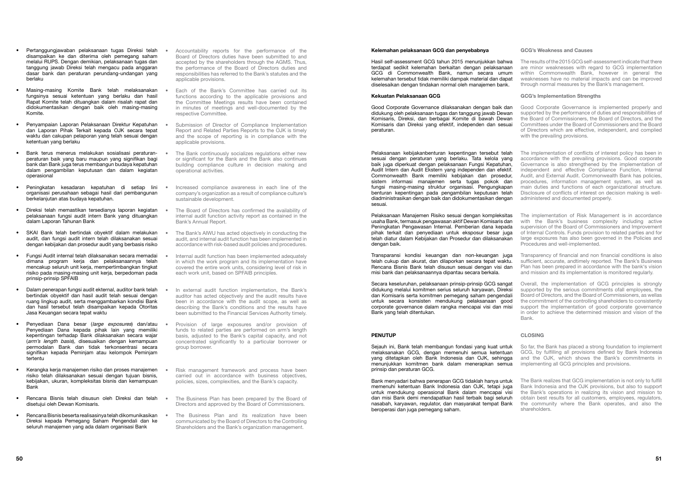## Kelemahan pelaksanaan GCG dan penyebabnya

Hasil self-assessment GCG tahun 2015 menunjukkan bahwa terdapat sedikit kelemahan berkaitan dengan pelaksanaan GCG di Commonwealth Bank, namun secara umum kelemahan tersebut tidak memiliki dampak material dan dapat diselesaikan dengan tindakan normal oleh manajemen bank.

## Kekuatan Pelaksanaan GCG

Good Corporate Governance dilaksanakan dengan baik dan didukung oleh pelaksanaan tugas dan tanggung jawab Dewan Komisaris, Direksi, dan berbagai Komite di bawah Dewan Komisaris dan Direksi yang efektif, independen dan sesuai peraturan.

Pelaksanaan kebijakanbenturan kepentingan tersebut telah sesuai dengan peraturan yang berlaku. Tata kelola yang baik juga diperkuat dengan pelaksanaan Fungsi Kepatuhan, Audit Intern dan Audit Ekstern yang independen dan efektif. Commonwealth Bank memiliki kebijakan dan prosedur, sistem informasi manajemen serta tugas pokok dan fungsi masing-masing struktur organisasi. Pengungkapan benturan kepentingan pada pengambilan keputusan telah diadministrasikan dengan baik dan didokumentasikan dengan sesuai.

Pelaksanaan Manajemen Risiko sesuai dengan kompleksitas usaha Bank, termasuk pengawasan aktif Dewan Komisaris dan Peningkatan Pengawasan Internal. Pemberian dana kepada pihak terkait dan penyediaan untuk eksposur besar juga telah diatur dalam Kebijakan dan Prosedur dan dilaksanakan dengan baik.

Transparansi kondisi keuangan dan non-keuangan juga telah cukup dan akurat, dan dilaporkan secara tepat waktu. Rencana Bisnis Bank telah disusun sesuai dengan visi dan misi bank dan pelaksanaannya dipantau secara berkala.

Secara keseluruhan, pelaksanaan prinsip-prinsip GCG sangat didukung melalui komitmen serius seluruh karyawan, Direksi dan Komisaris serta komitmen pemegang saham pengendali untuk secara konsisten mendukung pelaksanaan good corporate governance dalam rangka mencapai visi dan misi Bank yang telah ditentukan.

## PENUTUP

Sejauh ini, Bank telah membangun fondasi yang kuat untuk melaksanakan GCG, dengan memenuhi semua ketentuan yang ditetapkan oleh Bank Indonesia dan OJK, sehingga menunjukkan komitmen bank dalam menerapkan semua prinsip dan peraturan GCG.

Bank menyadari bahwa penerapan GCG tidaklah hanya untuk memenuhi ketentuan Bank Indonesia dan OJK, tetapi juga untuk mendukung operasional Bank dalam mencapai visi dan misi Bank demi mendapatkan hasil terbaik bagi seluruh nasabah, karyawan, regulator, dan masyarakat tempat Bank beroperasi dan juga pemegang saham.

#### GCG's Weakness and Causes

The results of the 2015 GCG self-assessment indicate that there are minor weaknesses with regard to GCG implementation within Commonwealth Bank, however in general the weaknesses have no material impacts and can be improved through normal measures by the Bank's management.

#### GCG's Implementation Strengths

- Good Corporate Governance is implemented properly and supported by the performance of duties and responsibilities of the Board of Commissioners, the Board of Directors, and the Committees under the Board of Commissioners and the Board of Directors which are effective, independent, and complied with the prevailing provisions.
- The implementation of conflicts of interest policy has been in accordance with the prevailing provisions. Good corporate Governance is also strengthened by the implementation of independent and effective Compliance Function, Internal Audit, and External Audit. Commonwealth Bank has policies, procedures, information management system, as well as main duties and functions of each organizational structure. Disclosure of conflicts of interest on decision making is welladministered and documented properly.
- The implementation of Risk Management is in accordance with the Bank's business complexity including active supervision of the Board of Commissioners and Improvement of Internal Controls. Funds provision to related parties and for large exposures has also been governed in the Policies and Procedures and well-implemented.
- Transparency of financial and non financial conditions is also sufficient, accurate, andtimely reported. The Bank's Business Plan has been prepared in accordance with the bank's vision and mission and its implementation is monitored regularly.
- Overall, the implementation of GCG principles is strongly supported by the serious commitments ofall employees, the Board of Directors, and the Board of Commissioners, as wellas the commitment of the controlling shareholders to consistently support the implementation of good corporate governance in order to achieve the determined mission and vision of the Bank.

#### CLOSING

- So far, the Bank has placed a strong foundation to implement GCG, by fulfilling all provisions defined by Bank Indonesia and the OJK, which shows the Bank's commitments in implementing all GCG principles and provisions.
- The Bank realizes that GCG implementation is not only to fulfill Bank Indonesia and the OJK provisions, but also to support the Bank's operations in realizing its vision and mission to obtain best results for all customers, employees, regulators, the community where the Bank operates, and also the shareholders.
- Pertanggungjawaban pelaksanaan tugas Direksi telah disampaikan ke dan diterima oleh pemegang saham melalui RUPS. Dengan demikian, pelaksanaan tugas dan tanggung jawab Direksi telah mengacu pada anggaran dasar bank dan peraturan perundang-undangan yang berlaku
- Masing-masing Komite Bank telah melaksanakan fungsinya sesuai ketentuan yang berlaku dan hasil Rapat Komite telah dituangkan dalam risalah rapat dan didokumentasikan dengan baik oleh masing-masing Komite.
- Penyampaian Laporan Pelaksanaan Direktur Kepatuhan dan Laporan Pihak Terkait kepada OJK secara tepat waktu dan cakupan pelaporan yang telah sesuai dengan ketentuan yang berlaku
- Bank terus menerus melakukan sosialisasi peraturanperaturan baik yang baru maupun yang signifikan bagi bank dan Bank juga terus membangun budaya kepatuhan dalam pengambilan keputusan dan dalam kegiatan operasional
- Peningkatan kesadaran kepatuhan di setiap lini organisasi perusahaan sebagai hasil dari pembangunan berkelanjutan atas budaya kepatuhan.
- Direksi telah memastikan tersedianya laporan kegiatan pelaksanaan fungsi audit intern Bank yang dituangkan dalam Laporan Tahunan Bank
- SKAI Bank telah bertindak obyektif dalam melakukan audit, dan fungsi audit intern telah dilaksanakan sesuai dengan kebijakan dan prosedur audit yang berbasis risiko
- Fungsi Audit internal telah dilaksanakan secara memadai dimana program kerja dan pelaksanaannya telah mencakup seluruh unit kerja, mempertimbangkan tingkat risiko pada masing-masing unit kerja, berpedoman pada prinsip-prinsip SPFAIB
- Dalam penerapan fungsi audit ekternal, auditor bank telah bertindak obyektif dan hasil audit telah sesuai dengan ruang lingkup audit, serta menggambarkan kondisi Bank dan hasil tersebut telah disampaikan kepada Otoritas Jasa Keuangan secara tepat waktu
- Penyediaan Dana besar (large exposures) dan/atau Penyediaan Dana kepada pihak lain yang memiliki kepentingan terhadap Bank dilaksanakan secara wajar (arm's length basis), disesuaikan dengan kemampuan permodalan Bank dan tidak terkonsentrasi secara signifikan kepada Peminjam atau kelompok Peminjam tertentu
- Kerangka kerja manajemen risiko dan proses manajemen risiko telah dilaksanakan sesuai dengan tujuan bisnis, kebijakan, ukuran, kompleksitas bisnis dan kemampuan Bank
- Rencana Bisnis telah disusun oleh Direksi dan telah disetujui oleh Dewan Komisaris.
- Rencana Bisnis beserta realisasinya telah dikomunikasikan Direksi kepada Pemegang Saham Pengendali dan ke seluruh manajemen yang ada dalam organisasi Bank
- Accountability reports for the performance of the Board of Directors duties have been submitted to and accepted by the shareholders through the AGMS. Thus, the performance of the Board of Directors duties and responsibilities has referred to the Bank's statutes and the applicable provisions.
- Each of the Bank's Committee has carried out its functions according to the applicable provisions and the Committee Meetings results have been contained in minutes of meetings and well-documented by the respective Committee.
- Submission of Director of Compliance Implementation Report and Related Parties Reports to the OJK is timely and the scope of reporting is in compliance with the applicable provisions.
- The Bank continuously socializes regulations either new or significant for the Bank and the Bank also continues building compliance culture in decision making and operational activities.
- Increased compliance awareness in each line of the company's organization as a result of compliance culture's sustainable development.
- The Board of Directors has confirmed the availability of internal audit function activity report as contained in the Bank's Annual Report.
- The Bank's AIWU has acted objectively in conducting the audit, and internal audit function has been implemented in accordance with risk-based audit policies and procedures.
- Internal audit function has been implemented adequately in which the work program and its implementation have covered the entire work units, considering level of risk in each work unit, based on SPFAIB principles.
- In external audit function implementation, the Bank's auditor has acted objectively and the audit results have been in accordance with the audit scope, as well as describing the Bank's conditions and the results have been submitted to the Financial Services Authority timely.
- Provision of large exposures and/or provision of funds to related parties are performed on arm's length basis, adjusted to the Bank's capital capacity, and not concentrated significantly to a particular borrower or group borrower.
- Risk management framework and process have been carried out in accordance with business objectives, policies, sizes, complexities, and the Bank's capacity.
- The Business Plan has been prepared by the Board of Directors and approved by the Board of Commissioners.
- The Business Plan and its realization have been communicated by the Board of Directors to the Controlling Shareholders and the Bank's organization management.